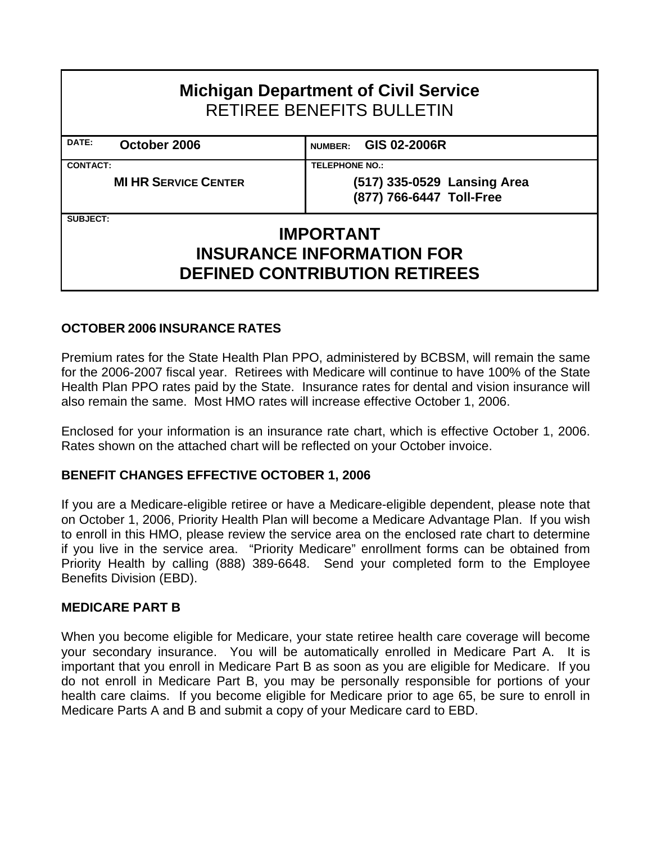| <b>Michigan Department of Civil Service</b><br>RETIREE BENEFITS BULLETIN |                                                         |  |  |  |  |  |  |  |  |  |
|--------------------------------------------------------------------------|---------------------------------------------------------|--|--|--|--|--|--|--|--|--|
| DATE:<br>October 2006                                                    | GIS 02-2006R<br><b>NUMBER:</b>                          |  |  |  |  |  |  |  |  |  |
| <b>CONTACT:</b>                                                          | <b>TELEPHONE NO.:</b>                                   |  |  |  |  |  |  |  |  |  |
| <b>MI HR SERVICE CENTER</b>                                              | (517) 335-0529 Lansing Area<br>(877) 766-6447 Toll-Free |  |  |  |  |  |  |  |  |  |
| <b>SUBJECT:</b>                                                          |                                                         |  |  |  |  |  |  |  |  |  |
|                                                                          | <b>IMPORTANT</b>                                        |  |  |  |  |  |  |  |  |  |
| <b>INSURANCE INFORMATION FOR</b>                                         |                                                         |  |  |  |  |  |  |  |  |  |
|                                                                          | <b>DEFINED CONTRIBUTION RETIREES</b>                    |  |  |  |  |  |  |  |  |  |

#### **OCTOBER 2006 INSURANCE RATES**

Premium rates for the State Health Plan PPO, administered by BCBSM, will remain the same for the 2006-2007 fiscal year. Retirees with Medicare will continue to have 100% of the State Health Plan PPO rates paid by the State. Insurance rates for dental and vision insurance will also remain the same. Most HMO rates will increase effective October 1, 2006.

Enclosed for your information is an insurance rate chart, which is effective October 1, 2006. Rates shown on the attached chart will be reflected on your October invoice.

#### **BENEFIT CHANGES EFFECTIVE OCTOBER 1, 2006**

If you are a Medicare-eligible retiree or have a Medicare-eligible dependent, please note that on October 1, 2006, Priority Health Plan will become a Medicare Advantage Plan. If you wish to enroll in this HMO, please review the service area on the enclosed rate chart to determine if you live in the service area. "Priority Medicare" enrollment forms can be obtained from Priority Health by calling (888) 389-6648. Send your completed form to the Employee Benefits Division (EBD).

#### **MEDICARE PART B**

When you become eligible for Medicare, your state retiree health care coverage will become your secondary insurance. You will be automatically enrolled in Medicare Part A. It is important that you enroll in Medicare Part B as soon as you are eligible for Medicare. If you do not enroll in Medicare Part B, you may be personally responsible for portions of your health care claims. If you become eligible for Medicare prior to age 65, be sure to enroll in Medicare Parts A and B and submit a copy of your Medicare card to EBD.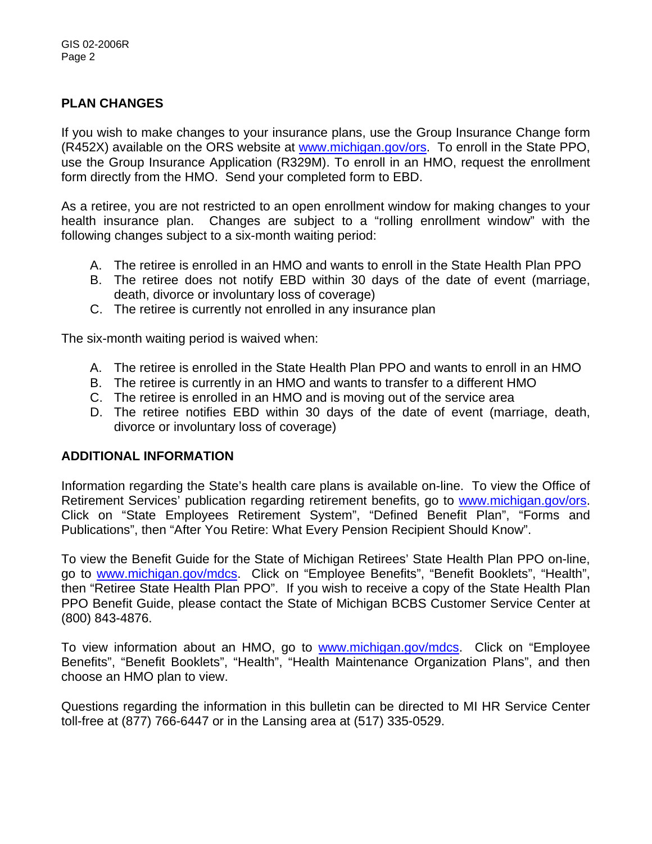#### **PLAN CHANGES**

If you wish to make changes to your insurance plans, use the Group Insurance Change form (R452X) available on the ORS website at [www.michigan.gov/ors.](http://www.michigan.gov/ors) To enroll in the State PPO, use the Group Insurance Application (R329M). To enroll in an HMO, request the enrollment form directly from the HMO. Send your completed form to EBD.

As a retiree, you are not restricted to an open enrollment window for making changes to your health insurance plan. Changes are subject to a "rolling enrollment window" with the following changes subject to a six-month waiting period:

- A. The retiree is enrolled in an HMO and wants to enroll in the State Health Plan PPO
- B. The retiree does not notify EBD within 30 days of the date of event (marriage, death, divorce or involuntary loss of coverage)
- C. The retiree is currently not enrolled in any insurance plan

The six-month waiting period is waived when:

- A. The retiree is enrolled in the State Health Plan PPO and wants to enroll in an HMO
- B. The retiree is currently in an HMO and wants to transfer to a different HMO
- C. The retiree is enrolled in an HMO and is moving out of the service area
- D. The retiree notifies EBD within 30 days of the date of event (marriage, death, divorce or involuntary loss of coverage)

#### **ADDITIONAL INFORMATION**

Information regarding the State's health care plans is available on-line. To view the Office of Retirement Services' publication regarding retirement benefits, go to [www.michigan.gov/ors](http://www.michigan.gov/ors). Click on "State Employees Retirement System", "Defined Benefit Plan", "Forms and Publications", then "After You Retire: What Every Pension Recipient Should Know".

To view the Benefit Guide for the State of Michigan Retirees' State Health Plan PPO on-line, go to [www.michigan.gov/mdcs](http://www.michigan.gov/mdcs). Click on "Employee Benefits", "Benefit Booklets", "Health", then "Retiree State Health Plan PPO". If you wish to receive a copy of the State Health Plan PPO Benefit Guide, please contact the State of Michigan BCBS Customer Service Center at (800) 843-4876.

To view information about an HMO, go to [www.michigan.gov/mdcs](http://www.michigan.gov/mdcs). Click on "Employee Benefits", "Benefit Booklets", "Health", "Health Maintenance Organization Plans", and then choose an HMO plan to view.

Questions regarding the information in this bulletin can be directed to MI HR Service Center toll-free at (877) 766-6447 or in the Lansing area at (517) 335-0529.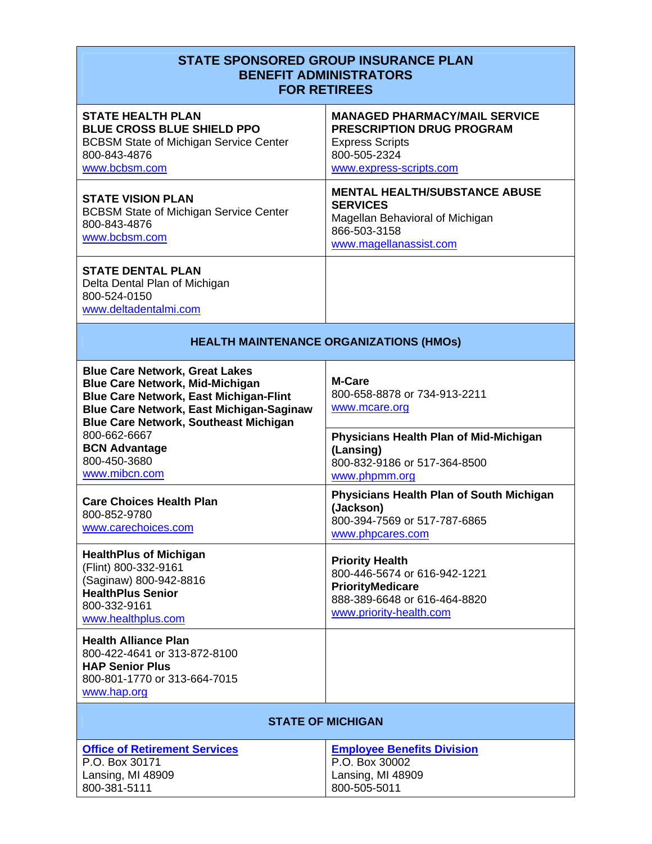|                                                                                                                                                                                                                                                     | <b>STATE SPONSORED GROUP INSURANCE PLAN</b><br><b>BENEFIT ADMINISTRATORS</b><br><b>FOR RETIREES</b>                                           |
|-----------------------------------------------------------------------------------------------------------------------------------------------------------------------------------------------------------------------------------------------------|-----------------------------------------------------------------------------------------------------------------------------------------------|
| <b>STATE HEALTH PLAN</b><br><b>BLUE CROSS BLUE SHIELD PPO</b><br><b>BCBSM State of Michigan Service Center</b><br>800-843-4876<br>www.bcbsm.com                                                                                                     | <b>MANAGED PHARMACY/MAIL SERVICE</b><br><b>PRESCRIPTION DRUG PROGRAM</b><br><b>Express Scripts</b><br>800-505-2324<br>www.express-scripts.com |
| <b>STATE VISION PLAN</b><br><b>BCBSM State of Michigan Service Center</b><br>800-843-4876<br>www.bcbsm.com                                                                                                                                          | <b>MENTAL HEALTH/SUBSTANCE ABUSE</b><br><b>SERVICES</b><br>Magellan Behavioral of Michigan<br>866-503-3158<br>www.magellanassist.com          |
| <b>STATE DENTAL PLAN</b><br>Delta Dental Plan of Michigan<br>800-524-0150<br>www.deltadentalmi.com                                                                                                                                                  |                                                                                                                                               |
|                                                                                                                                                                                                                                                     | <b>HEALTH MAINTENANCE ORGANIZATIONS (HMOs)</b>                                                                                                |
| <b>Blue Care Network, Great Lakes</b><br><b>Blue Care Network, Mid-Michigan</b><br><b>Blue Care Network, East Michigan-Flint</b><br><b>Blue Care Network, East Michigan-Saginaw</b><br><b>Blue Care Network, Southeast Michigan</b><br>800-662-6667 | M-Care<br>800-658-8878 or 734-913-2211<br>www.mcare.org<br><b>Physicians Health Plan of Mid-Michigan</b>                                      |
| <b>BCN Advantage</b><br>800-450-3680<br>www.mibcn.com                                                                                                                                                                                               | (Lansing)<br>800-832-9186 or 517-364-8500<br>www.phpmm.org                                                                                    |
| <b>Care Choices Health Plan</b><br>800-852-9780<br>www.carechoices.com                                                                                                                                                                              | Physicians Health Plan of South Michigan<br>(Jackson)<br>800-394-7569 or 517-787-6865<br>www.phpcares.com                                     |
| <b>HealthPlus of Michigan</b><br>(Flint) 800-332-9161<br>(Saginaw) 800-942-8816<br><b>HealthPlus Senior</b><br>800-332-9161<br>www.healthplus.com                                                                                                   | <b>Priority Health</b><br>800-446-5674 or 616-942-1221<br><b>PriorityMedicare</b><br>888-389-6648 or 616-464-8820<br>www.priority-health.com  |
| <b>Health Alliance Plan</b><br>800-422-4641 or 313-872-8100<br><b>HAP Senior Plus</b><br>800-801-1770 or 313-664-7015<br>www.hap.org                                                                                                                |                                                                                                                                               |
|                                                                                                                                                                                                                                                     | <b>STATE OF MICHIGAN</b>                                                                                                                      |
| <b>Office of Retirement Services</b><br>P.O. Box 30171<br>Lansing, MI 48909<br>800-381-5111                                                                                                                                                         | <b>Employee Benefits Division</b><br>P.O. Box 30002<br>Lansing, MI 48909<br>800-505-5011                                                      |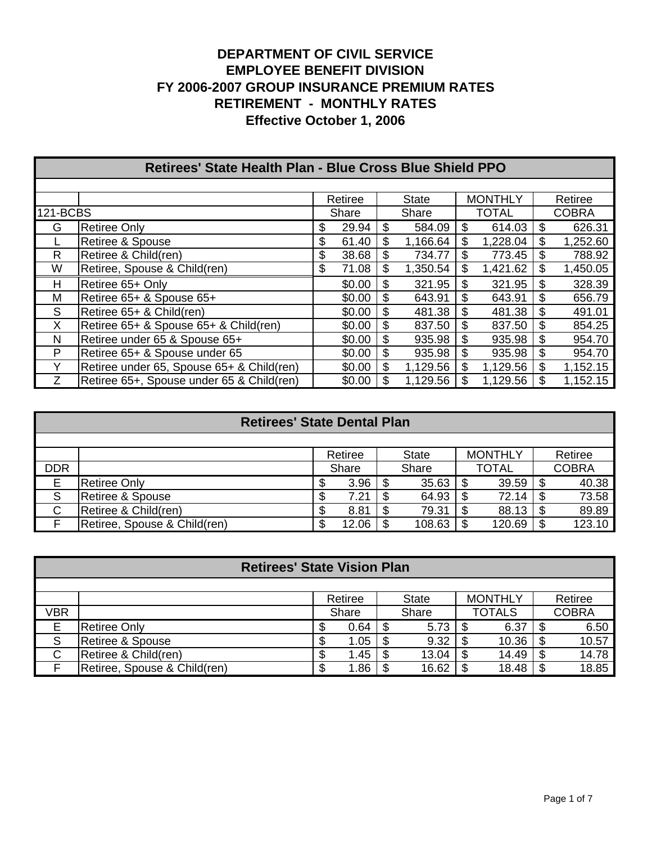|          | <b>Retirees' State Health Plan - Blue Cross Blue Shield PPO</b> |         |        |    |              |    |                |    |              |  |  |  |
|----------|-----------------------------------------------------------------|---------|--------|----|--------------|----|----------------|----|--------------|--|--|--|
|          |                                                                 |         |        |    |              |    |                |    |              |  |  |  |
|          |                                                                 | Retiree |        |    | <b>State</b> |    | <b>MONTHLY</b> |    | Retiree      |  |  |  |
| 121-BCBS |                                                                 |         | Share  |    | Share        |    | <b>TOTAL</b>   |    | <b>COBRA</b> |  |  |  |
| G        | <b>Retiree Only</b>                                             | \$      | 29.94  | \$ | 584.09       | \$ | 614.03         | \$ | 626.31       |  |  |  |
|          | <b>Retiree &amp; Spouse</b>                                     | \$      | 61.40  | \$ | 1,166.64     | \$ | 1,228.04       | \$ | 1,252.60     |  |  |  |
| R.       | Retiree & Child(ren)                                            | \$      | 38.68  | \$ | 734.77       | \$ | 773.45         | \$ | 788.92       |  |  |  |
| W        | Retiree, Spouse & Child(ren)                                    | \$      | 71.08  | \$ | 1,350.54     | \$ | 1,421.62       | \$ | 1,450.05     |  |  |  |
| H        | Retiree 65+ Only                                                |         | \$0.00 | \$ | 321.95       | \$ | 321.95         | \$ | 328.39       |  |  |  |
| М        | Retiree 65+ & Spouse 65+                                        |         | \$0.00 | \$ | 643.91       | \$ | 643.91         | \$ | 656.79       |  |  |  |
| S        | Retiree 65+ & Child(ren)                                        |         | \$0.00 | \$ | 481.38       | \$ | 481.38         | \$ | 491.01       |  |  |  |
| X        | Retiree 65+ & Spouse 65+ & Child(ren)                           |         | \$0.00 | \$ | 837.50       | \$ | 837.50         | \$ | 854.25       |  |  |  |
| N        | Retiree under 65 & Spouse 65+                                   |         | \$0.00 | \$ | 935.98       | \$ | 935.98         | \$ | 954.70       |  |  |  |
| P        | Retiree 65+ & Spouse under 65                                   |         | \$0.00 | \$ | 935.98       | \$ | 935.98         | \$ | 954.70       |  |  |  |
| Y        | Retiree under 65, Spouse 65+ & Child(ren)                       |         | \$0.00 | \$ | 1,129.56     | \$ | 1,129.56       | \$ | 1,152.15     |  |  |  |
| Z        | Retiree 65+, Spouse under 65 & Child(ren)                       |         | \$0.00 | S  | 1,129.56     | \$ | 1,129.56       | \$ | 1,152.15     |  |  |  |

# **Retirees' State Dental Plan**

|            |                              |         | Retiree |  | <b>State</b> |  | <b>MONTHLY</b> |  | Retiree      |
|------------|------------------------------|---------|---------|--|--------------|--|----------------|--|--------------|
| <b>DDR</b> |                              |         | Share   |  | Share        |  | <b>TOTAL</b>   |  | <b>COBRA</b> |
| Е          | <b>Retiree Only</b>          | ۰D      | 3.96    |  | 35.63        |  | 39.59          |  | 40.38        |
| c<br>ت     | Retiree & Spouse             | ۰D      | 7.21    |  | 64.93        |  | 72.14          |  | 73.58        |
| С          | Retiree & Child(ren)         | ۰D      | 8.81    |  | 79.31        |  | 88.13          |  | 89.89        |
|            | Retiree, Spouse & Child(ren) | œ<br>۰D | 12.06   |  | 108.63       |  | 120.69         |  | 123.10       |

| <b>Retirees' State Vision Plan</b> |                              |   |         |  |              |   |                |   |              |  |  |  |
|------------------------------------|------------------------------|---|---------|--|--------------|---|----------------|---|--------------|--|--|--|
|                                    |                              |   |         |  |              |   |                |   |              |  |  |  |
|                                    |                              |   | Retiree |  | <b>State</b> |   | <b>MONTHLY</b> |   | Retiree      |  |  |  |
| VBR                                |                              |   | Share   |  | Share        |   | <b>TOTALS</b>  |   | <b>COBRA</b> |  |  |  |
| Е                                  | <b>Retiree Only</b>          |   | 0.64    |  | 5.73         |   | 6.37           |   | 6.50         |  |  |  |
| S                                  | Retiree & Spouse             |   | 1.05    |  | 9.32         | S | 10.36          | S | 10.57        |  |  |  |
| С                                  | Retiree & Child(ren)         |   | 1.45    |  | 13.04        | S | 14.49          | S | 14.78        |  |  |  |
|                                    | Retiree, Spouse & Child(ren) | Œ | 1.86    |  | 16.62        | S | 18.48          |   | 18.85        |  |  |  |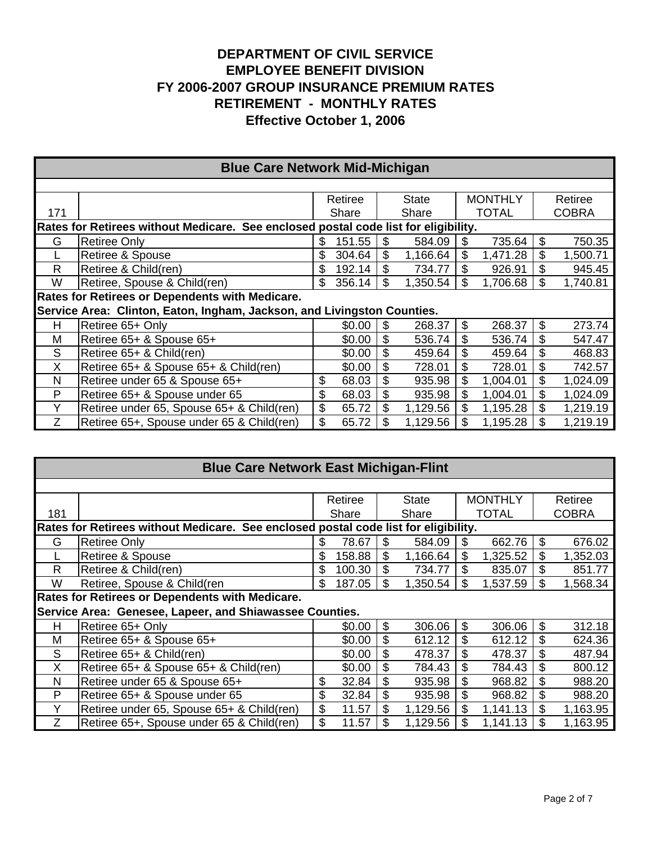|     | <b>Blue Care Network Mid-Michigan</b>                                               |    |         |    |          |                |                |    |              |  |  |  |
|-----|-------------------------------------------------------------------------------------|----|---------|----|----------|----------------|----------------|----|--------------|--|--|--|
|     |                                                                                     |    |         |    |          |                |                |    |              |  |  |  |
|     |                                                                                     |    | Retiree |    | State    |                | <b>MONTHLY</b> |    | Retiree      |  |  |  |
| 171 |                                                                                     |    | Share   |    | Share    |                | <b>TOTAL</b>   |    | <b>COBRA</b> |  |  |  |
|     | Rates for Retirees without Medicare. See enclosed postal code list for eligibility. |    |         |    |          |                |                |    |              |  |  |  |
| G   | <b>Retiree Only</b>                                                                 | \$ | 151.55  | \$ | 584.09   | \$             | 735.64         | \$ | 750.35       |  |  |  |
|     | Retiree & Spouse                                                                    | S  | 304.64  | \$ | 1,166.64 | \$             | 1,471.28       | \$ | 1,500.71     |  |  |  |
| R   | Retiree & Child(ren)                                                                | S  | 192.14  |    | 734.77   |                | 926.91         | \$ | 945.45       |  |  |  |
| W   | Retiree, Spouse & Child(ren)                                                        | \$ | 356.14  | \$ | 1,350.54 | \$             | 1,706.68       | \$ | 1,740.81     |  |  |  |
|     | Rates for Retirees or Dependents with Medicare.                                     |    |         |    |          |                |                |    |              |  |  |  |
|     | Service Area: Clinton, Eaton, Ingham, Jackson, and Livingston Counties.             |    |         |    |          |                |                |    |              |  |  |  |
| н   | Retiree 65+ Only                                                                    |    | \$0.00  | \$ | 268.37   | $\mathfrak{L}$ | 268.37         | \$ | 273.74       |  |  |  |
| м   | Retiree 65+ & Spouse 65+                                                            |    | \$0.00  | \$ | 536.74   | \$             | 536.74         | \$ | 547.47       |  |  |  |
| S   | Retiree 65+ & Child(ren)                                                            |    | \$0.00  | \$ | 459.64   | \$             | 459.64         | \$ | 468.83       |  |  |  |
| X   | Retiree 65+ & Spouse 65+ & Child(ren)                                               |    | \$0.00  | \$ | 728.01   | \$             | 728.01         | \$ | 742.57       |  |  |  |
| N   | Retiree under 65 & Spouse 65+                                                       | \$ | 68.03   | \$ | 935.98   | \$             | 1,004.01       | \$ | 1,024.09     |  |  |  |
| P   | Retiree 65+ & Spouse under 65                                                       | \$ | 68.03   | \$ | 935.98   | \$             | 1,004.01       | \$ | 1,024.09     |  |  |  |
| Υ   | Retiree under 65, Spouse 65+ & Child(ren)                                           | \$ | 65.72   | \$ | 1,129.56 | \$             | 1,195.28       | \$ | 1,219.19     |  |  |  |
| Ζ   | Retiree 65+, Spouse under 65 & Child(ren)                                           | \$ | 65.72   |    | 1,129.56 | \$             | 1,195.28       | \$ | 1,219.19     |  |  |  |

|                                                                                     | <b>Blue Care Network East Michigan-Flint</b>            |     |         |    |              |    |                |    |              |  |  |  |
|-------------------------------------------------------------------------------------|---------------------------------------------------------|-----|---------|----|--------------|----|----------------|----|--------------|--|--|--|
|                                                                                     |                                                         |     |         |    |              |    |                |    |              |  |  |  |
|                                                                                     |                                                         |     | Retiree |    | <b>State</b> |    | <b>MONTHLY</b> |    | Retiree      |  |  |  |
| 181                                                                                 |                                                         |     | Share   |    | Share        |    | <b>TOTAL</b>   |    | <b>COBRA</b> |  |  |  |
| Rates for Retirees without Medicare. See enclosed postal code list for eligibility. |                                                         |     |         |    |              |    |                |    |              |  |  |  |
| G                                                                                   | <b>Retiree Only</b>                                     | S   | 78.67   | \$ | 584.09       | S  | 662.76         | \$ | 676.02       |  |  |  |
|                                                                                     | Retiree & Spouse                                        | \$  | 158.88  | \$ | 1,166.64     | \$ | 1,325.52       | \$ | 1,352.03     |  |  |  |
| R                                                                                   | Retiree & Child(ren)                                    | \$  | 100.30  | \$ | 734.77       |    | 835.07         | \$ | 851.77       |  |  |  |
| W                                                                                   | Retiree, Spouse & Child(ren                             | \$. | 187.05  | S  | 1,350.54     | S  | 1,537.59       |    | 1,568.34     |  |  |  |
|                                                                                     | Rates for Retirees or Dependents with Medicare.         |     |         |    |              |    |                |    |              |  |  |  |
|                                                                                     | Service Area: Genesee, Lapeer, and Shiawassee Counties. |     |         |    |              |    |                |    |              |  |  |  |
| н                                                                                   | Retiree 65+ Only                                        |     | \$0.00  | \$ | 306.06       | \$ | 306.06         | \$ | 312.18       |  |  |  |
| м                                                                                   | Retiree 65+ & Spouse 65+                                |     | \$0.00  | \$ | 612.12       |    | 612.12         | \$ | 624.36       |  |  |  |
| S                                                                                   | Retiree 65+ & Child(ren)                                |     | \$0.00  | \$ | 478.37       | S  | 478.37         | S  | 487.94       |  |  |  |
| X                                                                                   | Retiree 65+ & Spouse 65+ & Child(ren)                   |     | \$0.00  | \$ | 784.43       | \$ | 784.43         | \$ | 800.12       |  |  |  |
| N                                                                                   | Retiree under 65 & Spouse 65+                           | \$  | 32.84   | \$ | 935.98       | \$ | 968.82         | \$ | 988.20       |  |  |  |
| P                                                                                   | Retiree 65+ & Spouse under 65                           | \$  | 32.84   | \$ | 935.98       | \$ | 968.82         | \$ | 988.20       |  |  |  |
| Y                                                                                   | Retiree under 65, Spouse 65+ & Child(ren)               | \$  | 11.57   | \$ | 1,129.56     | \$ | 1,141.13       | \$ | 1,163.95     |  |  |  |
|                                                                                     | Retiree 65+, Spouse under 65 & Child(ren)               | \$  | 11.57   | \$ | 1,129.56     |    | 1,141.13       | \$ | 1,163.95     |  |  |  |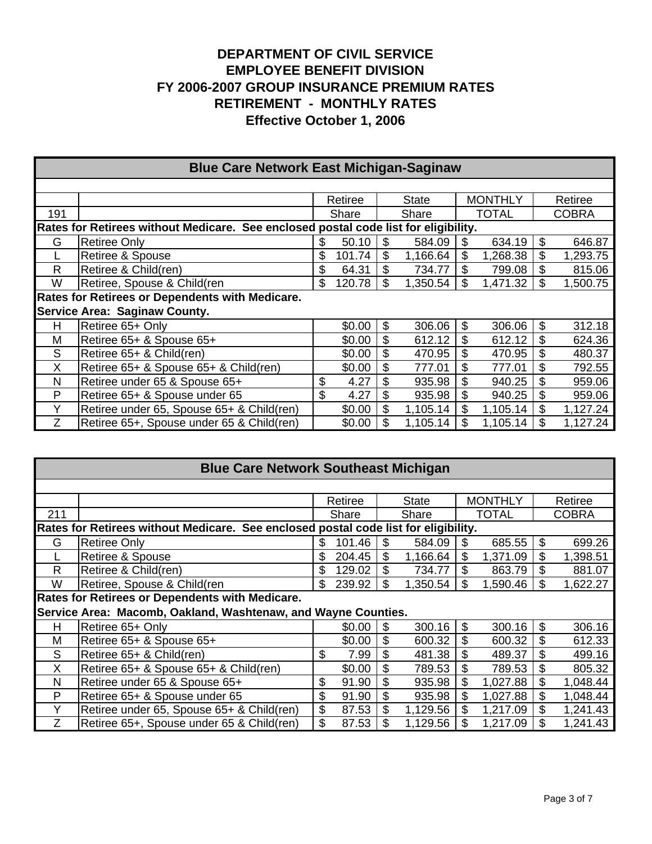|     | <b>Blue Care Network East Michigan-Saginaw</b>                                      |                                                      |        |    |          |    |              |    |              |  |  |  |
|-----|-------------------------------------------------------------------------------------|------------------------------------------------------|--------|----|----------|----|--------------|----|--------------|--|--|--|
|     |                                                                                     |                                                      |        |    |          |    |              |    |              |  |  |  |
|     |                                                                                     | <b>MONTHLY</b><br>Retiree<br><b>State</b><br>Retiree |        |    |          |    |              |    |              |  |  |  |
| 191 |                                                                                     |                                                      | Share  |    | Share    |    | <b>TOTAL</b> |    | <b>COBRA</b> |  |  |  |
|     | Rates for Retirees without Medicare. See enclosed postal code list for eligibility. |                                                      |        |    |          |    |              |    |              |  |  |  |
| G   | <b>Retiree Only</b>                                                                 | \$                                                   | 50.10  | \$ | 584.09   | \$ | 634.19       | \$ | 646.87       |  |  |  |
|     | Retiree & Spouse                                                                    | \$                                                   | 101.74 | \$ | 1,166.64 | \$ | 1,268.38     | \$ | 1,293.75     |  |  |  |
| R   | Retiree & Child(ren)                                                                | \$                                                   | 64.31  |    | 734.77   | \$ | 799.08       | \$ | 815.06       |  |  |  |
| W   | Retiree, Spouse & Child(ren                                                         | \$                                                   | 120.78 | S  | 1,350.54 | \$ | 1,471.32     | \$ | 1,500.75     |  |  |  |
|     | Rates for Retirees or Dependents with Medicare.                                     |                                                      |        |    |          |    |              |    |              |  |  |  |
|     | Service Area: Saginaw County.                                                       |                                                      |        |    |          |    |              |    |              |  |  |  |
| н   | Retiree 65+ Only                                                                    |                                                      | \$0.00 | \$ | 306.06   | \$ | 306.06       | \$ | 312.18       |  |  |  |
| М   | Retiree 65+ & Spouse 65+                                                            |                                                      | \$0.00 | \$ | 612.12   | \$ | 612.12       | \$ | 624.36       |  |  |  |
| S   | Retiree 65+ & Child(ren)                                                            |                                                      | \$0.00 | \$ | 470.95   | \$ | 470.95       | \$ | 480.37       |  |  |  |
| X   | Retiree 65+ & Spouse 65+ & Child(ren)                                               |                                                      | \$0.00 | \$ | 777.01   | \$ | 777.01       | \$ | 792.55       |  |  |  |
| N   | Retiree under 65 & Spouse 65+                                                       | \$                                                   | 4.27   |    | 935.98   | \$ | 940.25       | \$ | 959.06       |  |  |  |
| P   | Retiree 65+ & Spouse under 65                                                       | \$                                                   | 4.27   | \$ | 935.98   | \$ | 940.25       | \$ | 959.06       |  |  |  |
| Y   | Retiree under 65, Spouse 65+ & Child(ren)                                           |                                                      | \$0.00 | \$ | 1,105.14 | \$ | 1,105.14     | \$ | 1,127.24     |  |  |  |
|     | Retiree 65+, Spouse under 65 & Child(ren)                                           |                                                      | \$0.00 | \$ | 1,105.14 | \$ | 1,105.14     | \$ | 1,127.24     |  |  |  |

| <b>Blue Care Network Southeast Michigan</b> |                                                                                     |     |         |    |          |    |                |    |              |  |  |  |
|---------------------------------------------|-------------------------------------------------------------------------------------|-----|---------|----|----------|----|----------------|----|--------------|--|--|--|
|                                             |                                                                                     |     |         |    |          |    |                |    |              |  |  |  |
|                                             |                                                                                     |     | Retiree |    | State    |    | <b>MONTHLY</b> |    | Retiree      |  |  |  |
| 211                                         |                                                                                     |     | Share   |    | Share    |    | <b>TOTAL</b>   |    | <b>COBRA</b> |  |  |  |
|                                             | Rates for Retirees without Medicare. See enclosed postal code list for eligibility. |     |         |    |          |    |                |    |              |  |  |  |
| G                                           | <b>Retiree Only</b>                                                                 | S   | 101.46  | \$ | 584.09   | \$ | 685.55         | S  | 699.26       |  |  |  |
|                                             | Retiree & Spouse                                                                    |     | 204.45  | \$ | 1,166.64 | \$ | 1,371.09       | \$ | 1,398.51     |  |  |  |
| R                                           | Retiree & Child(ren)                                                                |     | 129.02  |    | 734.77   | \$ | 863.79         |    | 881.07       |  |  |  |
| W                                           | Retiree, Spouse & Child(ren                                                         | \$. | 239.92  | \$ | 1,350.54 | \$ | 1,590.46       |    | 1,622.27     |  |  |  |
|                                             | Rates for Retirees or Dependents with Medicare.                                     |     |         |    |          |    |                |    |              |  |  |  |
|                                             | Service Area: Macomb, Oakland, Washtenaw, and Wayne Counties.                       |     |         |    |          |    |                |    |              |  |  |  |
| н                                           | Retiree 65+ Only                                                                    |     | \$0.00  | \$ | 300.16   | \$ | 300.16         | \$ | 306.16       |  |  |  |
| M                                           | Retiree 65+ & Spouse 65+                                                            |     | \$0.00  | \$ | 600.32   | \$ | 600.32         | \$ | 612.33       |  |  |  |
| S                                           | Retiree 65+ & Child(ren)                                                            | \$  | 7.99    | \$ | 481.38   | \$ | 489.37         | \$ | 499.16       |  |  |  |
| X                                           | Retiree 65+ & Spouse 65+ & Child(ren)                                               |     | \$0.00  | \$ | 789.53   | \$ | 789.53         | \$ | 805.32       |  |  |  |
| N                                           | Retiree under 65 & Spouse 65+                                                       | \$  | 91.90   | \$ | 935.98   | \$ | 1,027.88       | \$ | 1,048.44     |  |  |  |
| P                                           | Retiree 65+ & Spouse under 65                                                       | \$  | 91.90   | \$ | 935.98   | \$ | 1,027.88       | \$ | 1,048.44     |  |  |  |
| Y                                           | Retiree under 65, Spouse 65+ & Child(ren)                                           | \$  | 87.53   | \$ | 1,129.56 | \$ | 1,217.09       |    | 1,241.43     |  |  |  |
| Ζ                                           | Retiree 65+, Spouse under 65 & Child(ren)                                           | \$  | 87.53   | \$ | 1,129.56 |    | 1,217.09       |    | 1,241.43     |  |  |  |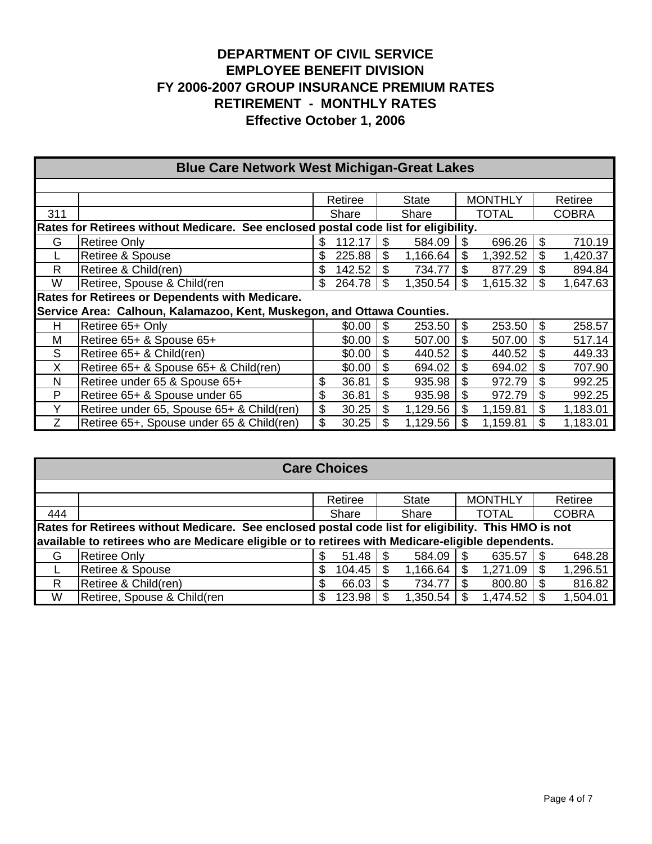|     | <b>Blue Care Network West Michigan-Great Lakes</b>                                  |    |         |    |              |    |                |    |              |  |  |  |
|-----|-------------------------------------------------------------------------------------|----|---------|----|--------------|----|----------------|----|--------------|--|--|--|
|     |                                                                                     |    |         |    |              |    |                |    |              |  |  |  |
|     |                                                                                     |    | Retiree |    | <b>State</b> |    | <b>MONTHLY</b> |    | Retiree      |  |  |  |
| 311 |                                                                                     |    | Share   |    | Share        |    | <b>TOTAL</b>   |    | <b>COBRA</b> |  |  |  |
|     | Rates for Retirees without Medicare. See enclosed postal code list for eligibility. |    |         |    |              |    |                |    |              |  |  |  |
| G   | <b>Retiree Only</b>                                                                 | S  | 112.17  | \$ | 584.09       | S  | 696.26         | \$ | 710.19       |  |  |  |
|     | Retiree & Spouse                                                                    | \$ | 225.88  | \$ | 1,166.64     | \$ | 1,392.52       | \$ | 1,420.37     |  |  |  |
| R   | Retiree & Child(ren)                                                                | \$ | 142.52  | \$ | 734.77       | \$ | 877.29         | \$ | 894.84       |  |  |  |
| W   | Retiree, Spouse & Child(ren                                                         | \$ | 264.78  |    | 1,350.54     | \$ | 1,615.32       |    | 1,647.63     |  |  |  |
|     | Rates for Retirees or Dependents with Medicare.                                     |    |         |    |              |    |                |    |              |  |  |  |
|     | Service Area: Calhoun, Kalamazoo, Kent, Muskegon, and Ottawa Counties.              |    |         |    |              |    |                |    |              |  |  |  |
| н   | Retiree 65+ Only                                                                    |    | \$0.00  | \$ | 253.50       | \$ | 253.50         | \$ | 258.57       |  |  |  |
| M   | Retiree 65+ & Spouse 65+                                                            |    | \$0.00  | \$ | 507.00       | \$ | 507.00         | \$ | 517.14       |  |  |  |
| S   | Retiree 65+ & Child(ren)                                                            |    | \$0.00  | \$ | 440.52       | \$ | 440.52         | \$ | 449.33       |  |  |  |
| X   | Retiree 65+ & Spouse 65+ & Child(ren)                                               |    | \$0.00  | \$ | 694.02       | \$ | 694.02         | \$ | 707.90       |  |  |  |
| N   | Retiree under 65 & Spouse 65+                                                       | \$ | 36.81   | \$ | 935.98       | \$ | 972.79         | \$ | 992.25       |  |  |  |
| P   | Retiree 65+ & Spouse under 65                                                       | \$ | 36.81   | \$ | 935.98       | \$ | 972.79         | \$ | 992.25       |  |  |  |
| Y   | Retiree under 65, Spouse 65+ & Child(ren)                                           | \$ | 30.25   | \$ | 1,129.56     | \$ | 1,159.81       | \$ | 1,183.01     |  |  |  |
| Ζ   | Retiree 65+, Spouse under 65 & Child(ren)                                           | \$ | 30.25   |    | 1,129.56     | \$ | 1,159.81       | \$ | 1,183.01     |  |  |  |

| <b>Care Choices</b> |                                                                                                     |    |         |  |              |     |                |  |              |  |  |
|---------------------|-----------------------------------------------------------------------------------------------------|----|---------|--|--------------|-----|----------------|--|--------------|--|--|
|                     |                                                                                                     |    |         |  |              |     |                |  |              |  |  |
|                     |                                                                                                     |    | Retiree |  | <b>State</b> |     | <b>MONTHLY</b> |  | Retiree      |  |  |
| 444                 |                                                                                                     |    | Share   |  | Share        |     | <b>TOTAL</b>   |  | <b>COBRA</b> |  |  |
|                     | Rates for Retirees without Medicare. See enclosed postal code list for eligibility. This HMO is not |    |         |  |              |     |                |  |              |  |  |
|                     | available to retirees who are Medicare eligible or to retirees with Medicare-eligible dependents.   |    |         |  |              |     |                |  |              |  |  |
| G                   | <b>Retiree Only</b>                                                                                 | \$ | 51.48   |  | 584.09       | \$. | 635.57         |  | 648.28       |  |  |
|                     | Retiree & Spouse                                                                                    | \$ | 104.45  |  | 1,166.64     |     | 1,271.09       |  | 1,296.51     |  |  |
| R                   | Retiree & Child(ren)                                                                                | S  | 66.03   |  | 734.77       |     | 800.80         |  | 816.82       |  |  |
| W                   | Retiree, Spouse & Child(ren                                                                         | \$ | 123.98  |  | 1,350.54     |     | 1,474.52       |  | 1,504.01     |  |  |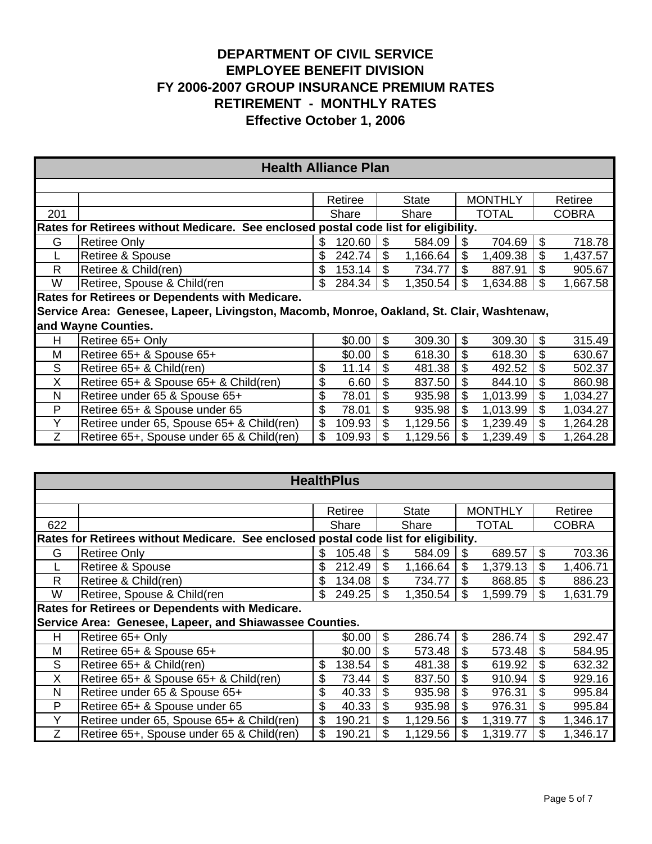|                                                                                     | <b>Health Alliance Plan</b>                                                               |    |         |    |          |    |                |    |              |  |  |  |
|-------------------------------------------------------------------------------------|-------------------------------------------------------------------------------------------|----|---------|----|----------|----|----------------|----|--------------|--|--|--|
|                                                                                     |                                                                                           |    |         |    |          |    |                |    |              |  |  |  |
|                                                                                     |                                                                                           |    | Retiree |    | State    |    | <b>MONTHLY</b> |    | Retiree      |  |  |  |
| 201                                                                                 |                                                                                           |    | Share   |    | Share    |    | <b>TOTAL</b>   |    | <b>COBRA</b> |  |  |  |
| Rates for Retirees without Medicare. See enclosed postal code list for eligibility. |                                                                                           |    |         |    |          |    |                |    |              |  |  |  |
| G                                                                                   | <b>Retiree Only</b>                                                                       | \$ | 120.60  | \$ | 584.09   | \$ | 704.69         | \$ | 718.78       |  |  |  |
|                                                                                     | Retiree & Spouse                                                                          | \$ | 242.74  | \$ | 1,166.64 | \$ | 1,409.38       | \$ | 1,437.57     |  |  |  |
| R                                                                                   | Retiree & Child(ren)                                                                      | \$ | 153.14  |    | 734.77   | \$ | 887.91         | \$ | 905.67       |  |  |  |
| W                                                                                   | Retiree, Spouse & Child(ren                                                               | \$ | 284.34  | \$ | 1,350.54 | \$ | 1,634.88       | \$ | 1,667.58     |  |  |  |
|                                                                                     | Rates for Retirees or Dependents with Medicare.                                           |    |         |    |          |    |                |    |              |  |  |  |
|                                                                                     | Service Area: Genesee, Lapeer, Livingston, Macomb, Monroe, Oakland, St. Clair, Washtenaw, |    |         |    |          |    |                |    |              |  |  |  |
|                                                                                     | and Wayne Counties.                                                                       |    |         |    |          |    |                |    |              |  |  |  |
| н                                                                                   | Retiree 65+ Only                                                                          |    | \$0.00  | \$ | 309.30   | \$ | 309.30         | \$ | 315.49       |  |  |  |
| м                                                                                   | Retiree 65+ & Spouse 65+                                                                  |    | \$0.00  | \$ | 618.30   | \$ | 618.30         | \$ | 630.67       |  |  |  |
| S                                                                                   | Retiree 65+ & Child(ren)                                                                  | \$ | 11.14   | \$ | 481.38   | \$ | 492.52         |    | 502.37       |  |  |  |
| X                                                                                   | Retiree 65+ & Spouse 65+ & Child(ren)                                                     | \$ | 6.60    | \$ | 837.50   | \$ | 844.10         | \$ | 860.98       |  |  |  |
| N                                                                                   | Retiree under 65 & Spouse 65+                                                             | \$ | 78.01   | \$ | 935.98   | \$ | 1,013.99       | \$ | 1,034.27     |  |  |  |
| P                                                                                   | Retiree 65+ & Spouse under 65                                                             | \$ | 78.01   | \$ | 935.98   | \$ | 1,013.99       | \$ | 1,034.27     |  |  |  |
| Υ                                                                                   | Retiree under 65, Spouse 65+ & Child(ren)                                                 | \$ | 109.93  | \$ | 1,129.56 | \$ | 1,239.49       | \$ | 1,264.28     |  |  |  |
| Z                                                                                   | Retiree 65+, Spouse under 65 & Child(ren)                                                 | \$ | 109.93  | \$ | 1,129.56 |    | 1,239.49       | \$ | 1,264.28     |  |  |  |

| <b>HealthPlus</b> |                                                                                     |    |         |    |          |    |                |    |              |  |  |  |  |  |  |
|-------------------|-------------------------------------------------------------------------------------|----|---------|----|----------|----|----------------|----|--------------|--|--|--|--|--|--|
|                   |                                                                                     |    |         |    |          |    |                |    |              |  |  |  |  |  |  |
|                   |                                                                                     |    | Retiree |    | State    |    | <b>MONTHLY</b> |    | Retiree      |  |  |  |  |  |  |
| 622               |                                                                                     |    | Share   |    | Share    |    | <b>TOTAL</b>   |    | <b>COBRA</b> |  |  |  |  |  |  |
|                   | Rates for Retirees without Medicare. See enclosed postal code list for eligibility. |    |         |    |          |    |                |    |              |  |  |  |  |  |  |
| G                 | 703.36<br>105.48<br>\$<br>689.57<br>\$<br>584.09<br><b>Retiree Only</b><br>S<br>S   |    |         |    |          |    |                |    |              |  |  |  |  |  |  |
|                   | Retiree & Spouse                                                                    | \$ | 212.49  | \$ | 1,166.64 | \$ | 1,379.13       | \$ | 1,406.71     |  |  |  |  |  |  |
| R                 | Retiree & Child(ren)                                                                | S  | 134.08  | \$ | 734.77   | S  | 868.85         |    | 886.23       |  |  |  |  |  |  |
| W                 | Retiree, Spouse & Child(ren                                                         | \$ | 249.25  | \$ | 1,350.54 | \$ | 1,599.79       | \$ | 1,631.79     |  |  |  |  |  |  |
|                   | <b>Rates for Retirees or Dependents with Medicare.</b>                              |    |         |    |          |    |                |    |              |  |  |  |  |  |  |
|                   | Service Area: Genesee, Lapeer, and Shiawassee Counties.                             |    |         |    |          |    |                |    |              |  |  |  |  |  |  |
| Н                 | Retiree 65+ Only                                                                    |    | \$0.00  | \$ | 286.74   | \$ | 286.74         | \$ | 292.47       |  |  |  |  |  |  |
| М                 | Retiree 65+ & Spouse 65+                                                            |    | \$0.00  | \$ | 573.48   | \$ | 573.48         | \$ | 584.95       |  |  |  |  |  |  |
| S                 | Retiree 65+ & Child(ren)                                                            | \$ | 138.54  | \$ | 481.38   | \$ | 619.92         | \$ | 632.32       |  |  |  |  |  |  |
| X                 | Retiree 65+ & Spouse 65+ & Child(ren)                                               | \$ | 73.44   | \$ | 837.50   | \$ | 910.94         |    | 929.16       |  |  |  |  |  |  |
| N                 | Retiree under 65 & Spouse 65+                                                       | \$ | 40.33   | \$ | 935.98   | \$ | 976.31         | \$ | 995.84       |  |  |  |  |  |  |
| P                 | Retiree 65+ & Spouse under 65                                                       | \$ | 40.33   | \$ | 935.98   | \$ | 976.31         | \$ | 995.84       |  |  |  |  |  |  |
| Υ                 | Retiree under 65, Spouse 65+ & Child(ren)                                           | \$ | 190.21  | \$ | 1,129.56 | \$ | 1,319.77       | \$ | 1,346.17     |  |  |  |  |  |  |
| Ζ                 | Retiree 65+, Spouse under 65 & Child(ren)                                           | \$ | 190.21  | \$ | 1,129.56 |    | 1,319.77       | S. | 1,346.17     |  |  |  |  |  |  |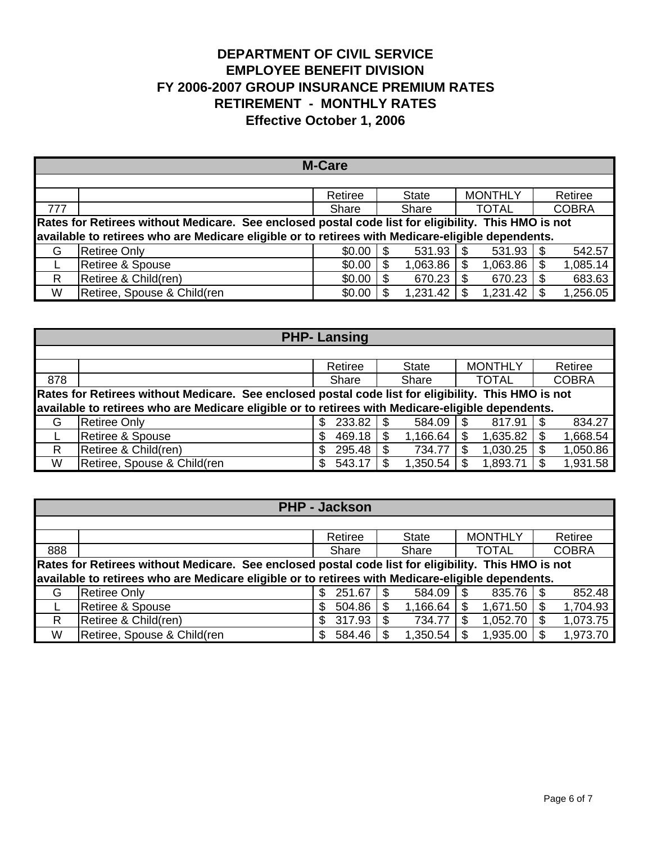| <b>M-Care</b>                                                                                       |                                                                                                   |         |              |                 |                 |  |  |  |  |  |  |  |  |
|-----------------------------------------------------------------------------------------------------|---------------------------------------------------------------------------------------------------|---------|--------------|-----------------|-----------------|--|--|--|--|--|--|--|--|
|                                                                                                     |                                                                                                   |         |              |                 |                 |  |  |  |  |  |  |  |  |
|                                                                                                     |                                                                                                   | Retiree | <b>State</b> | <b>MONTHLY</b>  | Retiree         |  |  |  |  |  |  |  |  |
| 777                                                                                                 | <b>COBRA</b><br><b>TOTAL</b><br>Share<br>Share                                                    |         |              |                 |                 |  |  |  |  |  |  |  |  |
| Rates for Retirees without Medicare. See enclosed postal code list for eligibility. This HMO is not |                                                                                                   |         |              |                 |                 |  |  |  |  |  |  |  |  |
|                                                                                                     | available to retirees who are Medicare eligible or to retirees with Medicare-eligible dependents. |         |              |                 |                 |  |  |  |  |  |  |  |  |
| G                                                                                                   | <b>Retiree Only</b>                                                                               | \$0.00  | 531.93<br>-S | 531.93<br>\$    | 542.57<br>-S    |  |  |  |  |  |  |  |  |
|                                                                                                     | <b>Retiree &amp; Spouse</b>                                                                       | \$0.00  | 1,063.86     | 1,063.86<br>\$. | 1,085.14<br>\$. |  |  |  |  |  |  |  |  |
| R                                                                                                   | Retiree & Child(ren)                                                                              | \$0.00  | 670.23<br>S  | 670.23<br>\$    | 683.63<br>S     |  |  |  |  |  |  |  |  |
| W                                                                                                   | Retiree, Spouse & Child(ren                                                                       | \$0.00  | 1,231.42     | 1,231.42        | 1,256.05        |  |  |  |  |  |  |  |  |

| <b>PHP-Lansing</b>                                                                                  |                                                                                                   |              |              |                |          |  |  |  |  |  |  |  |  |  |
|-----------------------------------------------------------------------------------------------------|---------------------------------------------------------------------------------------------------|--------------|--------------|----------------|----------|--|--|--|--|--|--|--|--|--|
|                                                                                                     |                                                                                                   |              |              |                |          |  |  |  |  |  |  |  |  |  |
|                                                                                                     |                                                                                                   | Retiree      | <b>State</b> | <b>MONTHLY</b> | Retiree  |  |  |  |  |  |  |  |  |  |
| 878                                                                                                 | <b>TOTAL</b><br><b>COBRA</b><br>Share<br>Share                                                    |              |              |                |          |  |  |  |  |  |  |  |  |  |
| Rates for Retirees without Medicare. See enclosed postal code list for eligibility. This HMO is not |                                                                                                   |              |              |                |          |  |  |  |  |  |  |  |  |  |
|                                                                                                     | available to retirees who are Medicare eligible or to retirees with Medicare-eligible dependents. |              |              |                |          |  |  |  |  |  |  |  |  |  |
| G                                                                                                   | <b>Retiree Only</b>                                                                               | 233.82<br>\$ | 584.09<br>-S | 817.91<br>\$.  | 834.27   |  |  |  |  |  |  |  |  |  |
|                                                                                                     | Retiree & Spouse                                                                                  | 469.18<br>S  | 1,166.64     | S<br>1,635.82  | 1,668.54 |  |  |  |  |  |  |  |  |  |
| R.                                                                                                  | Retiree & Child(ren)                                                                              | 295.48       | 734.77       | 1,030.25       | 1,050.86 |  |  |  |  |  |  |  |  |  |
| W                                                                                                   | Retiree, Spouse & Child(ren                                                                       | 543.17       | 1,350.54     | 1,893.71       | 1,931.58 |  |  |  |  |  |  |  |  |  |

| <b>PHP - Jackson</b>                                                                                |                                                                                                   |             |              |                        |          |  |  |  |  |  |  |  |  |  |
|-----------------------------------------------------------------------------------------------------|---------------------------------------------------------------------------------------------------|-------------|--------------|------------------------|----------|--|--|--|--|--|--|--|--|--|
|                                                                                                     |                                                                                                   |             |              |                        |          |  |  |  |  |  |  |  |  |  |
|                                                                                                     |                                                                                                   | Retiree     | <b>State</b> | <b>MONTHLY</b>         | Retiree  |  |  |  |  |  |  |  |  |  |
| 888                                                                                                 | <b>TOTAL</b><br><b>COBRA</b><br>Share<br>Share                                                    |             |              |                        |          |  |  |  |  |  |  |  |  |  |
| Rates for Retirees without Medicare. See enclosed postal code list for eligibility. This HMO is not |                                                                                                   |             |              |                        |          |  |  |  |  |  |  |  |  |  |
|                                                                                                     | available to retirees who are Medicare eligible or to retirees with Medicare-eligible dependents. |             |              |                        |          |  |  |  |  |  |  |  |  |  |
| G                                                                                                   | Retiree Only                                                                                      | 251.67<br>S | 584.09       | $835.76$ $\frac{1}{3}$ | 852.48   |  |  |  |  |  |  |  |  |  |
|                                                                                                     | Retiree & Spouse                                                                                  | 504.86<br>S | 1,166.64     | 1,671.50               | 1,704.93 |  |  |  |  |  |  |  |  |  |
| R                                                                                                   | Retiree & Child(ren)                                                                              | 317.93<br>S | 734.77       | 1,052.70               | 1,073.75 |  |  |  |  |  |  |  |  |  |
| W                                                                                                   | Retiree, Spouse & Child(ren                                                                       | 584.46<br>S | 1,350.54     | 1,935.00               | 1,973.70 |  |  |  |  |  |  |  |  |  |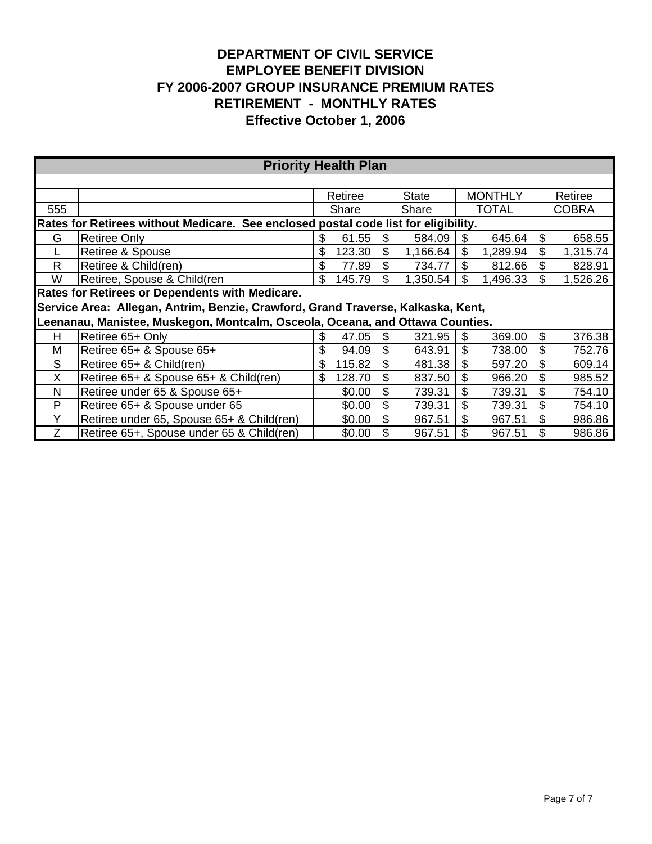|                                                                                     | <b>Priority Health Plan</b>                                                      |     |         |    |          |    |                |    |              |  |  |  |  |  |
|-------------------------------------------------------------------------------------|----------------------------------------------------------------------------------|-----|---------|----|----------|----|----------------|----|--------------|--|--|--|--|--|
|                                                                                     |                                                                                  |     |         |    |          |    |                |    |              |  |  |  |  |  |
|                                                                                     |                                                                                  |     | Retiree |    | State    |    | <b>MONTHLY</b> |    | Retiree      |  |  |  |  |  |
| 555                                                                                 |                                                                                  |     | Share   |    | Share    |    | <b>TOTAL</b>   |    | <b>COBRA</b> |  |  |  |  |  |
| Rates for Retirees without Medicare. See enclosed postal code list for eligibility. |                                                                                  |     |         |    |          |    |                |    |              |  |  |  |  |  |
| G                                                                                   | <b>Retiree Only</b>                                                              | \$  | 61.55   | \$ | 584.09   | \$ | 645.64         | \$ | 658.55       |  |  |  |  |  |
|                                                                                     | Retiree & Spouse                                                                 | \$  | 123.30  | \$ | 1,166.64 | \$ | 1,289.94       | \$ | 1,315.74     |  |  |  |  |  |
| R                                                                                   | Retiree & Child(ren)                                                             | \$  | 77.89   |    | 734.77   | \$ | 812.66         |    | 828.91       |  |  |  |  |  |
| W                                                                                   | Retiree, Spouse & Child(ren                                                      | \$  | 145.79  | S  | 1,350.54 | \$ | 1,496.33       | S  | 1,526.26     |  |  |  |  |  |
|                                                                                     | <b>Rates for Retirees or Dependents with Medicare.</b>                           |     |         |    |          |    |                |    |              |  |  |  |  |  |
|                                                                                     | Service Area: Allegan, Antrim, Benzie, Crawford, Grand Traverse, Kalkaska, Kent, |     |         |    |          |    |                |    |              |  |  |  |  |  |
|                                                                                     | Leenanau, Manistee, Muskegon, Montcalm, Osceola, Oceana, and Ottawa Counties.    |     |         |    |          |    |                |    |              |  |  |  |  |  |
| Н                                                                                   | Retiree 65+ Only                                                                 | S   | 47.05   | \$ | 321.95   | \$ | 369.00         | \$ | 376.38       |  |  |  |  |  |
| M                                                                                   | Retiree 65+ & Spouse 65+                                                         | \$  | 94.09   |    | 643.91   | \$ | 738.00         |    | 752.76       |  |  |  |  |  |
| S                                                                                   | Retiree 65+ & Child(ren)                                                         | S   | 115.82  | \$ | 481.38   | \$ | 597.20         | \$ | 609.14       |  |  |  |  |  |
| X                                                                                   | Retiree 65+ & Spouse 65+ & Child(ren)                                            | \$. | 128.70  | \$ | 837.50   | \$ | 966.20         | \$ | 985.52       |  |  |  |  |  |
| N                                                                                   | Retiree under 65 & Spouse 65+                                                    |     | \$0.00  | \$ | 739.31   | \$ | 739.31         | \$ | 754.10       |  |  |  |  |  |
| P                                                                                   | Retiree 65+ & Spouse under 65                                                    |     | \$0.00  | \$ | 739.31   | \$ | 739.31         | \$ | 754.10       |  |  |  |  |  |
| Y                                                                                   | Retiree under 65, Spouse 65+ & Child(ren)                                        |     | \$0.00  | \$ | 967.51   | \$ | 967.51         |    | 986.86       |  |  |  |  |  |
| Z                                                                                   | Retiree 65+, Spouse under 65 & Child(ren)                                        |     | \$0.00  | \$ | 967.51   | \$ | 967.51         | \$ | 986.86       |  |  |  |  |  |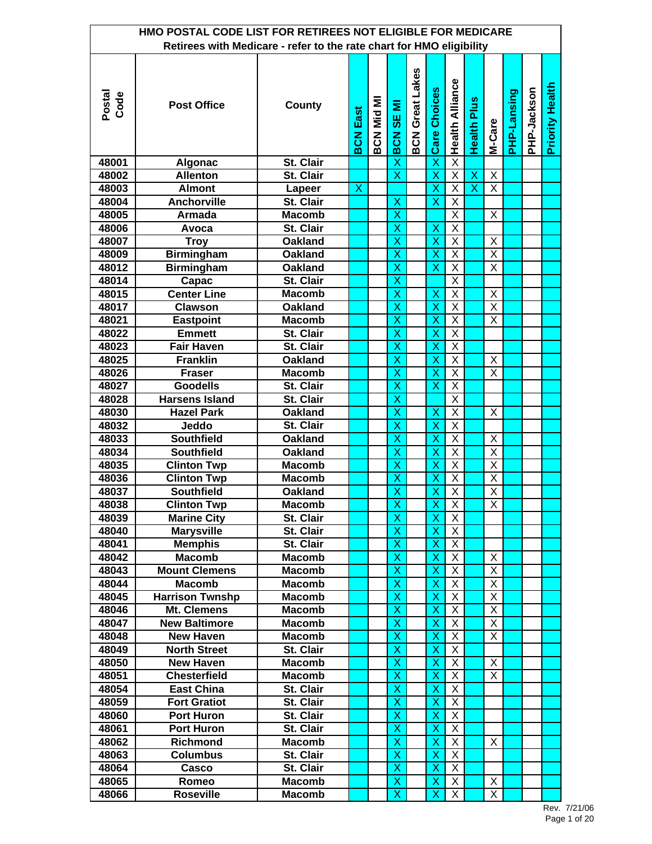| HMO POSTAL CODE LIST FOR RETIREES NOT ELIGIBLE FOR MEDICARE<br>Retirees with Medicare - refer to the rate chart for HMO eligibility |                        |                |                         |                   |                         |                        |                         |                         |                         |                         |             |             |                        |  |
|-------------------------------------------------------------------------------------------------------------------------------------|------------------------|----------------|-------------------------|-------------------|-------------------------|------------------------|-------------------------|-------------------------|-------------------------|-------------------------|-------------|-------------|------------------------|--|
|                                                                                                                                     |                        |                |                         |                   |                         |                        |                         |                         |                         |                         |             |             |                        |  |
| Postal<br>Code                                                                                                                      | <b>Post Office</b>     | County         | <b>BCN East</b>         | <b>IM DiM NJS</b> | SE MI<br><b>BCN</b>     | <b>BCN Great Lakes</b> | <b>Care Choices</b>     | <b>Health Alliance</b>  | <b>Health Plus</b>      | M-Care                  | PHP-Lansing | PHP-Jackson | <b>Priority Health</b> |  |
| 48001                                                                                                                               | <b>Algonac</b>         | St. Clair      |                         |                   | $\overline{\mathsf{x}}$ |                        | $\overline{\mathsf{x}}$ | $\overline{\mathsf{X}}$ |                         |                         |             |             |                        |  |
| 48002                                                                                                                               | <b>Allenton</b>        | St. Clair      |                         |                   | $\overline{\mathsf{x}}$ |                        | $\overline{\mathsf{x}}$ | $\overline{\mathsf{X}}$ | $\overline{\mathsf{x}}$ | $\overline{X}$          |             |             |                        |  |
| 48003                                                                                                                               | <b>Almont</b>          | Lapeer         | $\overline{\mathsf{x}}$ |                   |                         |                        | $\overline{\mathsf{x}}$ | $\overline{\mathsf{x}}$ | $\overline{\mathsf{x}}$ | $\overline{X}$          |             |             |                        |  |
| 48004                                                                                                                               | <b>Anchorville</b>     | St. Clair      |                         |                   | X                       |                        | $\overline{\mathsf{x}}$ | $\overline{\mathsf{x}}$ |                         |                         |             |             |                        |  |
| 48005                                                                                                                               | <b>Armada</b>          | <b>Macomb</b>  |                         |                   | X                       |                        |                         | $\overline{\mathsf{X}}$ |                         | X                       |             |             |                        |  |
| 48006                                                                                                                               | Avoca                  | St. Clair      |                         |                   | X                       |                        | X                       | $\overline{X}$          |                         |                         |             |             |                        |  |
| 48007                                                                                                                               | <b>Troy</b>            | <b>Oakland</b> |                         |                   | $\overline{\mathsf{x}}$ |                        | $\overline{\mathsf{x}}$ | $\overline{\mathsf{X}}$ |                         | X                       |             |             |                        |  |
| 48009                                                                                                                               | <b>Birmingham</b>      | <b>Oakland</b> |                         |                   | X                       |                        | X                       | $\overline{\mathsf{x}}$ |                         | $\overline{\mathsf{x}}$ |             |             |                        |  |
| 48012                                                                                                                               | <b>Birmingham</b>      | <b>Oakland</b> |                         |                   | X                       |                        | X                       | X                       |                         | X                       |             |             |                        |  |
| 48014                                                                                                                               | Capac                  | St. Clair      |                         |                   | X                       |                        |                         | $\overline{\mathsf{x}}$ |                         |                         |             |             |                        |  |
| 48015                                                                                                                               | <b>Center Line</b>     | <b>Macomb</b>  |                         |                   | $\overline{\mathsf{x}}$ |                        | X                       | X                       |                         | X                       |             |             |                        |  |
| 48017                                                                                                                               | <b>Clawson</b>         | <b>Oakland</b> |                         |                   | X                       |                        | X                       | $\overline{\mathsf{X}}$ |                         | $\overline{X}$          |             |             |                        |  |
| 48021                                                                                                                               | <b>Eastpoint</b>       | <b>Macomb</b>  |                         |                   | X                       |                        | X                       | X                       |                         | X                       |             |             |                        |  |
| 48022                                                                                                                               | <b>Emmett</b>          | St. Clair      |                         |                   | X                       |                        | X                       | $\overline{\mathsf{X}}$ |                         |                         |             |             |                        |  |
| 48023                                                                                                                               | <b>Fair Haven</b>      | St. Clair      |                         |                   | $\overline{\mathsf{x}}$ |                        | $\overline{\mathsf{x}}$ | $\overline{X}$          |                         |                         |             |             |                        |  |
| 48025                                                                                                                               | <b>Franklin</b>        | <b>Oakland</b> |                         |                   | $\overline{\mathsf{x}}$ |                        | $\overline{\mathsf{x}}$ | $\overline{X}$          |                         | X                       |             |             |                        |  |
| 48026                                                                                                                               | <b>Fraser</b>          | <b>Macomb</b>  |                         |                   | X                       |                        | X                       | $\overline{\mathsf{x}}$ |                         | X                       |             |             |                        |  |
| 48027                                                                                                                               | <b>Goodells</b>        | St. Clair      |                         |                   | X                       |                        | X                       | $\overline{\mathsf{x}}$ |                         |                         |             |             |                        |  |
| 48028                                                                                                                               | <b>Harsens Island</b>  | St. Clair      |                         |                   | $\overline{\mathsf{x}}$ |                        |                         | $\overline{X}$          |                         |                         |             |             |                        |  |
| 48030                                                                                                                               | <b>Hazel Park</b>      | <b>Oakland</b> |                         |                   | $\overline{\mathsf{x}}$ |                        | X                       | $\overline{\mathsf{x}}$ |                         | $\overline{\mathsf{x}}$ |             |             |                        |  |
| 48032                                                                                                                               | Jeddo                  | St. Clair      |                         |                   | X                       |                        | X                       | $\overline{X}$          |                         |                         |             |             |                        |  |
| 48033                                                                                                                               | <b>Southfield</b>      | <b>Oakland</b> |                         |                   | X                       |                        | X                       | $\overline{\mathsf{X}}$ |                         | X                       |             |             |                        |  |
| 48034                                                                                                                               | <b>Southfield</b>      | <b>Oakland</b> |                         |                   | $\overline{\mathsf{x}}$ |                        | $\overline{\mathsf{x}}$ | $\overline{\mathsf{X}}$ |                         | $\overline{\mathsf{X}}$ |             |             |                        |  |
| 48035                                                                                                                               | <b>Clinton Twp</b>     | <b>Macomb</b>  |                         |                   | $\overline{\mathsf{x}}$ |                        | $\overline{\mathsf{x}}$ | $\overline{\mathsf{x}}$ |                         | $\overline{\mathsf{x}}$ |             |             |                        |  |
| 48036                                                                                                                               | <b>Clinton Twp</b>     | <b>Macomb</b>  |                         |                   | $\overline{\mathsf{x}}$ |                        | $\overline{\mathsf{x}}$ | $\overline{X}$          |                         | $\overline{\mathsf{x}}$ |             |             |                        |  |
| 48037                                                                                                                               | <b>Southfield</b>      | <b>Oakland</b> |                         |                   | X                       |                        | X                       | $\overline{\mathsf{X}}$ |                         | $\overline{\mathsf{X}}$ |             |             |                        |  |
| 48038                                                                                                                               | Clinton Twp            | <b>Macomb</b>  |                         |                   | X                       |                        | X                       | $\overline{X}$          |                         | $\overline{X}$          |             |             |                        |  |
| 48039                                                                                                                               | <b>Marine City</b>     | St. Clair      |                         |                   | $\overline{\mathsf{x}}$ |                        | $\overline{\mathsf{x}}$ | X                       |                         |                         |             |             |                        |  |
| 48040                                                                                                                               | <b>Marysville</b>      | St. Clair      |                         |                   | X                       |                        | X                       | X                       |                         |                         |             |             |                        |  |
| 48041                                                                                                                               | <b>Memphis</b>         | St. Clair      |                         |                   | X                       |                        | X                       | X                       |                         |                         |             |             |                        |  |
| 48042                                                                                                                               | <b>Macomb</b>          | <b>Macomb</b>  |                         |                   | X                       |                        | X                       | X                       |                         | X                       |             |             |                        |  |
| 48043                                                                                                                               | <b>Mount Clemens</b>   | <b>Macomb</b>  |                         |                   | $\overline{\mathsf{x}}$ |                        | X                       | Χ                       |                         | $\overline{X}$          |             |             |                        |  |
| 48044                                                                                                                               | <b>Macomb</b>          | <b>Macomb</b>  |                         |                   | X                       |                        | X                       | $\overline{X}$          |                         | $\overline{X}$          |             |             |                        |  |
| 48045                                                                                                                               | <b>Harrison Twnshp</b> | <b>Macomb</b>  |                         |                   | X                       |                        | X                       | X                       |                         | X                       |             |             |                        |  |
| 48046                                                                                                                               | Mt. Clemens            | <b>Macomb</b>  |                         |                   | X                       |                        | X                       | $\overline{X}$          |                         | X                       |             |             |                        |  |
| 48047                                                                                                                               | <b>New Baltimore</b>   | <b>Macomb</b>  |                         |                   | $\overline{\mathsf{x}}$ |                        | $\overline{\mathsf{x}}$ | $\overline{X}$          |                         | X                       |             |             |                        |  |
| 48048                                                                                                                               | <b>New Haven</b>       | <b>Macomb</b>  |                         |                   | X                       |                        | $\overline{\mathsf{x}}$ | $\overline{X}$          |                         | X                       |             |             |                        |  |
| 48049                                                                                                                               | <b>North Street</b>    | St. Clair      |                         |                   | X                       |                        | X                       | $\overline{X}$          |                         |                         |             |             |                        |  |
| 48050                                                                                                                               | <b>New Haven</b>       | <b>Macomb</b>  |                         |                   | X                       |                        | X                       | $\overline{X}$          |                         | X                       |             |             |                        |  |
| 48051                                                                                                                               | <b>Chesterfield</b>    | <b>Macomb</b>  |                         |                   | $\overline{\mathsf{x}}$ |                        | X                       | $\overline{\mathsf{X}}$ |                         | X.                      |             |             |                        |  |
| 48054                                                                                                                               | <b>East China</b>      | St. Clair      |                         |                   | X                       |                        | X                       | $\overline{\mathsf{X}}$ |                         |                         |             |             |                        |  |
| 48059                                                                                                                               | <b>Fort Gratiot</b>    | St. Clair      |                         |                   | X                       |                        | X                       | X                       |                         |                         |             |             |                        |  |
| 48060                                                                                                                               | <b>Port Huron</b>      | St. Clair      |                         |                   | X                       |                        | X                       | $\overline{X}$          |                         |                         |             |             |                        |  |
| 48061                                                                                                                               | <b>Port Huron</b>      | St. Clair      |                         |                   | $\overline{\mathsf{x}}$ |                        | X                       | X                       |                         |                         |             |             |                        |  |
| 48062                                                                                                                               | Richmond               | <b>Macomb</b>  |                         |                   | X                       |                        | X                       | X                       |                         | X                       |             |             |                        |  |
| 48063                                                                                                                               | <b>Columbus</b>        | St. Clair      |                         |                   | X                       |                        | X                       | X                       |                         |                         |             |             |                        |  |
| 48064                                                                                                                               | Casco                  | St. Clair      |                         |                   | X                       |                        | X                       | X                       |                         |                         |             |             |                        |  |
| 48065                                                                                                                               | Romeo                  | <b>Macomb</b>  |                         |                   | X                       |                        | X                       | X                       |                         | X                       |             |             |                        |  |
| 48066                                                                                                                               | <b>Roseville</b>       | <b>Macomb</b>  |                         |                   | $\overline{\mathsf{x}}$ |                        | $\overline{\mathsf{x}}$ | $\overline{\mathsf{x}}$ |                         | $\overline{X}$          |             |             |                        |  |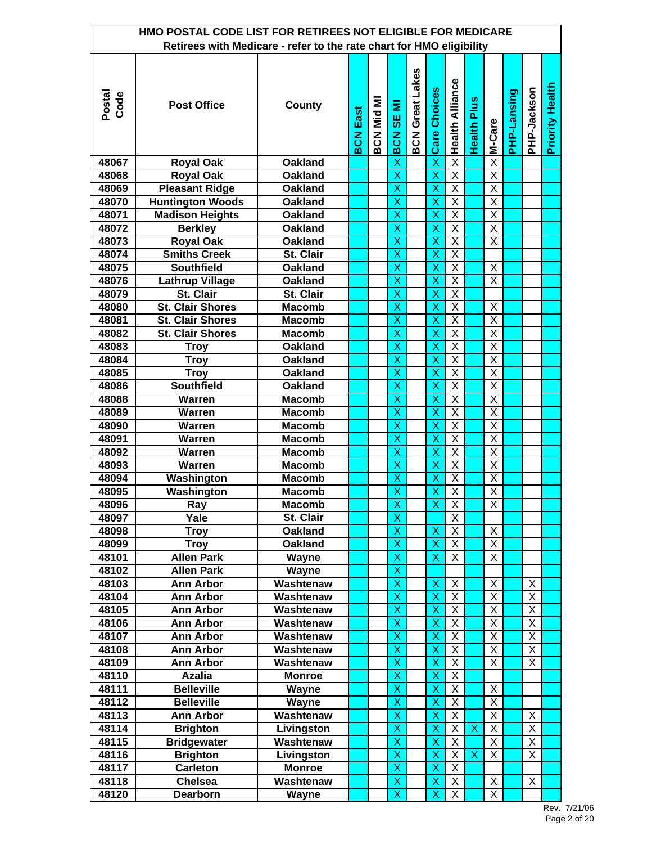| HMO POSTAL CODE LIST FOR RETIREES NOT ELIGIBLE FOR MEDICARE<br>Retirees with Medicare - refer to the rate chart for HMO eligibility |                                      |                        |                 |            |                              |                        |                              |                                  |                           |                                                    |             |                                  |                        |  |
|-------------------------------------------------------------------------------------------------------------------------------------|--------------------------------------|------------------------|-----------------|------------|------------------------------|------------------------|------------------------------|----------------------------------|---------------------------|----------------------------------------------------|-------------|----------------------------------|------------------------|--|
|                                                                                                                                     |                                      |                        |                 |            |                              |                        |                              |                                  |                           |                                                    |             |                                  |                        |  |
| Postal<br>Code                                                                                                                      | <b>Post Office</b>                   | County                 | <b>BCN East</b> | BCN Mid MI | SE MI<br>BCN                 | <b>BCN Great Lakes</b> | <b>Care Choices</b>          | <b>Health Alliance</b>           | <b>Health Plus</b>        | M-Care                                             | PHP-Lansing | PHP-Jackson                      | <b>Priority Health</b> |  |
| 48067                                                                                                                               | <b>Royal Oak</b>                     | <b>Oakland</b>         |                 |            | X                            |                        | $\overline{\mathsf{x}}$      | $\overline{\mathsf{X}}$          |                           | $\overline{\mathsf{x}}$                            |             |                                  |                        |  |
| 48068                                                                                                                               | <b>Royal Oak</b>                     | <b>Oakland</b>         |                 |            | $\overline{\mathsf{x}}$      |                        | $\overline{\mathsf{x}}$      | $\overline{X}$                   |                           | $\overline{\mathsf{X}}$                            |             |                                  |                        |  |
| 48069                                                                                                                               | <b>Pleasant Ridge</b>                | <b>Oakland</b>         |                 |            | $\overline{\mathsf{x}}$      |                        | $\overline{\mathsf{x}}$      | $\overline{X}$                   |                           | $\overline{\mathsf{x}}$                            |             |                                  |                        |  |
| 48070                                                                                                                               | <b>Huntington Woods</b>              | <b>Oakland</b>         |                 |            | $\overline{\mathsf{x}}$      |                        | $\overline{\mathsf{x}}$      | $\overline{\mathsf{X}}$          |                           | $\overline{\mathsf{x}}$                            |             |                                  |                        |  |
| 48071                                                                                                                               | <b>Madison Heights</b>               | <b>Oakland</b>         |                 |            | X                            |                        | X                            | $\overline{\mathsf{X}}$          |                           | $\overline{\mathsf{X}}$                            |             |                                  |                        |  |
| 48072                                                                                                                               | <b>Berkley</b>                       | <b>Oakland</b>         |                 |            | X                            |                        | X                            | $\overline{\mathsf{X}}$          |                           | $\overline{\mathsf{X}}$                            |             |                                  |                        |  |
| 48073                                                                                                                               | <b>Royal Oak</b>                     | <b>Oakland</b>         |                 |            | $\overline{\mathsf{x}}$      |                        | $\overline{\mathsf{x}}$      | $\overline{\mathsf{x}}$          |                           | $\overline{\mathsf{x}}$                            |             |                                  |                        |  |
| 48074                                                                                                                               | <b>Smiths Creek</b>                  | St. Clair              |                 |            | X                            |                        | X                            | $\overline{\mathsf{x}}$          |                           |                                                    |             |                                  |                        |  |
| 48075                                                                                                                               | <b>Southfield</b>                    | <b>Oakland</b>         |                 |            | X                            |                        | X                            | $\overline{\mathsf{X}}$          |                           | X                                                  |             |                                  |                        |  |
| 48076                                                                                                                               | <b>Lathrup Village</b>               | <b>Oakland</b>         |                 |            | X                            |                        | X                            | $\overline{X}$                   |                           | $\overline{X}$                                     |             |                                  |                        |  |
| 48079                                                                                                                               | St. Clair                            | St. Clair              |                 |            | $\overline{\mathsf{x}}$      |                        | $\overline{\mathsf{x}}$      | $\overline{X}$                   |                           |                                                    |             |                                  |                        |  |
| 48080                                                                                                                               | <b>St. Clair Shores</b>              | <b>Macomb</b>          |                 |            | X                            |                        | X                            | $\overline{\mathsf{X}}$          |                           | X                                                  |             |                                  |                        |  |
| 48081                                                                                                                               | <b>St. Clair Shores</b>              | <b>Macomb</b>          |                 |            | X                            |                        | X                            | Χ                                |                           | X                                                  |             |                                  |                        |  |
| 48082                                                                                                                               | <b>St. Clair Shores</b>              | <b>Macomb</b>          |                 |            | X                            |                        | X                            | X                                |                           | X                                                  |             |                                  |                        |  |
| 48083                                                                                                                               | <b>Troy</b>                          | <b>Oakland</b>         |                 |            | $\overline{\mathsf{x}}$      |                        | $\overline{\mathsf{x}}$      | $\overline{X}$                   |                           | $\overline{\mathsf{x}}$                            |             |                                  |                        |  |
| 48084                                                                                                                               | <b>Troy</b>                          | <b>Oakland</b>         |                 |            | $\overline{\mathsf{x}}$      |                        | X                            | $\overline{\mathsf{x}}$          |                           | $\overline{\mathsf{X}}$                            |             |                                  |                        |  |
| 48085                                                                                                                               | <b>Troy</b>                          | <b>Oakland</b>         |                 |            | X                            |                        | X                            | $\overline{X}$                   |                           | $\overline{\mathsf{x}}$                            |             |                                  |                        |  |
| 48086                                                                                                                               | <b>Southfield</b>                    | <b>Oakland</b>         |                 |            | X                            |                        | X                            | $\overline{\mathsf{x}}$          |                           | $\overline{\mathsf{x}}$                            |             |                                  |                        |  |
| 48088                                                                                                                               | <b>Warren</b>                        | <b>Macomb</b>          |                 |            | $\overline{\mathsf{x}}$      |                        | $\overline{\mathsf{x}}$      | $\overline{X}$                   |                           | $\overline{\mathsf{x}}$                            |             |                                  |                        |  |
| 48089                                                                                                                               | <b>Warren</b>                        | <b>Macomb</b>          |                 |            | $\overline{\mathsf{x}}$      |                        | $\overline{\mathsf{x}}$      | $\overline{\mathsf{X}}$          |                           | $\overline{\mathsf{x}}$                            |             |                                  |                        |  |
| 48090                                                                                                                               | <b>Warren</b>                        | <b>Macomb</b>          |                 |            | X                            |                        | X                            | $\overline{\mathsf{X}}$          |                           | $\overline{\mathsf{X}}$                            |             |                                  |                        |  |
| 48091                                                                                                                               | <b>Warren</b>                        | <b>Macomb</b>          |                 |            | X                            |                        | X                            | $\overline{\mathsf{X}}$          |                           | $\overline{\mathsf{X}}$                            |             |                                  |                        |  |
| 48092                                                                                                                               | Warren                               | <b>Macomb</b>          |                 |            | $\overline{\mathsf{x}}$      |                        | $\overline{\mathsf{x}}$      | $\overline{\mathsf{x}}$          |                           | $\overline{\mathsf{x}}$                            |             |                                  |                        |  |
| 48093                                                                                                                               | <b>Warren</b>                        | <b>Macomb</b>          |                 |            | $\overline{\mathsf{x}}$      |                        | $\overline{\mathsf{x}}$      | $\overline{\mathsf{x}}$          |                           | $\overline{\mathsf{x}}$                            |             |                                  |                        |  |
| 48094                                                                                                                               | Washington                           | <b>Macomb</b>          |                 |            | $\overline{\mathsf{x}}$      |                        | X                            | $\overline{X}$                   |                           | $\overline{X}$                                     |             |                                  |                        |  |
| 48095                                                                                                                               | Washington                           | <b>Macomb</b>          |                 |            | X                            |                        | X                            | $\overline{\mathsf{X}}$          |                           | $\overline{X}$                                     |             |                                  |                        |  |
| 48096                                                                                                                               | Ray                                  | Macomb                 |                 |            | $\overline{\mathsf{x}}$      |                        | X,                           | $\overline{X}$                   |                           | $\overline{X}$                                     |             |                                  |                        |  |
| 48097                                                                                                                               | Yale                                 | St. Clair              |                 |            | $\overline{\mathsf{x}}$      |                        |                              | X                                |                           |                                                    |             |                                  |                        |  |
| 48098                                                                                                                               | <b>Troy</b>                          | Oakland                |                 |            | X                            |                        | $\boldsymbol{\mathsf{X}}$    | X                                |                           | X                                                  |             |                                  |                        |  |
| 48099                                                                                                                               | <b>Troy</b>                          | <b>Oakland</b>         |                 |            | X                            |                        | X                            | X                                |                           | X                                                  |             |                                  |                        |  |
| 48101                                                                                                                               | <b>Allen Park</b>                    | Wayne                  |                 |            | X                            |                        | X                            | X                                |                           | X.                                                 |             |                                  |                        |  |
| 48102                                                                                                                               | <b>Allen Park</b>                    | Wayne                  |                 |            | $\overline{\mathsf{x}}$      |                        |                              |                                  |                           |                                                    |             |                                  |                        |  |
| 48103                                                                                                                               | <b>Ann Arbor</b>                     | Washtenaw              |                 |            | $\overline{\mathsf{x}}$      |                        | X                            | X                                |                           | Χ                                                  |             | X                                |                        |  |
| 48104                                                                                                                               | <b>Ann Arbor</b>                     | Washtenaw              |                 |            | X                            |                        | X                            | $\overline{X}$                   |                           | $\overline{\mathsf{X}}$<br>$\overline{\mathsf{X}}$ |             | X                                |                        |  |
| 48105                                                                                                                               | <b>Ann Arbor</b>                     | Washtenaw              |                 |            | X<br>$\overline{\mathsf{x}}$ |                        | X<br>$\overline{\mathsf{x}}$ | $\overline{X}$<br>$\overline{X}$ |                           | $\overline{\mathsf{X}}$                            |             | $\overline{X}$<br>$\overline{X}$ |                        |  |
| 48106<br>48107                                                                                                                      | <b>Ann Arbor</b><br><b>Ann Arbor</b> | Washtenaw<br>Washtenaw |                 |            | $\overline{\mathsf{x}}$      |                        | $\overline{\mathsf{x}}$      | $\overline{X}$                   |                           | $\overline{X}$                                     |             | $\overline{X}$                   |                        |  |
| 48108                                                                                                                               | <b>Ann Arbor</b>                     | Washtenaw              |                 |            | X                            |                        | X                            | $\overline{X}$                   |                           | X                                                  |             | X                                |                        |  |
| 48109                                                                                                                               | <b>Ann Arbor</b>                     | Washtenaw              |                 |            | X                            |                        | X                            | $\overline{X}$                   |                           | X                                                  |             | X                                |                        |  |
| 48110                                                                                                                               | <b>Azalia</b>                        | <b>Monroe</b>          |                 |            | $\overline{\mathsf{x}}$      |                        | $\overline{\mathsf{x}}$      | $\overline{\mathsf{X}}$          |                           |                                                    |             |                                  |                        |  |
| 48111                                                                                                                               | <b>Belleville</b>                    | Wayne                  |                 |            | $\overline{\mathsf{x}}$      |                        | X                            | $\overline{\mathsf{X}}$          |                           | Χ                                                  |             |                                  |                        |  |
| 48112                                                                                                                               | <b>Belleville</b>                    | Wayne                  |                 |            | X                            |                        | X                            | $\overline{X}$                   |                           | X.                                                 |             |                                  |                        |  |
| 48113                                                                                                                               | <b>Ann Arbor</b>                     | Washtenaw              |                 |            | X                            |                        | $\mathsf{X}$                 | X                                |                           | $\overline{X}$                                     |             | X                                |                        |  |
| 48114                                                                                                                               | <b>Brighton</b>                      | Livingston             |                 |            | $\overline{\mathsf{x}}$      |                        | X                            | X                                | $\boldsymbol{\mathsf{X}}$ | Χ                                                  |             | X                                |                        |  |
| 48115                                                                                                                               | <b>Bridgewater</b>                   | Washtenaw              |                 |            | X                            |                        | X                            | X                                |                           | Χ                                                  |             | X                                |                        |  |
| 48116                                                                                                                               | <b>Brighton</b>                      | Livingston             |                 |            | X                            |                        | X                            | X                                | X                         | Χ                                                  |             | X                                |                        |  |
| 48117                                                                                                                               | <b>Carleton</b>                      | <b>Monroe</b>          |                 |            | X                            |                        | X                            | X                                |                           |                                                    |             |                                  |                        |  |
| 48118                                                                                                                               | <b>Chelsea</b>                       | Washtenaw              |                 |            | $\overline{\mathsf{x}}$      |                        | X                            | X                                |                           | X                                                  |             | X                                |                        |  |
| 48120                                                                                                                               | Dearborn                             | Wayne                  |                 |            | $\overline{\mathsf{x}}$      |                        | $\overline{\mathsf{x}}$      | $\overline{X}$                   |                           | $\overline{\mathsf{x}}$                            |             |                                  |                        |  |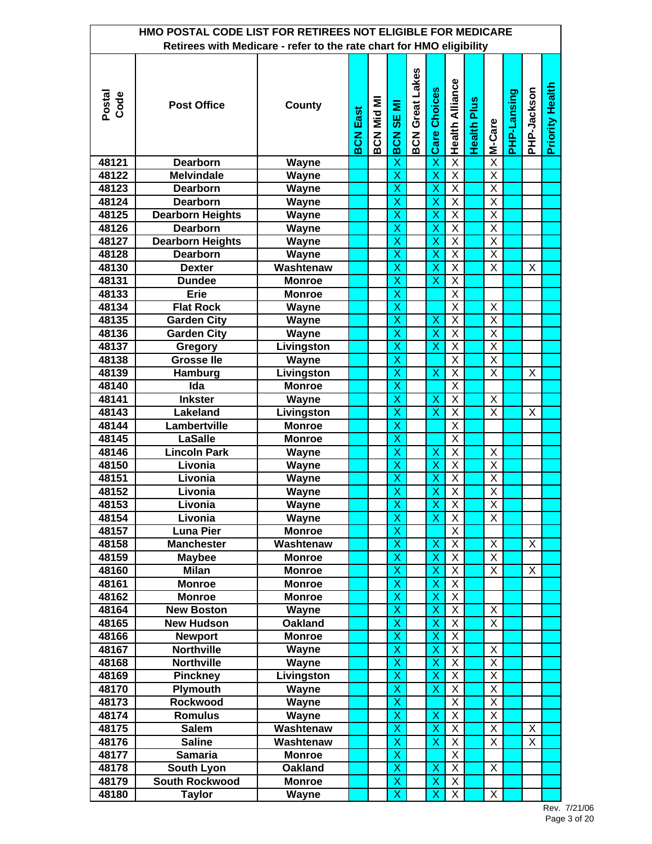| HMO POSTAL CODE LIST FOR RETIREES NOT ELIGIBLE FOR MEDICARE<br>Retirees with Medicare - refer to the rate chart for HMO eligibility |                                 |                                 |                 |            |                              |                        |                         |                         |                    |                         |             |             |                        |  |
|-------------------------------------------------------------------------------------------------------------------------------------|---------------------------------|---------------------------------|-----------------|------------|------------------------------|------------------------|-------------------------|-------------------------|--------------------|-------------------------|-------------|-------------|------------------------|--|
|                                                                                                                                     |                                 |                                 |                 |            |                              |                        |                         |                         |                    |                         |             |             |                        |  |
| Postal<br>Code                                                                                                                      | <b>Post Office</b>              | County                          | <b>BCN East</b> | BCN Mid MI | SE MI<br><b>BCN</b>          | <b>BCN Great Lakes</b> | <b>Care Choices</b>     | <b>Health Alliance</b>  | <b>Health Plus</b> | M-Care                  | PHP-Lansing | PHP-Jackson | <b>Priority Health</b> |  |
| 48121                                                                                                                               | <b>Dearborn</b>                 | <b>Wayne</b>                    |                 |            | X                            |                        | $\overline{\mathsf{x}}$ | $\overline{\mathsf{x}}$ |                    | $\overline{\mathsf{x}}$ |             |             |                        |  |
| 48122                                                                                                                               | <b>Melvindale</b>               | <b>Wayne</b>                    |                 |            | $\overline{\mathsf{x}}$      |                        | $\overline{\mathsf{x}}$ | $\overline{\mathsf{X}}$ |                    | $\overline{X}$          |             |             |                        |  |
| 48123                                                                                                                               | <b>Dearborn</b>                 | <b>Wayne</b>                    |                 |            | $\overline{\mathsf{x}}$      |                        | $\overline{\mathsf{x}}$ | $\overline{\mathsf{x}}$ |                    | $\overline{\mathsf{x}}$ |             |             |                        |  |
| 48124                                                                                                                               | <b>Dearborn</b>                 | Wayne                           |                 |            | $\overline{\mathsf{x}}$      |                        | $\overline{\mathsf{x}}$ | $\overline{\mathsf{x}}$ |                    | $\overline{\mathsf{x}}$ |             |             |                        |  |
| 48125                                                                                                                               | <b>Dearborn Heights</b>         | Wayne                           |                 |            | X                            |                        | X                       | $\overline{X}$          |                    | $\overline{X}$          |             |             |                        |  |
| 48126                                                                                                                               | <b>Dearborn</b>                 | Wayne                           |                 |            | X                            |                        | X                       | $\overline{\mathsf{x}}$ |                    | $\overline{X}$          |             |             |                        |  |
| 48127                                                                                                                               | <b>Dearborn Heights</b>         | Wayne                           |                 |            | $\overline{\mathsf{x}}$      |                        | $\overline{\mathsf{x}}$ | $\overline{\mathsf{X}}$ |                    | $\overline{\mathsf{x}}$ |             |             |                        |  |
| 48128                                                                                                                               | <b>Dearborn</b>                 | Wayne                           |                 |            | X                            |                        | $\overline{\mathsf{x}}$ | $\overline{\mathsf{x}}$ |                    | $\overline{\mathsf{x}}$ |             |             |                        |  |
| 48130                                                                                                                               | <b>Dexter</b>                   | Washtenaw                       |                 |            | X                            |                        | X                       | X                       |                    | X                       |             | X           |                        |  |
| 48131                                                                                                                               | <b>Dundee</b>                   | <b>Monroe</b>                   |                 |            | X                            |                        | X                       | $\overline{X}$          |                    |                         |             |             |                        |  |
| 48133                                                                                                                               | <b>Erie</b>                     | <b>Monroe</b>                   |                 |            | $\overline{\mathsf{x}}$      |                        |                         | $\overline{X}$          |                    |                         |             |             |                        |  |
| 48134                                                                                                                               | <b>Flat Rock</b>                | Wayne                           |                 |            | X                            |                        |                         | $\overline{\mathsf{x}}$ |                    | X                       |             |             |                        |  |
| 48135                                                                                                                               | <b>Garden City</b>              | Wayne                           |                 |            | X                            |                        | X                       | X                       |                    | X                       |             |             |                        |  |
| 48136                                                                                                                               | <b>Garden City</b>              | Wayne                           |                 |            | X                            |                        | X                       | X                       |                    | X                       |             |             |                        |  |
| 48137                                                                                                                               | <b>Gregory</b>                  | Livingston                      |                 |            | $\overline{\mathsf{x}}$      |                        | $\overline{\mathsf{x}}$ | $\overline{\mathsf{X}}$ |                    | $\overline{\mathsf{x}}$ |             |             |                        |  |
| 48138                                                                                                                               | <b>Grosse lle</b>               | Wayne                           |                 |            | $\overline{\mathsf{x}}$      |                        |                         | $\overline{\mathsf{X}}$ |                    | $\overline{\mathsf{x}}$ |             |             |                        |  |
| 48139                                                                                                                               | Hamburg                         | Livingston                      |                 |            | X                            |                        | X                       | $\overline{\mathsf{X}}$ |                    | X                       |             | X           |                        |  |
| 48140                                                                                                                               | Ida                             | <b>Monroe</b>                   |                 |            | X                            |                        |                         | $\overline{\mathsf{x}}$ |                    |                         |             |             |                        |  |
| 48141                                                                                                                               | <b>Inkster</b>                  | Wayne                           |                 |            | $\overline{\mathsf{x}}$      |                        | $\overline{\mathsf{x}}$ | $\overline{X}$          |                    | X                       |             |             |                        |  |
| 48143                                                                                                                               | Lakeland                        | Livingston                      |                 |            | $\overline{\mathsf{x}}$      |                        | $\overline{\mathsf{x}}$ | $\overline{\mathsf{x}}$ |                    | $\overline{\mathsf{x}}$ |             | X           |                        |  |
| 48144                                                                                                                               | Lambertville                    | <b>Monroe</b>                   |                 |            | $\overline{\mathsf{x}}$      |                        |                         | $\overline{\mathsf{X}}$ |                    |                         |             |             |                        |  |
| 48145                                                                                                                               | <b>LaSalle</b>                  | <b>Monroe</b>                   |                 |            | X                            |                        |                         | $\overline{X}$          |                    |                         |             |             |                        |  |
| 48146                                                                                                                               | <b>Lincoln Park</b>             | Wayne                           |                 |            | $\overline{\mathsf{x}}$      |                        | $\overline{\mathsf{x}}$ | $\overline{\mathsf{X}}$ |                    | X                       |             |             |                        |  |
| 48150                                                                                                                               | Livonia                         | Wayne                           |                 |            | $\overline{\mathsf{x}}$      |                        | $\overline{\mathsf{x}}$ | $\overline{\mathsf{X}}$ |                    | $\overline{\mathsf{X}}$ |             |             |                        |  |
| 48151                                                                                                                               | Livonia                         | Wayne                           |                 |            | $\overline{\mathsf{x}}$      |                        | $\overline{\mathsf{x}}$ | $\overline{X}$          |                    | $\overline{\mathsf{x}}$ |             |             |                        |  |
| 48152                                                                                                                               | Livonia                         | <b>Wayne</b>                    |                 |            | X                            |                        | X                       | $\overline{\mathsf{X}}$ |                    | $\overline{X}$          |             |             |                        |  |
| 48153                                                                                                                               | Livonia                         | Wayne                           |                 |            | $\overline{\mathsf{x}}$      |                        | X                       | $\overline{X}$          |                    | $\overline{\mathsf{x}}$ |             |             |                        |  |
| 48154                                                                                                                               | Livonia                         | Wayne                           |                 |            | $\overline{\mathsf{x}}$      |                        | $\overline{\mathsf{x}}$ | X                       |                    | X                       |             |             |                        |  |
| 48157                                                                                                                               | <b>Luna Pier</b>                | <b>Monroe</b>                   |                 |            | X                            |                        |                         | X                       |                    |                         |             |             |                        |  |
| 48158                                                                                                                               | <b>Manchester</b>               | Washtenaw                       |                 |            | X                            |                        | X                       | X                       |                    | X                       |             | X           |                        |  |
| 48159                                                                                                                               | <b>Maybee</b>                   | <b>Monroe</b>                   |                 |            | X                            |                        | X                       | X                       |                    | X                       |             |             |                        |  |
| 48160                                                                                                                               | <b>Milan</b>                    | <b>Monroe</b>                   |                 |            | $\overline{\mathsf{x}}$      |                        | $\overline{\mathsf{x}}$ | $\overline{X}$          |                    | $\overline{X}$          |             | X           |                        |  |
| 48161                                                                                                                               | <b>Monroe</b>                   | <b>Monroe</b>                   |                 |            | $\overline{\mathsf{x}}$      |                        | $\overline{\mathsf{x}}$ | $\overline{X}$          |                    |                         |             |             |                        |  |
| 48162                                                                                                                               | <b>Monroe</b>                   | <b>Monroe</b>                   |                 |            | X                            |                        | X                       | $\overline{X}$          |                    |                         |             |             |                        |  |
| 48164                                                                                                                               | <b>New Boston</b>               | Wayne                           |                 |            | X                            |                        | X                       | $\overline{X}$          |                    | X                       |             |             |                        |  |
| 48165                                                                                                                               | <b>New Hudson</b>               | <b>Oakland</b>                  |                 |            | $\overline{\mathsf{x}}$      |                        | $\overline{\mathsf{x}}$ | $\overline{X}$          |                    | X                       |             |             |                        |  |
| 48166                                                                                                                               | <b>Newport</b>                  | <b>Monroe</b>                   |                 |            | $\overline{\mathsf{x}}$      |                        | $\overline{\mathsf{x}}$ | $\overline{X}$          |                    |                         |             |             |                        |  |
| 48167                                                                                                                               | <b>Northville</b>               | Wayne                           |                 |            | $\overline{\mathsf{x}}$      |                        | X                       | $\overline{X}$          |                    | X                       |             |             |                        |  |
| 48168                                                                                                                               | <b>Northville</b>               | Wayne                           |                 |            | X                            |                        | X                       | $\overline{X}$          |                    | $\overline{X}$          |             |             |                        |  |
| 48169                                                                                                                               | <b>Pinckney</b>                 | Livingston                      |                 |            | $\overline{\mathsf{x}}$      |                        | $\overline{\mathsf{x}}$ | $\overline{\mathsf{X}}$ |                    | $\overline{X}$          |             |             |                        |  |
| 48170                                                                                                                               | Plymouth                        | Wayne                           |                 |            | $\overline{\mathsf{x}}$      |                        | $\overline{\mathsf{x}}$ | $\overline{X}$          |                    | $\overline{X}$          |             |             |                        |  |
| 48173                                                                                                                               | Rockwood                        | Wayne                           |                 |            | X                            |                        |                         | $\overline{X}$          |                    | X                       |             |             |                        |  |
| 48174                                                                                                                               | <b>Romulus</b>                  | Wayne                           |                 |            | X                            |                        | X                       | Χ                       |                    | X                       |             |             |                        |  |
| 48175                                                                                                                               | <b>Salem</b>                    | Washtenaw                       |                 |            | $\overline{\mathsf{x}}$<br>X |                        | X<br>X                  | $\overline{X}$<br>X     |                    | X                       |             | X           |                        |  |
| 48176<br>48177                                                                                                                      | <b>Saline</b><br><b>Samaria</b> | Washtenaw                       |                 |            | X                            |                        |                         | X                       |                    | Χ                       |             | X           |                        |  |
| 48178                                                                                                                               | South Lyon                      | <b>Monroe</b><br><b>Oakland</b> |                 |            | X                            |                        | X                       | X                       |                    | X                       |             |             |                        |  |
| 48179                                                                                                                               | <b>South Rockwood</b>           | <b>Monroe</b>                   |                 |            | $\overline{\mathsf{x}}$      |                        | X                       | $\overline{X}$          |                    |                         |             |             |                        |  |
| 48180                                                                                                                               | <b>Taylor</b>                   | <b>Wayne</b>                    |                 |            | $\overline{\mathsf{x}}$      |                        | $\overline{\mathsf{x}}$ | $\overline{\mathsf{x}}$ |                    | $\overline{\mathsf{x}}$ |             |             |                        |  |
|                                                                                                                                     |                                 |                                 |                 |            |                              |                        |                         |                         |                    |                         |             |             |                        |  |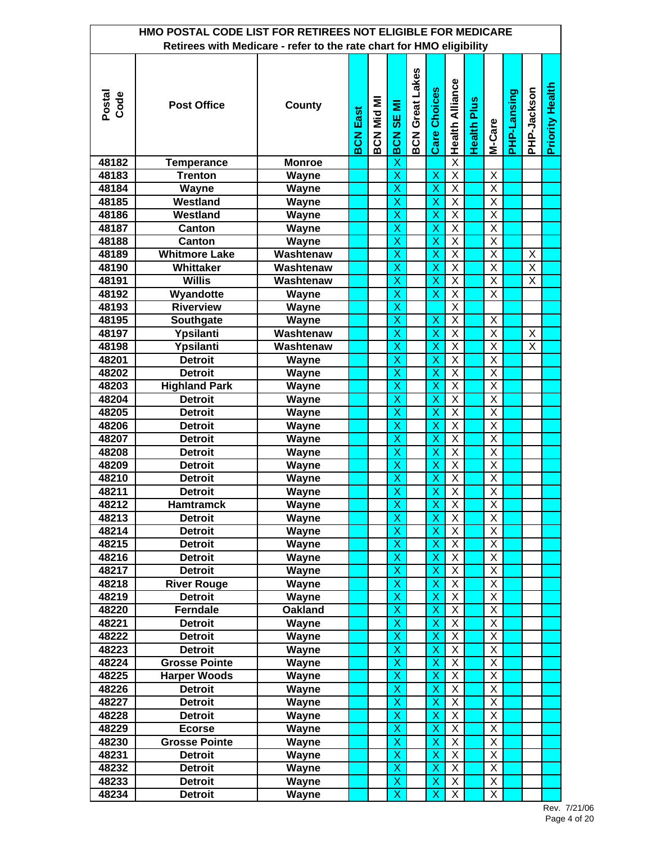| HMO POSTAL CODE LIST FOR RETIREES NOT ELIGIBLE FOR MEDICARE<br>Retirees with Medicare - refer to the rate chart for HMO eligibility |                      |                |                 |                   |                         |                        |                         |                         |                    |                         |             |                         |                        |
|-------------------------------------------------------------------------------------------------------------------------------------|----------------------|----------------|-----------------|-------------------|-------------------------|------------------------|-------------------------|-------------------------|--------------------|-------------------------|-------------|-------------------------|------------------------|
|                                                                                                                                     |                      |                |                 |                   |                         |                        |                         |                         |                    |                         |             |                         |                        |
| Postal<br>Code                                                                                                                      | <b>Post Office</b>   | <b>County</b>  | <b>BCN East</b> | <b>BCN Mid MI</b> | SE MI<br>BCN            | <b>BCN Great Lakes</b> | <b>Care Choices</b>     | <b>Health Alliance</b>  | <b>Health Plus</b> | M-Care                  | PHP-Lansing | PHP-Jackson             | <b>Priority Health</b> |
| 48182                                                                                                                               | <b>Temperance</b>    | <b>Monroe</b>  |                 |                   | X                       |                        |                         | $\overline{\mathsf{x}}$ |                    |                         |             |                         |                        |
| 48183                                                                                                                               | <b>Trenton</b>       | <b>Wayne</b>   |                 |                   | X                       |                        | $\overline{\mathsf{x}}$ | $\overline{\mathsf{x}}$ |                    | $\overline{X}$          |             |                         |                        |
| 48184                                                                                                                               | Wayne                | Wayne          |                 |                   | X                       |                        | X                       | $\overline{\mathsf{X}}$ |                    | $\overline{\mathsf{X}}$ |             |                         |                        |
| 48185                                                                                                                               | Westland             | Wayne          |                 |                   | $\overline{\mathsf{x}}$ |                        | $\overline{\mathsf{x}}$ | $\overline{X}$          |                    | $\overline{X}$          |             |                         |                        |
| 48186                                                                                                                               | Westland             | Wayne          |                 |                   | X                       |                        | $\overline{\mathsf{x}}$ | $\overline{\mathsf{x}}$ |                    | $\overline{\mathsf{x}}$ |             |                         |                        |
| 48187                                                                                                                               | <b>Canton</b>        | Wayne          |                 |                   | X                       |                        | X                       | $\overline{\mathsf{X}}$ |                    | $\overline{\mathsf{X}}$ |             |                         |                        |
| 48188                                                                                                                               | Canton               | Wayne          |                 |                   | X                       |                        | X                       | $\overline{\mathsf{x}}$ |                    | $\overline{\mathsf{x}}$ |             |                         |                        |
| 48189                                                                                                                               | <b>Whitmore Lake</b> | Washtenaw      |                 |                   | $\overline{\mathsf{x}}$ |                        | $\overline{\mathsf{x}}$ | $\overline{\mathsf{x}}$ |                    | $\overline{\mathsf{x}}$ |             | X                       |                        |
| 48190                                                                                                                               | Whittaker            | Washtenaw      |                 |                   | X                       |                        | X                       | $\overline{\mathsf{x}}$ |                    | $\overline{\mathsf{x}}$ |             | $\overline{\mathsf{X}}$ |                        |
| 48191                                                                                                                               | <b>Willis</b>        | Washtenaw      |                 |                   | X                       |                        | X                       | X                       |                    | X                       |             | X                       |                        |
| 48192                                                                                                                               | Wyandotte            | <b>Wayne</b>   |                 |                   | X                       |                        | X                       | $\overline{X}$          |                    | $\overline{\mathsf{X}}$ |             |                         |                        |
| 48193                                                                                                                               | <b>Riverview</b>     | Wayne          |                 |                   | $\overline{\mathsf{x}}$ |                        |                         | $\overline{X}$          |                    |                         |             |                         |                        |
| 48195                                                                                                                               | Southgate            | Wayne          |                 |                   | X                       |                        | X                       | Χ                       |                    | X                       |             |                         |                        |
| 48197                                                                                                                               | Ypsilanti            | Washtenaw      |                 |                   | X                       |                        | X                       | X                       |                    | Χ                       |             | X                       |                        |
| 48198                                                                                                                               | Ypsilanti            | Washtenaw      |                 |                   | X                       |                        | X                       | Χ                       |                    | Χ                       |             | X                       |                        |
| 48201                                                                                                                               | <b>Detroit</b>       | Wayne          |                 |                   | $\overline{\mathsf{x}}$ |                        | $\overline{\mathsf{x}}$ | $\overline{X}$          |                    | $\overline{\mathsf{x}}$ |             |                         |                        |
| 48202                                                                                                                               | <b>Detroit</b>       | Wayne          |                 |                   | $\overline{\mathsf{x}}$ |                        | $\overline{\mathsf{x}}$ | $\overline{\mathsf{x}}$ |                    | $\overline{\mathsf{x}}$ |             |                         |                        |
| 48203                                                                                                                               | <b>Highland Park</b> | Wayne          |                 |                   | X                       |                        | X                       | $\overline{X}$          |                    | $\overline{\mathsf{X}}$ |             |                         |                        |
| 48204                                                                                                                               | <b>Detroit</b>       | Wayne          |                 |                   | X                       |                        | X                       | $\overline{\mathsf{X}}$ |                    | $\overline{\mathsf{X}}$ |             |                         |                        |
| 48205                                                                                                                               | <b>Detroit</b>       | Wayne          |                 |                   | $\overline{\mathsf{x}}$ |                        | $\overline{\mathsf{x}}$ | $\overline{\mathsf{x}}$ |                    | $\overline{\mathsf{x}}$ |             |                         |                        |
| 48206                                                                                                                               | <b>Detroit</b>       | Wayne          |                 |                   | $\overline{\mathsf{x}}$ |                        | $\overline{\mathsf{x}}$ | $\overline{\mathsf{x}}$ |                    | $\overline{\mathsf{x}}$ |             |                         |                        |
| 48207                                                                                                                               | <b>Detroit</b>       | Wayne          |                 |                   | X                       |                        | X                       | $\overline{\mathsf{X}}$ |                    | $\overline{\mathsf{X}}$ |             |                         |                        |
| 48208                                                                                                                               | <b>Detroit</b>       | <b>Wayne</b>   |                 |                   | $\overline{\mathsf{x}}$ |                        | $\overline{\mathsf{x}}$ | $\overline{\mathsf{x}}$ |                    | $\overline{\mathsf{X}}$ |             |                         |                        |
| 48209                                                                                                                               | <b>Detroit</b>       | Wayne          |                 |                   | $\overline{\mathsf{x}}$ |                        | $\overline{\mathsf{x}}$ | $\overline{\mathsf{X}}$ |                    | $\overline{\mathsf{X}}$ |             |                         |                        |
| 48210                                                                                                                               | <b>Detroit</b>       | Wayne          |                 |                   | $\overline{\mathsf{x}}$ |                        | $\overline{\mathsf{x}}$ | $\overline{\mathsf{x}}$ |                    | $\overline{\mathsf{X}}$ |             |                         |                        |
| 48211                                                                                                                               | <b>Detroit</b>       | Wayne          |                 |                   | $\overline{\mathsf{x}}$ |                        | Χ                       | $\overline{X}$          |                    | $\overline{X}$          |             |                         |                        |
| 48212                                                                                                                               | <b>Hamtramck</b>     | Wayne          |                 |                   |                         |                        |                         | $\overline{\mathsf{X}}$ |                    | $\overline{\mathsf{X}}$ |             |                         |                        |
| 48213                                                                                                                               | <b>Detroit</b>       | Wayne          |                 |                   | X<br>X                  |                        | Х,<br>X                 | X                       |                    | X                       |             |                         |                        |
| 48214                                                                                                                               | <b>Detroit</b>       | Wayne          |                 |                   | $\overline{\mathsf{x}}$ |                        | X                       | X                       |                    | X                       |             |                         |                        |
| 48215                                                                                                                               | <b>Detroit</b>       | Wayne          |                 |                   | X                       |                        | X                       | X                       |                    | X                       |             |                         |                        |
| 48216                                                                                                                               | <b>Detroit</b>       | Wayne          |                 |                   | X                       |                        | X                       | X                       |                    | X                       |             |                         |                        |
| 48217                                                                                                                               | <b>Detroit</b>       | Wayne          |                 |                   | X                       |                        | X                       | X                       |                    | X                       |             |                         |                        |
| 48218                                                                                                                               | <b>River Rouge</b>   | Wayne          |                 |                   | $\overline{\mathsf{x}}$ |                        | $\overline{\mathsf{x}}$ | $\overline{X}$          |                    | $\overline{\mathsf{X}}$ |             |                         |                        |
| 48219                                                                                                                               | <b>Detroit</b>       | Wayne          |                 |                   | $\overline{\mathsf{x}}$ |                        | X                       | $\overline{X}$          |                    | $\overline{\mathsf{X}}$ |             |                         |                        |
| 48220                                                                                                                               | Ferndale             | <b>Oakland</b> |                 |                   | X                       |                        | X                       | $\overline{X}$          |                    | X                       |             |                         |                        |
| 48221                                                                                                                               | <b>Detroit</b>       | Wayne          |                 |                   | X                       |                        | X                       | $\overline{X}$          |                    | $\overline{X}$          |             |                         |                        |
| 48222                                                                                                                               | <b>Detroit</b>       | Wayne          |                 |                   | $\overline{\mathsf{x}}$ |                        | $\overline{\mathsf{x}}$ | $\overline{\mathsf{x}}$ |                    | $\overline{X}$          |             |                         |                        |
| 48223                                                                                                                               | <b>Detroit</b>       | Wayne          |                 |                   | $\overline{\mathsf{x}}$ |                        | $\overline{\mathsf{x}}$ | $\overline{X}$          |                    | $\overline{\mathsf{X}}$ |             |                         |                        |
| 48224                                                                                                                               | <b>Grosse Pointe</b> | Wayne          |                 |                   | X                       |                        | X                       | $\overline{X}$          |                    | X                       |             |                         |                        |
| 48225                                                                                                                               | <b>Harper Woods</b>  | Wayne          |                 |                   | X                       |                        | X                       | $\overline{X}$          |                    | $\overline{X}$          |             |                         |                        |
| 48226                                                                                                                               | <b>Detroit</b>       | Wayne          |                 |                   | $\overline{\mathsf{x}}$ |                        | $\overline{\mathsf{x}}$ | $\overline{\mathsf{X}}$ |                    | $\overline{\mathsf{X}}$ |             |                         |                        |
| 48227                                                                                                                               | <b>Detroit</b>       | Wayne          |                 |                   | $\overline{\mathsf{x}}$ |                        | X                       | $\overline{\mathsf{X}}$ |                    | $\overline{X}$          |             |                         |                        |
| 48228                                                                                                                               | <b>Detroit</b>       | Wayne          |                 |                   | X                       |                        | X                       | Χ                       |                    | X                       |             |                         |                        |
| 48229                                                                                                                               | <b>Ecorse</b>        | Wayne          |                 |                   | X                       |                        | X                       | $\overline{X}$          |                    | X                       |             |                         |                        |
| 48230                                                                                                                               | <b>Grosse Pointe</b> | Wayne          |                 |                   | $\overline{\mathsf{x}}$ |                        | X                       | X                       |                    | X                       |             |                         |                        |
| 48231                                                                                                                               | <b>Detroit</b>       | Wayne          |                 |                   | X                       |                        | X                       | X                       |                    | Χ                       |             |                         |                        |
| 48232                                                                                                                               | <b>Detroit</b>       | Wayne          |                 |                   | X                       |                        | X                       | X                       |                    | X                       |             |                         |                        |
| 48233                                                                                                                               | <b>Detroit</b>       | Wayne          |                 |                   | X                       |                        | X                       | X                       |                    | X                       |             |                         |                        |
| 48234                                                                                                                               | <b>Detroit</b>       | Wayne          |                 |                   | $\overline{\mathsf{x}}$ |                        | X                       | $\overline{X}$          |                    | $\overline{\mathsf{x}}$ |             |                         |                        |
|                                                                                                                                     |                      |                |                 |                   |                         |                        |                         |                         |                    |                         |             |                         |                        |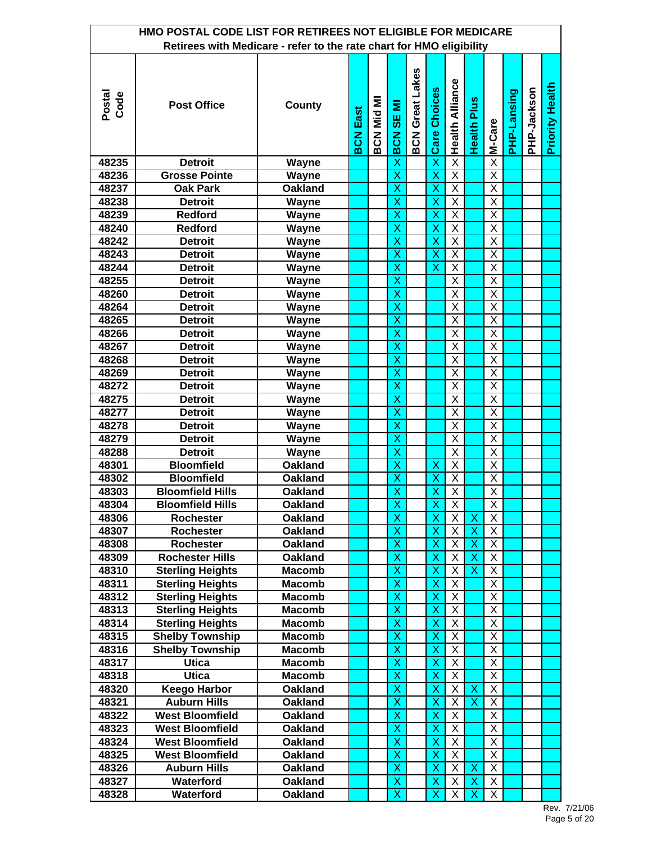| HMO POSTAL CODE LIST FOR RETIREES NOT ELIGIBLE FOR MEDICARE<br>Retirees with Medicare - refer to the rate chart for HMO eligibility |                         |                                                    |                                           |             |             |                        |  |  |  |  |  |  |  |
|-------------------------------------------------------------------------------------------------------------------------------------|-------------------------|----------------------------------------------------|-------------------------------------------|-------------|-------------|------------------------|--|--|--|--|--|--|--|
|                                                                                                                                     |                         |                                                    |                                           |             |             |                        |  |  |  |  |  |  |  |
| <b>BCN Great Lakes</b><br>Postal<br>Code<br>BCN Mid MI<br><b>Post Office</b><br>County<br>Ξ<br><b>BCN East</b><br><b>SE</b><br>BCN  | <b>Care Choices</b>     | <b>Health Alliance</b><br><b>Health Plus</b>       | M-Care                                    | PHP-Lansing | PHP-Jackson | <b>Priority Health</b> |  |  |  |  |  |  |  |
| 48235<br><b>Detroit</b><br><b>Wayne</b><br>X                                                                                        | X                       | $\overline{\mathsf{x}}$                            | $\overline{\mathsf{x}}$                   |             |             |                        |  |  |  |  |  |  |  |
| $\overline{\mathsf{x}}$<br>48236<br><b>Grosse Pointe</b><br><b>Wayne</b>                                                            | $\overline{\mathsf{x}}$ | $\overline{\mathsf{x}}$                            | $\overline{X}$                            |             |             |                        |  |  |  |  |  |  |  |
| $\overline{\mathsf{x}}$<br><b>Oak Park</b><br><b>Oakland</b><br>48237                                                               | $\overline{\mathsf{x}}$ | $\overline{\mathsf{x}}$                            | $\overline{\mathsf{x}}$                   |             |             |                        |  |  |  |  |  |  |  |
| X<br>48238<br><b>Detroit</b><br>Wayne                                                                                               | $\overline{\mathsf{x}}$ | $\overline{\mathsf{x}}$                            | $\overline{X}$                            |             |             |                        |  |  |  |  |  |  |  |
| X<br>Redford<br>48239<br>Wayne                                                                                                      | X                       | X                                                  | X                                         |             |             |                        |  |  |  |  |  |  |  |
| 48240<br><b>Redford</b><br><b>Wayne</b><br>X                                                                                        | X                       | $\overline{\mathsf{x}}$                            | $\overline{X}$                            |             |             |                        |  |  |  |  |  |  |  |
| $\overline{\mathsf{x}}$<br>48242<br><b>Detroit</b><br>Wayne                                                                         | $\overline{\mathsf{x}}$ | $\overline{X}$                                     | $\overline{\mathsf{X}}$                   |             |             |                        |  |  |  |  |  |  |  |
| X<br>48243<br><b>Detroit</b><br>Wayne                                                                                               | X                       | $\overline{\mathsf{x}}$                            | $\overline{\mathsf{X}}$                   |             |             |                        |  |  |  |  |  |  |  |
| X<br>48244<br><b>Detroit</b><br>Wayne                                                                                               | X                       | X                                                  | X                                         |             |             |                        |  |  |  |  |  |  |  |
| 48255<br>X<br><b>Detroit</b><br>Wayne                                                                                               |                         | $\overline{\mathsf{x}}$                            | X                                         |             |             |                        |  |  |  |  |  |  |  |
| $\overline{\mathsf{x}}$<br>48260<br><b>Detroit</b><br>Wayne                                                                         |                         | X                                                  | X                                         |             |             |                        |  |  |  |  |  |  |  |
| X<br>48264<br><b>Detroit</b><br>Wayne                                                                                               |                         | X                                                  | X                                         |             |             |                        |  |  |  |  |  |  |  |
| X<br><b>Detroit</b><br>48265<br>Wayne                                                                                               |                         | Χ                                                  | X                                         |             |             |                        |  |  |  |  |  |  |  |
| 48266<br><b>Detroit</b><br>X<br>Wayne                                                                                               |                         | Χ                                                  | X                                         |             |             |                        |  |  |  |  |  |  |  |
| $\overline{\mathsf{x}}$<br>48267<br><b>Detroit</b><br><b>Wayne</b>                                                                  |                         | X                                                  | $\overline{\mathsf{x}}$                   |             |             |                        |  |  |  |  |  |  |  |
| $\overline{\mathsf{x}}$<br>48268<br><b>Detroit</b><br>Wayne                                                                         |                         | X                                                  | $\overline{\mathsf{x}}$                   |             |             |                        |  |  |  |  |  |  |  |
| X<br>48269<br><b>Detroit</b><br>Wayne                                                                                               |                         | X                                                  | X                                         |             |             |                        |  |  |  |  |  |  |  |
| X<br>48272<br><b>Detroit</b><br>Wayne                                                                                               |                         | $\overline{\mathsf{x}}$                            | $\overline{X}$                            |             |             |                        |  |  |  |  |  |  |  |
| $\overline{\mathsf{x}}$<br>48275<br><b>Detroit</b><br>Wayne<br>X                                                                    |                         | $\overline{\mathsf{x}}$<br>$\overline{\mathsf{x}}$ | $\overline{\mathsf{x}}$<br>$\overline{X}$ |             |             |                        |  |  |  |  |  |  |  |
| 48277<br><b>Detroit</b><br>Wayne<br>X<br>48278<br><b>Detroit</b><br>Wayne                                                           |                         | X                                                  | $\overline{X}$                            |             |             |                        |  |  |  |  |  |  |  |
| 48279<br><b>Detroit</b><br>X<br>Wayne                                                                                               |                         | X                                                  | $\overline{X}$                            |             |             |                        |  |  |  |  |  |  |  |
| $\overline{\mathsf{x}}$<br>48288<br><b>Detroit</b><br>Wayne                                                                         |                         | $\overline{\mathsf{x}}$                            | $\overline{\mathsf{x}}$                   |             |             |                        |  |  |  |  |  |  |  |
| $\overline{\mathsf{x}}$<br>48301<br><b>Bloomfield</b><br><b>Oakland</b>                                                             | X                       | $\overline{\mathsf{x}}$                            | $\overline{\mathsf{x}}$                   |             |             |                        |  |  |  |  |  |  |  |
| 48302<br><b>Bloomfield</b><br>$\overline{\mathsf{x}}$<br><b>Oakland</b>                                                             | Χ                       | $\overline{\mathsf{X}}$                            | $\overline{X}$                            |             |             |                        |  |  |  |  |  |  |  |
| $\overline{\mathsf{x}}$<br>48303<br><b>Bloomfield Hills</b><br><b>Oakland</b>                                                       | Χ                       | $\overline{\mathsf{X}}$                            | $\overline{X}$                            |             |             |                        |  |  |  |  |  |  |  |
| <b>Bloomfield Hills</b><br>48304<br>Oakland<br><u>X</u>                                                                             | X                       | X                                                  | X                                         |             |             |                        |  |  |  |  |  |  |  |
| $\overline{\mathsf{x}}$<br>48306<br>Rochester<br><b>Oakland</b>                                                                     | $\overline{\mathsf{x}}$ | Χ<br>$\boldsymbol{\mathsf{X}}$                     | X                                         |             |             |                        |  |  |  |  |  |  |  |
| X<br>48307<br><b>Rochester</b><br><b>Oakland</b>                                                                                    | X                       | Χ<br>X                                             | X                                         |             |             |                        |  |  |  |  |  |  |  |
| X<br>48308<br><b>Rochester</b><br><b>Oakland</b>                                                                                    | X                       | Χ<br>Х                                             | X                                         |             |             |                        |  |  |  |  |  |  |  |
| 48309<br><b>Rochester Hills</b><br><b>Oakland</b><br>X                                                                              | X                       | Χ<br>$\boldsymbol{\mathsf{X}}$                     | X                                         |             |             |                        |  |  |  |  |  |  |  |
| $\overline{\mathsf{x}}$<br>48310<br><b>Sterling Heights</b><br><b>Macomb</b>                                                        | X                       | Χ<br>$\overline{\mathsf{X}}$                       | $\overline{X}$                            |             |             |                        |  |  |  |  |  |  |  |
| $\overline{\mathsf{x}}$<br><b>Sterling Heights</b><br>48311<br><b>Macomb</b>                                                        | X                       | $\overline{\mathsf{x}}$                            | $\overline{X}$                            |             |             |                        |  |  |  |  |  |  |  |
| X<br><b>Sterling Heights</b><br>48312<br><b>Macomb</b>                                                                              | X                       | Χ                                                  | X                                         |             |             |                        |  |  |  |  |  |  |  |
| X<br><b>Sterling Heights</b><br>48313<br><b>Macomb</b>                                                                              | X                       | $\overline{X}$                                     | X                                         |             |             |                        |  |  |  |  |  |  |  |
| $\overline{\mathsf{x}}$<br><b>Sterling Heights</b><br>48314<br><b>Macomb</b>                                                        | $\overline{\mathsf{x}}$ | $\overline{X}$                                     | X                                         |             |             |                        |  |  |  |  |  |  |  |
| X<br><b>Shelby Township</b><br>48315<br><b>Macomb</b>                                                                               | $\overline{\mathsf{x}}$ | $\overline{\mathsf{X}}$                            | X                                         |             |             |                        |  |  |  |  |  |  |  |
| X<br><b>Shelby Township</b><br>48316<br><b>Macomb</b>                                                                               | X                       | Χ                                                  | X                                         |             |             |                        |  |  |  |  |  |  |  |
| <b>Utica</b><br>48317<br>X<br><b>Macomb</b>                                                                                         | X                       | $\overline{\mathsf{X}}$                            | X                                         |             |             |                        |  |  |  |  |  |  |  |
| $\overline{\mathsf{x}}$<br>48318<br><b>Utica</b><br><b>Macomb</b>                                                                   | $\overline{\mathsf{x}}$ | $\overline{X}$                                     | $\overline{X}$                            |             |             |                        |  |  |  |  |  |  |  |
| $\overline{\mathsf{x}}$<br><b>Keego Harbor</b><br>48320<br>Oakland                                                                  | X                       | X<br>$\boldsymbol{\mathsf{X}}$                     | $\overline{X}$                            |             |             |                        |  |  |  |  |  |  |  |
| <b>Auburn Hills</b><br>X<br>48321<br>Oakland                                                                                        | X                       | Χ<br>$\boldsymbol{\mathsf{X}}$                     | X                                         |             |             |                        |  |  |  |  |  |  |  |
| X<br>48322<br><b>West Bloomfield</b><br><b>Oakland</b>                                                                              | X                       | $\overline{X}$                                     | X                                         |             |             |                        |  |  |  |  |  |  |  |
| $\overline{\mathsf{x}}$<br><b>West Bloomfield</b><br>48323<br>Oakland                                                               | X                       | $\overline{\mathsf{X}}$                            | X                                         |             |             |                        |  |  |  |  |  |  |  |
| X<br>48324<br><b>West Bloomfield</b><br><b>Oakland</b>                                                                              | X                       | Χ                                                  | X                                         |             |             |                        |  |  |  |  |  |  |  |
| X<br>48325<br><b>West Bloomfield</b><br><b>Oakland</b>                                                                              | X                       | Χ                                                  | X                                         |             |             |                        |  |  |  |  |  |  |  |
| 48326<br><b>Oakland</b><br>X<br><b>Auburn Hills</b><br>48327<br>Waterford<br><b>Oakland</b><br>X                                    | X<br>X                  | X<br>X<br>Χ<br>$\boldsymbol{\mathsf{X}}$           | X<br>X                                    |             |             |                        |  |  |  |  |  |  |  |
| $\overline{\mathsf{x}}$<br>48328<br>Waterford<br>Oakland                                                                            | $\overline{\mathsf{x}}$ | Χ<br>$\boldsymbol{\mathsf{X}}$                     | $\overline{\mathsf{x}}$                   |             |             |                        |  |  |  |  |  |  |  |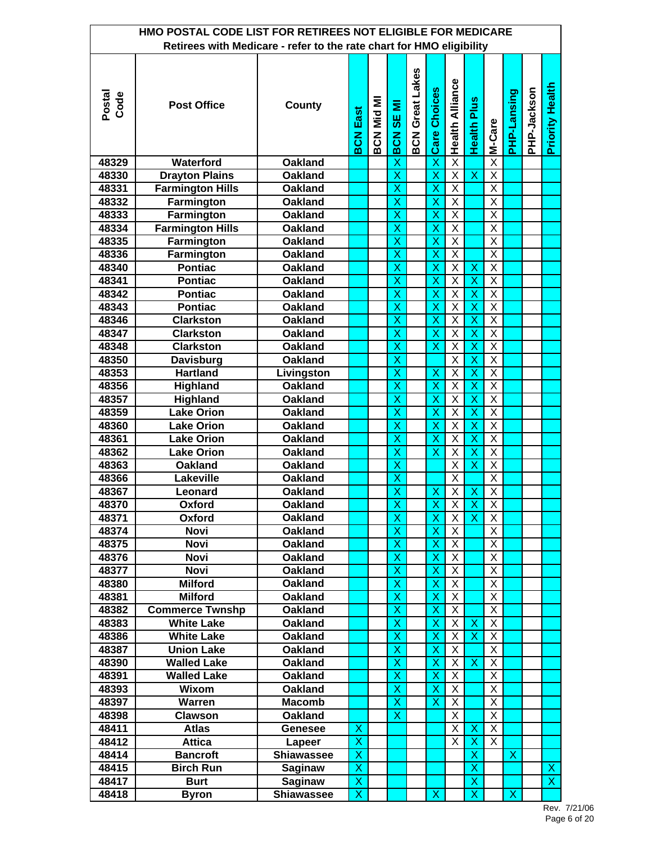| HMO POSTAL CODE LIST FOR RETIREES NOT ELIGIBLE FOR MEDICARE<br>Retirees with Medicare - refer to the rate chart for HMO eligibility |                         |                   |                         |            |                         |                        |                         |                         |                           |                         |                         |             |                         |  |
|-------------------------------------------------------------------------------------------------------------------------------------|-------------------------|-------------------|-------------------------|------------|-------------------------|------------------------|-------------------------|-------------------------|---------------------------|-------------------------|-------------------------|-------------|-------------------------|--|
|                                                                                                                                     |                         |                   |                         |            |                         |                        |                         |                         |                           |                         |                         |             |                         |  |
| Postal<br>Code                                                                                                                      | <b>Post Office</b>      | County            | <b>BCN East</b>         | BCN Mid MI | SE MI<br>BCN            | <b>BCN Great Lakes</b> | <b>Care Choices</b>     | <b>Health Alliance</b>  | <b>Health Plus</b>        | M-Care                  | PHP-Lansing             | PHP-Jackson | <b>Priority Health</b>  |  |
| 48329                                                                                                                               | Waterford               | <b>Oakland</b>    |                         |            | X                       |                        | $\overline{\mathsf{x}}$ | $\overline{\mathsf{x}}$ |                           | $\overline{\mathsf{x}}$ |                         |             |                         |  |
| 48330                                                                                                                               | <b>Drayton Plains</b>   | <b>Oakland</b>    |                         |            | $\overline{\mathsf{x}}$ |                        | $\overline{\mathsf{x}}$ | $\overline{\mathsf{X}}$ | $\overline{\mathsf{x}}$   | $\overline{X}$          |                         |             |                         |  |
| 48331                                                                                                                               | <b>Farmington Hills</b> | <b>Oakland</b>    |                         |            | $\overline{\mathsf{x}}$ |                        | $\overline{\mathsf{x}}$ | $\overline{\mathsf{x}}$ |                           | $\overline{\mathsf{x}}$ |                         |             |                         |  |
| 48332                                                                                                                               | Farmington              | <b>Oakland</b>    |                         |            | $\overline{\mathsf{x}}$ |                        | $\overline{\mathsf{x}}$ | $\overline{\mathsf{x}}$ |                           | $\overline{\mathsf{x}}$ |                         |             |                         |  |
| 48333                                                                                                                               | Farmington              | <b>Oakland</b>    |                         |            | X                       |                        | X                       | $\overline{\mathsf{X}}$ |                           | $\overline{\mathsf{X}}$ |                         |             |                         |  |
| 48334                                                                                                                               | <b>Farmington Hills</b> | <b>Oakland</b>    |                         |            | X                       |                        | X                       | $\overline{\mathsf{X}}$ |                           | $\overline{\mathsf{x}}$ |                         |             |                         |  |
| 48335                                                                                                                               | Farmington              | <b>Oakland</b>    |                         |            | $\overline{\mathsf{x}}$ |                        | $\overline{\mathsf{x}}$ | $\overline{\mathsf{x}}$ |                           | $\overline{\mathsf{x}}$ |                         |             |                         |  |
| 48336                                                                                                                               | Farmington              | <b>Oakland</b>    |                         |            | X                       |                        | X                       | $\overline{\mathsf{x}}$ |                           | $\overline{\mathsf{x}}$ |                         |             |                         |  |
| 48340                                                                                                                               | <b>Pontiac</b>          | <b>Oakland</b>    |                         |            | X                       |                        | X                       | X                       | X                         | Χ                       |                         |             |                         |  |
| 48341                                                                                                                               | <b>Pontiac</b>          | <b>Oakland</b>    |                         |            | X                       |                        | X                       | $\overline{\mathsf{x}}$ | $\mathsf{X}$              | $\overline{\mathsf{x}}$ |                         |             |                         |  |
| 48342                                                                                                                               | <b>Pontiac</b>          | <b>Oakland</b>    |                         |            | $\overline{\mathsf{x}}$ |                        | $\overline{\mathsf{x}}$ | X                       | $\sf X$                   | $\overline{\mathsf{x}}$ |                         |             |                         |  |
| 48343                                                                                                                               | <b>Pontiac</b>          | <b>Oakland</b>    |                         |            | X                       |                        | X                       | X                       | X                         | $\overline{\mathsf{X}}$ |                         |             |                         |  |
| 48346                                                                                                                               | <b>Clarkston</b>        | <b>Oakland</b>    |                         |            | X                       |                        | Χ                       | X                       | X                         | Χ                       |                         |             |                         |  |
| 48347                                                                                                                               | <b>Clarkston</b>        | <b>Oakland</b>    |                         |            | X                       |                        | X                       | X                       | $\boldsymbol{\mathsf{X}}$ | $\overline{\mathsf{X}}$ |                         |             |                         |  |
| 48348                                                                                                                               | <b>Clarkston</b>        | <b>Oakland</b>    |                         |            | $\overline{\mathsf{x}}$ |                        | $\overline{\mathsf{x}}$ | X                       | $\sf X$                   | $\overline{\mathsf{x}}$ |                         |             |                         |  |
| 48350                                                                                                                               | Davisburg               | <b>Oakland</b>    |                         |            | $\overline{\mathsf{x}}$ |                        |                         | $\overline{\mathsf{x}}$ | $\overline{\mathsf{x}}$   | $\overline{\mathsf{x}}$ |                         |             |                         |  |
| 48353                                                                                                                               | <b>Hartland</b>         | Livingston        |                         |            | X                       |                        | X                       | $\overline{\mathsf{x}}$ | X                         | $\overline{\mathsf{X}}$ |                         |             |                         |  |
| 48356                                                                                                                               | <b>Highland</b>         | <b>Oakland</b>    |                         |            | X                       |                        | X                       | $\overline{\mathsf{x}}$ | $\boldsymbol{\mathsf{X}}$ | $\overline{\mathsf{X}}$ |                         |             |                         |  |
| 48357                                                                                                                               | Highland                | <b>Oakland</b>    |                         |            | $\overline{\mathsf{x}}$ |                        | $\overline{\mathsf{x}}$ | $\overline{\mathsf{x}}$ | $\overline{\mathsf{x}}$   | $\overline{\mathsf{x}}$ |                         |             |                         |  |
| 48359                                                                                                                               | <b>Lake Orion</b>       | <b>Oakland</b>    |                         |            | $\overline{\mathsf{x}}$ |                        | $\overline{\mathsf{x}}$ | $\overline{\mathsf{x}}$ | $\overline{\mathsf{x}}$   | $\overline{\mathsf{x}}$ |                         |             |                         |  |
| 48360                                                                                                                               | <b>Lake Orion</b>       | <b>Oakland</b>    |                         |            | X                       |                        | X                       | $\overline{\mathsf{x}}$ | X                         | $\overline{\mathsf{X}}$ |                         |             |                         |  |
| 48361                                                                                                                               | <b>Lake Orion</b>       | <b>Oakland</b>    |                         |            | X                       |                        | X                       | $\overline{\mathsf{x}}$ | $\boldsymbol{\mathsf{X}}$ | $\overline{\mathsf{x}}$ |                         |             |                         |  |
| 48362                                                                                                                               | <b>Lake Orion</b>       | <b>Oakland</b>    |                         |            | $\overline{\mathsf{x}}$ |                        | $\overline{\mathsf{x}}$ | $\overline{\mathsf{x}}$ | $\overline{\mathsf{x}}$   | $\overline{\mathsf{x}}$ |                         |             |                         |  |
| 48363                                                                                                                               | <b>Oakland</b>          | <b>Oakland</b>    |                         |            | $\overline{\mathsf{x}}$ |                        |                         | $\overline{\mathsf{x}}$ | $\overline{\textsf{x}}$   | $\overline{\mathsf{X}}$ |                         |             |                         |  |
| 48366                                                                                                                               | Lakeville               | <b>Oakland</b>    |                         |            | $\overline{\mathsf{x}}$ |                        |                         | $\overline{\mathsf{X}}$ |                           | $\overline{\mathsf{X}}$ |                         |             |                         |  |
| 48367                                                                                                                               | Leonard                 | <b>Oakland</b>    |                         |            | X                       |                        | Χ                       | Χ                       | $\boldsymbol{\mathsf{X}}$ | $\overline{X}$          |                         |             |                         |  |
| 48370                                                                                                                               | Oxford                  | <b>Oakland</b>    |                         |            | $\overline{\mathsf{x}}$ |                        | X                       | $\times$                | $\mathsf{X}$              | $\overline{X}$          |                         |             |                         |  |
| 48371                                                                                                                               | Oxford                  | <b>Oakland</b>    |                         |            | $\overline{\mathsf{x}}$ |                        | $\overline{\mathsf{x}}$ | X                       | $\boldsymbol{\mathsf{X}}$ | X                       |                         |             |                         |  |
| 48374                                                                                                                               | Novi                    | Oakland           |                         |            | X                       |                        | X                       | X                       |                           | X                       |                         |             |                         |  |
| 48375                                                                                                                               | Novi                    | Oakland           |                         |            | X                       |                        | X                       | X                       |                           | X                       |                         |             |                         |  |
| 48376                                                                                                                               | <b>Novi</b>             | Oakland           |                         |            | X                       |                        | X                       | X                       |                           | X.                      |                         |             |                         |  |
| 48377                                                                                                                               | <b>Novi</b>             | <b>Oakland</b>    |                         |            | $\overline{\mathsf{x}}$ |                        | X                       | Χ                       |                           | $\overline{X}$          |                         |             |                         |  |
| 48380                                                                                                                               | <b>Milford</b>          | <b>Oakland</b>    |                         |            | X                       |                        | X                       | $\overline{X}$          |                           | $\overline{\mathsf{X}}$ |                         |             |                         |  |
| 48381                                                                                                                               | <b>Milford</b>          | Oakland           |                         |            | X                       |                        | X                       | $\overline{X}$          |                           | X                       |                         |             |                         |  |
| 48382                                                                                                                               | <b>Commerce Twnshp</b>  | <b>Oakland</b>    |                         |            | X                       |                        | X                       | $\overline{\mathsf{x}}$ |                           | $\overline{X}$          |                         |             |                         |  |
| 48383                                                                                                                               | <b>White Lake</b>       | <b>Oakland</b>    |                         |            | $\overline{\mathsf{x}}$ |                        | $\overline{\mathsf{x}}$ | $\overline{X}$          | $\overline{\mathsf{x}}$   | $\overline{X}$          |                         |             |                         |  |
| 48386                                                                                                                               | <b>White Lake</b>       | Oakland           |                         |            | X                       |                        | $\overline{\mathsf{x}}$ | $\overline{\mathsf{X}}$ | $\overline{\mathsf{x}}$   | $\overline{X}$          |                         |             |                         |  |
| 48387                                                                                                                               | <b>Union Lake</b>       | Oakland           |                         |            | X                       |                        | X                       | $\overline{X}$          |                           | X.                      |                         |             |                         |  |
| 48390                                                                                                                               | <b>Walled Lake</b>      | Oakland           |                         |            | X                       |                        | X                       | Χ                       | $\boldsymbol{\mathsf{X}}$ | X.                      |                         |             |                         |  |
| 48391                                                                                                                               | <b>Walled Lake</b>      | Oakland           |                         |            | $\overline{\mathsf{x}}$ |                        | X                       | $\overline{X}$          |                           | $\overline{X}$          |                         |             |                         |  |
| 48393                                                                                                                               | Wixom                   | Oakland           |                         |            | X                       |                        | X                       | $\overline{\mathsf{X}}$ |                           | $\overline{X}$          |                         |             |                         |  |
| 48397                                                                                                                               | Warren                  | <b>Macomb</b>     |                         |            | X                       |                        | Χ                       | X                       |                           | X                       |                         |             |                         |  |
| 48398                                                                                                                               | Clawson                 | Oakland           |                         |            | $\pmb{\mathsf{X}}$      |                        |                         | X                       |                           | X                       |                         |             |                         |  |
| 48411                                                                                                                               | <b>Atlas</b>            | Genesee           | X                       |            |                         |                        |                         | X                       | $\boldsymbol{\mathsf{X}}$ | X                       |                         |             |                         |  |
| 48412                                                                                                                               | <b>Attica</b>           | Lapeer            | X                       |            |                         |                        |                         | X                       | $\boldsymbol{\mathsf{X}}$ | X.                      |                         |             |                         |  |
| 48414                                                                                                                               | <b>Bancroft</b>         | <b>Shiawassee</b> | Χ                       |            |                         |                        |                         |                         | $\boldsymbol{\mathsf{X}}$ |                         | X                       |             |                         |  |
| 48415                                                                                                                               | <b>Birch Run</b>        | <b>Saginaw</b>    | X                       |            |                         |                        |                         |                         | $\boldsymbol{\mathsf{X}}$ |                         |                         |             | X                       |  |
| 48417                                                                                                                               | <b>Burt</b>             | <b>Saginaw</b>    | $\overline{\mathsf{x}}$ |            |                         |                        |                         |                         | $\mathsf{X}$              |                         |                         |             | $\overline{\mathsf{x}}$ |  |
| 48418                                                                                                                               | <b>Byron</b>            | <b>Shiawassee</b> | $\overline{\mathsf{x}}$ |            |                         |                        | $\overline{\mathsf{x}}$ |                         | $\overline{\mathsf{x}}$   |                         | $\overline{\mathsf{x}}$ |             |                         |  |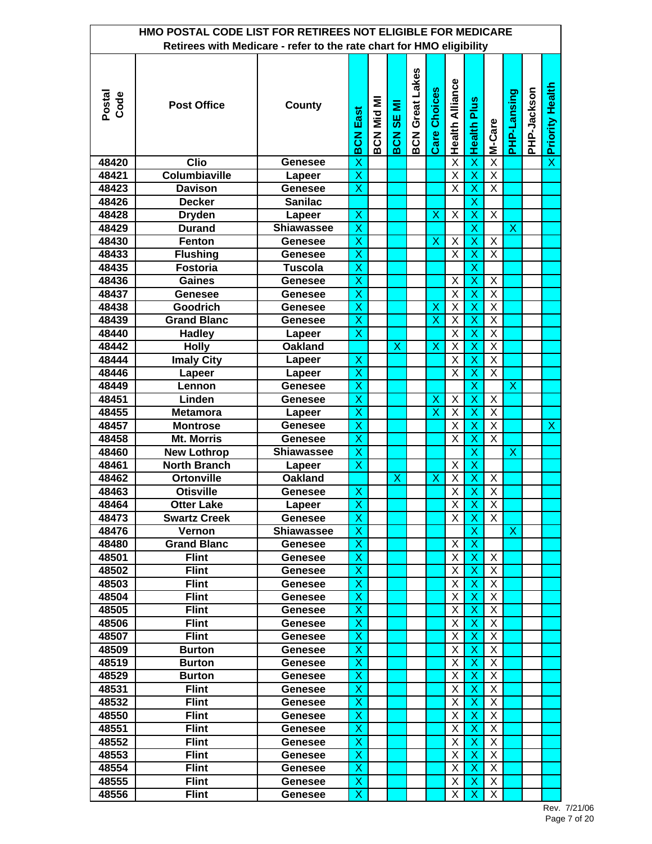| HMO POSTAL CODE LIST FOR RETIREES NOT ELIGIBLE FOR MEDICARE<br>Retirees with Medicare - refer to the rate chart for HMO eligibility |                      |                   |                         |            |                     |                        |                         |                         |                           |                         |                           |             |                         |  |
|-------------------------------------------------------------------------------------------------------------------------------------|----------------------|-------------------|-------------------------|------------|---------------------|------------------------|-------------------------|-------------------------|---------------------------|-------------------------|---------------------------|-------------|-------------------------|--|
|                                                                                                                                     |                      |                   |                         |            |                     |                        |                         |                         |                           |                         |                           |             |                         |  |
| Postal<br>Code                                                                                                                      | <b>Post Office</b>   | County            | <b>BCN East</b>         | BCN Mid MI | SE MI<br><b>BCN</b> | <b>BCN Great Lakes</b> | <b>Care Choices</b>     | <b>Health Alliance</b>  | <b>Health Plus</b>        | M-Care                  | PHP-Lansing               | PHP-Jackson | <b>Priority Health</b>  |  |
| 48420                                                                                                                               | <b>Clio</b>          | <b>Genesee</b>    | X                       |            |                     |                        |                         | $\overline{\mathsf{x}}$ | $\overline{\mathsf{x}}$   | $\overline{\mathsf{x}}$ |                           |             | $\overline{\mathsf{x}}$ |  |
| 48421                                                                                                                               | <b>Columbiaville</b> | Lapeer            | $\overline{\mathsf{x}}$ |            |                     |                        |                         | $\overline{\mathsf{x}}$ | $\overline{\mathsf{x}}$   | $\overline{X}$          |                           |             |                         |  |
| 48423                                                                                                                               | <b>Davison</b>       | Genesee           | $\overline{\mathsf{x}}$ |            |                     |                        |                         | $\overline{\mathsf{x}}$ | $\overline{\mathsf{x}}$   | $\overline{X}$          |                           |             |                         |  |
| 48426                                                                                                                               | <b>Decker</b>        | <b>Sanilac</b>    |                         |            |                     |                        |                         |                         | $\overline{\mathsf{x}}$   |                         |                           |             |                         |  |
| 48428                                                                                                                               | <b>Dryden</b>        | Lapeer            | X                       |            |                     |                        | X                       | X                       | X                         | X                       |                           |             |                         |  |
| 48429                                                                                                                               | <b>Durand</b>        | <b>Shiawassee</b> | X                       |            |                     |                        |                         |                         | $\boldsymbol{\mathsf{X}}$ |                         | $\boldsymbol{\mathsf{X}}$ |             |                         |  |
| 48430                                                                                                                               | <b>Fenton</b>        | <b>Genesee</b>    | $\overline{\mathsf{x}}$ |            |                     |                        | X                       | Χ                       | $\mathsf{X}$              | X                       |                           |             |                         |  |
| 48433                                                                                                                               | <b>Flushing</b>      | <b>Genesee</b>    | $\overline{\mathsf{x}}$ |            |                     |                        |                         | $\overline{\mathsf{x}}$ | X                         | $\overline{\mathsf{x}}$ |                           |             |                         |  |
| 48435                                                                                                                               | <b>Fostoria</b>      | <b>Tuscola</b>    | X                       |            |                     |                        |                         |                         | X                         |                         |                           |             |                         |  |
| 48436                                                                                                                               | <b>Gaines</b>        | <b>Genesee</b>    | X                       |            |                     |                        |                         | X                       | X                         | X                       |                           |             |                         |  |
| 48437                                                                                                                               | Genesee              | <b>Genesee</b>    | $\overline{\mathsf{x}}$ |            |                     |                        |                         | X                       | X                         | $\overline{X}$          |                           |             |                         |  |
| 48438                                                                                                                               | <b>Goodrich</b>      | <b>Genesee</b>    | X                       |            |                     |                        | X                       | Χ                       | X                         | $\overline{\mathsf{X}}$ |                           |             |                         |  |
| 48439                                                                                                                               | <b>Grand Blanc</b>   | <b>Genesee</b>    | X                       |            |                     |                        | X                       | Χ                       | Х                         | Χ                       |                           |             |                         |  |
| 48440                                                                                                                               | <b>Hadley</b>        | Lapeer            | X                       |            |                     |                        |                         | X                       | $\boldsymbol{\mathsf{X}}$ | X                       |                           |             |                         |  |
| 48442                                                                                                                               | <b>Holly</b>         | <b>Oakland</b>    |                         |            | X                   |                        | X                       | X                       | $\sf X$                   | $\overline{\mathsf{X}}$ |                           |             |                         |  |
| 48444                                                                                                                               | <b>Imaly City</b>    | Lapeer            | X                       |            |                     |                        |                         | $\overline{\mathsf{x}}$ | $\overline{\mathsf{x}}$   | $\overline{\mathsf{X}}$ |                           |             |                         |  |
| 48446                                                                                                                               | Lapeer               | Lapeer            | $\overline{\mathsf{x}}$ |            |                     |                        |                         | X                       | X                         | $\overline{\mathsf{X}}$ |                           |             |                         |  |
| 48449                                                                                                                               | Lennon               | <b>Genesee</b>    | X                       |            |                     |                        |                         |                         | $\boldsymbol{\mathsf{X}}$ |                         | $\boldsymbol{\mathsf{X}}$ |             |                         |  |
| 48451                                                                                                                               | Linden               | <b>Genesee</b>    | $\overline{\mathsf{x}}$ |            |                     |                        | X                       | X                       | $\overline{\mathsf{x}}$   | $\overline{X}$          |                           |             |                         |  |
| 48455                                                                                                                               | <b>Metamora</b>      | Lapeer            | $\overline{\mathsf{x}}$ |            |                     |                        | $\overline{\mathsf{x}}$ | $\overline{\mathsf{x}}$ | $\overline{\mathsf{x}}$   | $\overline{\mathsf{x}}$ |                           |             |                         |  |
| 48457                                                                                                                               | <b>Montrose</b>      | <b>Genesee</b>    | $\overline{\mathsf{x}}$ |            |                     |                        |                         | X                       | X                         | $\overline{\mathsf{X}}$ |                           |             | X                       |  |
| 48458                                                                                                                               | <b>Mt. Morris</b>    | <b>Genesee</b>    | X                       |            |                     |                        |                         | X                       | $\mathsf{X}$              | $\overline{X}$          |                           |             |                         |  |
| 48460                                                                                                                               | <b>New Lothrop</b>   | <b>Shiawassee</b> | $\overline{\mathsf{x}}$ |            |                     |                        |                         |                         | $\overline{\mathsf{x}}$   |                         | $\overline{\mathsf{x}}$   |             |                         |  |
| 48461                                                                                                                               | <b>North Branch</b>  | Lapeer            | $\overline{\mathsf{x}}$ |            |                     |                        |                         | Χ                       | $\overline{\mathsf{x}}$   |                         |                           |             |                         |  |
| 48462                                                                                                                               | <b>Ortonville</b>    | <b>Oakland</b>    |                         |            | X                   |                        | X                       | Χ                       | X                         | X                       |                           |             |                         |  |
| 48463                                                                                                                               | <b>Otisville</b>     | <b>Genesee</b>    | Χ                       |            |                     |                        |                         | $\overline{\mathsf{X}}$ | $\mathsf{X}$              | $\overline{\mathsf{X}}$ |                           |             |                         |  |
| 48464                                                                                                                               | Otter Lake           | Lapeer            | X                       |            |                     |                        |                         | X I                     | X.                        | $\overline{X}$          |                           |             |                         |  |
| 48473                                                                                                                               | <b>Swartz Creek</b>  | Genesee           | $\overline{\mathsf{x}}$ |            |                     |                        |                         | X                       | $\boldsymbol{\mathsf{X}}$ | $\mathsf{X}$            |                           |             |                         |  |
| 48476                                                                                                                               | Vernon               | <b>Shiawassee</b> | Χ                       |            |                     |                        |                         |                         | X                         |                         | X.                        |             |                         |  |
| 48480                                                                                                                               | <b>Grand Blanc</b>   | Genesee           | Χ                       |            |                     |                        |                         | X                       | $\mathsf{X}$              |                         |                           |             |                         |  |
| 48501                                                                                                                               | <b>Flint</b>         | Genesee           | Χ                       |            |                     |                        |                         | X                       | X                         | X                       |                           |             |                         |  |
| 48502                                                                                                                               | <b>Flint</b>         | Genesee           | X                       |            |                     |                        |                         | Χ                       | $\boldsymbol{\mathsf{X}}$ | X                       |                           |             |                         |  |
| 48503                                                                                                                               | <b>Flint</b>         | Genesee           | X                       |            |                     |                        |                         | Χ                       | $\boldsymbol{\mathsf{X}}$ | X                       |                           |             |                         |  |
| 48504                                                                                                                               | <b>Flint</b>         | Genesee           | X                       |            |                     |                        |                         | X                       | X                         | X                       |                           |             |                         |  |
| 48505                                                                                                                               | <b>Flint</b>         | Genesee           | X                       |            |                     |                        |                         | X                       | $\boldsymbol{\mathsf{X}}$ | X                       |                           |             |                         |  |
| 48506                                                                                                                               | <b>Flint</b>         | Genesee           | $\overline{\mathsf{x}}$ |            |                     |                        |                         | Χ                       | $\boldsymbol{\mathsf{X}}$ | X                       |                           |             |                         |  |
| 48507                                                                                                                               | <b>Flint</b>         | Genesee           | X                       |            |                     |                        |                         | Χ                       | $\boldsymbol{\mathsf{X}}$ | X                       |                           |             |                         |  |
| 48509                                                                                                                               | <b>Burton</b>        | Genesee           | Χ                       |            |                     |                        |                         | X                       | Х                         | X                       |                           |             |                         |  |
| 48519                                                                                                                               | <b>Burton</b>        | Genesee           | Χ                       |            |                     |                        |                         | X                       | X                         | X                       |                           |             |                         |  |
| 48529                                                                                                                               | <b>Burton</b>        | Genesee           | X                       |            |                     |                        |                         | Χ                       | $\boldsymbol{\mathsf{X}}$ | X.                      |                           |             |                         |  |
| 48531                                                                                                                               | <b>Flint</b>         | Genesee           | Χ                       |            |                     |                        |                         | Χ                       | $\boldsymbol{\mathsf{X}}$ | X                       |                           |             |                         |  |
| 48532                                                                                                                               | <b>Flint</b>         | Genesee           | Χ                       |            |                     |                        |                         | X                       | X                         | X                       |                           |             |                         |  |
| 48550                                                                                                                               | <b>Flint</b>         | Genesee           | Χ                       |            |                     |                        |                         | X                       | $\boldsymbol{\mathsf{X}}$ | X                       |                           |             |                         |  |
| 48551                                                                                                                               | <b>Flint</b>         | Genesee           | X                       |            |                     |                        |                         | X                       | $\boldsymbol{\mathsf{X}}$ | X                       |                           |             |                         |  |
| 48552                                                                                                                               | <b>Flint</b>         | Genesee           | Χ                       |            |                     |                        |                         | Χ                       | X                         | X                       |                           |             |                         |  |
| 48553                                                                                                                               | <b>Flint</b>         | Genesee           | Х                       |            |                     |                        |                         | Х                       | X                         | X                       |                           |             |                         |  |
| 48554                                                                                                                               | <b>Flint</b>         | Genesee           | Χ                       |            |                     |                        |                         | X                       | X                         | X                       |                           |             |                         |  |
| 48555                                                                                                                               | <b>Flint</b>         | Genesee           | X                       |            |                     |                        |                         | Χ                       | $\boldsymbol{\mathsf{X}}$ | X                       |                           |             |                         |  |
| 48556                                                                                                                               | <b>Flint</b>         | Genesee           | Χ                       |            |                     |                        |                         | X                       | $\boldsymbol{\mathsf{X}}$ | X                       |                           |             |                         |  |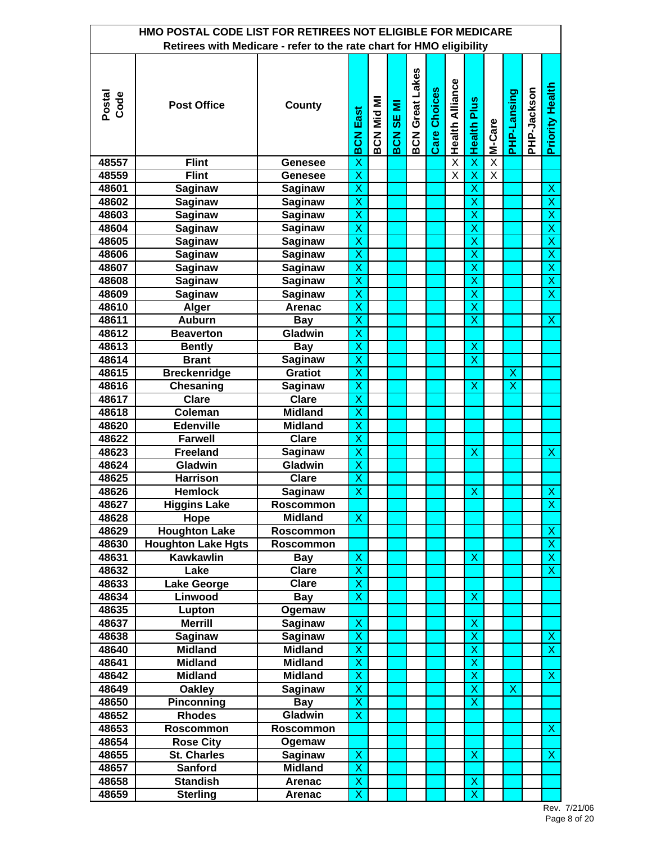|                | HMO POSTAL CODE LIST FOR RETIREES NOT ELIGIBLE FOR MEDICARE<br>Retirees with Medicare - refer to the rate chart for HMO eligibility |                                  |                              |                  |                        |                        |              |                         |                              |                         |                           |             |                         |
|----------------|-------------------------------------------------------------------------------------------------------------------------------------|----------------------------------|------------------------------|------------------|------------------------|------------------------|--------------|-------------------------|------------------------------|-------------------------|---------------------------|-------------|-------------------------|
|                |                                                                                                                                     |                                  |                              |                  |                        |                        |              |                         |                              |                         |                           |             |                         |
| Postal<br>Code | <b>Post Office</b>                                                                                                                  | County                           | <b>BCN East</b>              | <b>BCN Mid M</b> | Ξ<br><b>SE</b><br>BCN: | <b>BCN Great Lakes</b> | Care Choices | <b>Health Alliance</b>  | <b>Health Plus</b>           | M-Care                  | PHP-Lansing               | PHP-Jackson | <b>Priority Health</b>  |
| 48557          | <b>Flint</b>                                                                                                                        | <b>Genesee</b>                   | X                            |                  |                        |                        |              | $\overline{\mathsf{x}}$ | $\overline{\mathsf{x}}$      | $\overline{\mathsf{X}}$ |                           |             |                         |
| 48559          | <b>Flint</b>                                                                                                                        | <b>Genesee</b>                   | $\overline{\mathsf{x}}$      |                  |                        |                        |              | $\overline{\mathsf{x}}$ | $\overline{\mathsf{x}}$      | $\overline{\mathsf{x}}$ |                           |             |                         |
| 48601          | <b>Saginaw</b>                                                                                                                      | <b>Saginaw</b>                   | X                            |                  |                        |                        |              |                         | $\overline{\mathsf{x}}$      |                         |                           |             | X                       |
| 48602          | <b>Saginaw</b>                                                                                                                      | Saginaw                          | X                            |                  |                        |                        |              |                         | X                            |                         |                           |             | $\overline{\mathsf{x}}$ |
| 48603          | Saginaw                                                                                                                             | Saginaw                          | X                            |                  |                        |                        |              |                         | X                            |                         |                           |             | X                       |
| 48604          | Saginaw                                                                                                                             | Saginaw                          | $\overline{\mathsf{x}}$      |                  |                        |                        |              |                         | $\overline{\mathsf{x}}$      |                         |                           |             | $\overline{\mathsf{x}}$ |
| 48605          | Saginaw                                                                                                                             | Saginaw                          | X                            |                  |                        |                        |              |                         | X                            |                         |                           |             | $\overline{\mathsf{x}}$ |
| 48606          | Saginaw                                                                                                                             | Saginaw                          | X                            |                  |                        |                        |              |                         | X                            |                         |                           |             | $\overline{\mathsf{x}}$ |
| 48607          | Saginaw                                                                                                                             | Saginaw                          | X                            |                  |                        |                        |              |                         | X                            |                         |                           |             | $\overline{X}$          |
| 48608          | Saginaw                                                                                                                             | <b>Saginaw</b>                   | $\overline{\mathsf{x}}$      |                  |                        |                        |              |                         | $\overline{\mathsf{x}}$      |                         |                           |             | $\overline{\mathsf{x}}$ |
| 48609          | <b>Saginaw</b>                                                                                                                      | <b>Saginaw</b>                   | X                            |                  |                        |                        |              |                         | X                            |                         |                           |             | $\overline{\textsf{x}}$ |
| 48610          | <b>Alger</b>                                                                                                                        | Arenac                           | X                            |                  |                        |                        |              |                         | X                            |                         |                           |             |                         |
| 48611          | <b>Auburn</b>                                                                                                                       | <b>Bay</b>                       | X                            |                  |                        |                        |              |                         | X                            |                         |                           |             | $\mathsf{X}$            |
| 48612          | <b>Beaverton</b>                                                                                                                    | Gladwin                          | $\overline{\mathsf{x}}$      |                  |                        |                        |              |                         |                              |                         |                           |             |                         |
| 48613          | <b>Bently</b><br><b>Brant</b>                                                                                                       | <b>Bay</b><br><b>Saginaw</b>     | X<br>X                       |                  |                        |                        |              |                         | X<br>X                       |                         |                           |             |                         |
| 48614<br>48615 | <b>Breckenridge</b>                                                                                                                 | <b>Gratiot</b>                   | X                            |                  |                        |                        |              |                         |                              |                         | $\boldsymbol{\mathsf{X}}$ |             |                         |
| 48616          | Chesaning                                                                                                                           | Saginaw                          | $\overline{\mathsf{x}}$      |                  |                        |                        |              |                         | X                            |                         | $\overline{\mathsf{x}}$   |             |                         |
| 48617          | <b>Clare</b>                                                                                                                        | <b>Clare</b>                     | $\overline{\mathsf{x}}$      |                  |                        |                        |              |                         |                              |                         |                           |             |                         |
| 48618          | Coleman                                                                                                                             | <b>Midland</b>                   | X                            |                  |                        |                        |              |                         |                              |                         |                           |             |                         |
| 48620          | <b>Edenville</b>                                                                                                                    | <b>Midland</b>                   | X                            |                  |                        |                        |              |                         |                              |                         |                           |             |                         |
| 48622          | <b>Farwell</b>                                                                                                                      | <b>Clare</b>                     | $\overline{\mathsf{x}}$      |                  |                        |                        |              |                         |                              |                         |                           |             |                         |
| 48623          | <b>Freeland</b>                                                                                                                     | <b>Saginaw</b>                   | $\overline{\mathsf{x}}$      |                  |                        |                        |              |                         | X                            |                         |                           |             | $\overline{\mathsf{x}}$ |
| 48624          | Gladwin                                                                                                                             | Gladwin                          | $\overline{\mathsf{x}}$      |                  |                        |                        |              |                         |                              |                         |                           |             |                         |
| 48625          | <b>Harrison</b>                                                                                                                     | Clare                            | X                            |                  |                        |                        |              |                         |                              |                         |                           |             |                         |
| 48626          | <b>Hemlock</b>                                                                                                                      | Saginaw                          | $\overline{\mathsf{x}}$      |                  |                        |                        |              |                         | $\boldsymbol{\mathsf{X}}$    |                         |                           |             | $\overline{\mathsf{x}}$ |
| 48627          | <b>Higgins Lake</b>                                                                                                                 | Roscommon                        |                              |                  |                        |                        |              |                         |                              |                         |                           |             | X,                      |
| 48628          | Hope                                                                                                                                | <b>Midland</b>                   | Х                            |                  |                        |                        |              |                         |                              |                         |                           |             |                         |
| 48629          | <b>Houghton Lake</b>                                                                                                                | <b>Roscommon</b>                 |                              |                  |                        |                        |              |                         |                              |                         |                           |             | X                       |
| 48630          | <b>Houghton Lake Hgts</b>                                                                                                           | <b>Roscommon</b>                 |                              |                  |                        |                        |              |                         |                              |                         |                           |             | $\pmb{\mathsf{X}}$      |
| 48631          | <b>Kawkawlin</b>                                                                                                                    | <b>Bay</b>                       | X                            |                  |                        |                        |              |                         | $\boldsymbol{\mathsf{X}}$    |                         |                           |             | $\overline{\mathsf{x}}$ |
| 48632          | Lake                                                                                                                                | <b>Clare</b>                     | $\overline{\mathsf{x}}$      |                  |                        |                        |              |                         |                              |                         |                           |             | $\overline{\mathsf{x}}$ |
| 48633          | <b>Lake George</b>                                                                                                                  | <b>Clare</b>                     | X                            |                  |                        |                        |              |                         |                              |                         |                           |             |                         |
| 48634          | Linwood                                                                                                                             | <b>Bay</b>                       | X                            |                  |                        |                        |              |                         | $\boldsymbol{\mathsf{X}}$    |                         |                           |             |                         |
| 48635          | Lupton                                                                                                                              | Ogemaw                           |                              |                  |                        |                        |              |                         |                              |                         |                           |             |                         |
| 48637          | <b>Merrill</b>                                                                                                                      | Saginaw                          | X                            |                  |                        |                        |              |                         | X                            |                         |                           |             |                         |
| 48638          | Saginaw                                                                                                                             | Saginaw                          | X                            |                  |                        |                        |              |                         | X                            |                         |                           |             | X                       |
| 48640<br>48641 | <b>Midland</b><br><b>Midland</b>                                                                                                    | <b>Midland</b><br><b>Midland</b> | X<br>$\overline{\mathsf{x}}$ |                  |                        |                        |              |                         | X<br>$\overline{\mathsf{x}}$ |                         |                           |             | X                       |
|                |                                                                                                                                     | <b>Midland</b>                   | X                            |                  |                        |                        |              |                         | X                            |                         |                           |             | $\mathsf{X}$            |
| 48642<br>48649 | <b>Midland</b><br><b>Oakley</b>                                                                                                     | Saginaw                          | X                            |                  |                        |                        |              |                         | X                            |                         | X                         |             |                         |
| 48650          | Pinconning                                                                                                                          | <b>Bay</b>                       | X                            |                  |                        |                        |              |                         | X                            |                         |                           |             |                         |
| 48652          | <b>Rhodes</b>                                                                                                                       | Gladwin                          | X                            |                  |                        |                        |              |                         |                              |                         |                           |             |                         |
| 48653          | <b>Roscommon</b>                                                                                                                    | <b>Roscommon</b>                 |                              |                  |                        |                        |              |                         |                              |                         |                           |             | $\mathsf{X}$            |
| 48654          | <b>Rose City</b>                                                                                                                    | Ogemaw                           |                              |                  |                        |                        |              |                         |                              |                         |                           |             |                         |
| 48655          | <b>St. Charles</b>                                                                                                                  | <b>Saginaw</b>                   | Χ                            |                  |                        |                        |              |                         | $\boldsymbol{\mathsf{X}}$    |                         |                           |             | X                       |
| 48657          | <b>Sanford</b>                                                                                                                      | <b>Midland</b>                   | X                            |                  |                        |                        |              |                         |                              |                         |                           |             |                         |
| 48658          | <b>Standish</b>                                                                                                                     | <b>Arenac</b>                    | $\overline{\mathsf{x}}$      |                  |                        |                        |              |                         | $\mathsf{X}$                 |                         |                           |             |                         |
| 48659          | <b>Sterling</b>                                                                                                                     | <b>Arenac</b>                    | X                            |                  |                        |                        |              |                         | $\overline{\mathsf{x}}$      |                         |                           |             |                         |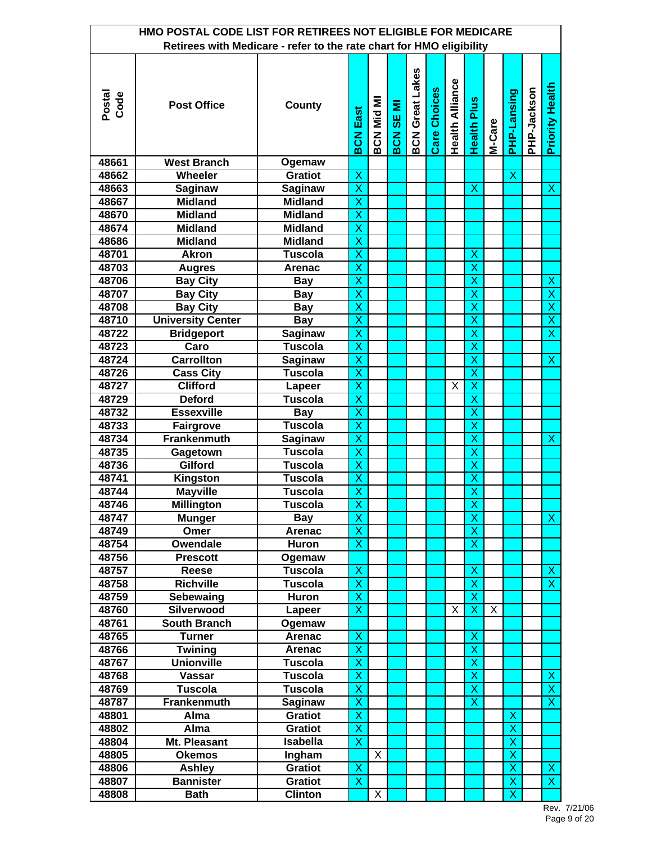|                | HMO POSTAL CODE LIST FOR RETIREES NOT ELIGIBLE FOR MEDICARE          |                |                         |            |                  |                        |                     |                        |                           |        |                         |             |                           |
|----------------|----------------------------------------------------------------------|----------------|-------------------------|------------|------------------|------------------------|---------------------|------------------------|---------------------------|--------|-------------------------|-------------|---------------------------|
|                | Retirees with Medicare - refer to the rate chart for HMO eligibility |                |                         |            |                  |                        |                     |                        |                           |        |                         |             |                           |
| Postal<br>Code | <b>Post Office</b>                                                   | County         | East<br><b>BCN</b>      | BCN Mid MI | <b>BCN SE MI</b> | <b>BCN Great Lakes</b> | <b>Care Choices</b> | <b>Health Alliance</b> | <b>Health Plus</b>        | M-Care | PHP-Lansing             | PHP-Jackson | <b>Priority Health</b>    |
| 48661          | <b>West Branch</b>                                                   | Ogemaw         |                         |            |                  |                        |                     |                        |                           |        |                         |             |                           |
| 48662          | Wheeler                                                              | <b>Gratiot</b> | $\overline{\mathsf{x}}$ |            |                  |                        |                     |                        |                           |        | $\overline{\mathsf{x}}$ |             |                           |
| 48663          | <b>Saginaw</b>                                                       | <b>Saginaw</b> | $\overline{\mathsf{x}}$ |            |                  |                        |                     |                        | $\boldsymbol{\mathsf{X}}$ |        |                         |             | $\boldsymbol{\mathsf{X}}$ |
| 48667          | <b>Midland</b>                                                       | <b>Midland</b> | $\overline{\mathsf{x}}$ |            |                  |                        |                     |                        |                           |        |                         |             |                           |
| 48670          | <b>Midland</b>                                                       | <b>Midland</b> | X                       |            |                  |                        |                     |                        |                           |        |                         |             |                           |
| 48674          | <b>Midland</b>                                                       | <b>Midland</b> | X                       |            |                  |                        |                     |                        |                           |        |                         |             |                           |
| 48686          | <b>Midland</b>                                                       | <b>Midland</b> | $\overline{\mathsf{x}}$ |            |                  |                        |                     |                        |                           |        |                         |             |                           |
| 48701          | <b>Akron</b>                                                         | <b>Tuscola</b> | X                       |            |                  |                        |                     |                        | X                         |        |                         |             |                           |
| 48703          | <b>Augres</b>                                                        | Arenac         | X                       |            |                  |                        |                     |                        | X                         |        |                         |             |                           |
| 48706          | <b>Bay City</b>                                                      | <b>Bay</b>     | X                       |            |                  |                        |                     |                        | X                         |        |                         |             | $\boldsymbol{\mathsf{X}}$ |
| 48707          | <b>Bay City</b>                                                      | <b>Bay</b>     | $\overline{\mathsf{x}}$ |            |                  |                        |                     |                        | $\overline{\mathsf{x}}$   |        |                         |             | $\overline{\mathsf{x}}$   |
| 48708          | <b>Bay City</b>                                                      | <b>Bay</b>     | X                       |            |                  |                        |                     |                        | X                         |        |                         |             | $\overline{\mathsf{x}}$   |
| 48710          | <b>University Center</b>                                             | <b>Bay</b>     | X                       |            |                  |                        |                     |                        | X                         |        |                         |             | $\overline{\mathsf{x}}$   |
| 48722          | <b>Bridgeport</b>                                                    | <b>Saginaw</b> | X                       |            |                  |                        |                     |                        | X                         |        |                         |             | $\overline{\mathsf{x}}$   |
| 48723          | Caro                                                                 | <b>Tuscola</b> | $\overline{\mathsf{x}}$ |            |                  |                        |                     |                        | $\overline{\mathsf{x}}$   |        |                         |             |                           |
| 48724          | <b>Carrollton</b>                                                    | Saginaw        | $\overline{\mathsf{x}}$ |            |                  |                        |                     |                        | $\overline{\mathsf{x}}$   |        |                         |             | $\boldsymbol{\mathsf{X}}$ |
| 48726          | <b>Cass City</b>                                                     | <b>Tuscola</b> | $\overline{\mathsf{x}}$ |            |                  |                        |                     |                        | X                         |        |                         |             |                           |
| 48727          | <b>Clifford</b>                                                      | Lapeer         | X                       |            |                  |                        |                     | X                      | $\pmb{\mathsf{X}}$        |        |                         |             |                           |
| 48729          | <b>Deford</b>                                                        | <b>Tuscola</b> | $\overline{\mathsf{x}}$ |            |                  |                        |                     |                        | $\overline{\mathsf{x}}$   |        |                         |             |                           |
| 48732          | <b>Essexville</b>                                                    | <b>Bay</b>     | $\overline{\mathsf{x}}$ |            |                  |                        |                     |                        | $\overline{\mathsf{x}}$   |        |                         |             |                           |
| 48733          | <b>Fairgrove</b>                                                     | <b>Tuscola</b> | X                       |            |                  |                        |                     |                        | X                         |        |                         |             |                           |
| 48734          | <b>Frankenmuth</b>                                                   | Saginaw        | X                       |            |                  |                        |                     |                        | X                         |        |                         |             | X                         |
| 48735          | Gagetown                                                             | <b>Tuscola</b> | $\overline{\mathsf{x}}$ |            |                  |                        |                     |                        | $\overline{\mathsf{x}}$   |        |                         |             |                           |
| 48736          | Gilford                                                              | <b>Tuscola</b> | $\overline{\mathsf{x}}$ |            |                  |                        |                     |                        | $\overline{\mathsf{x}}$   |        |                         |             |                           |
| 48741          | <b>Kingston</b>                                                      | <b>Tuscola</b> | $\overline{\mathsf{x}}$ |            |                  |                        |                     |                        | $\overline{\mathsf{x}}$   |        |                         |             |                           |
| 48744          | <b>Mayville</b>                                                      | <b>Tuscola</b> | $\overline{\mathsf{x}}$ |            |                  |                        |                     |                        | X                         |        |                         |             |                           |
| 48746          | <b>Millington</b>                                                    | Tuscola        | $\overline{\mathsf{X}}$ |            |                  |                        |                     |                        | X                         |        |                         |             |                           |
| 48747          | <b>Munger</b>                                                        | <b>Bay</b>     | $\overline{\mathsf{x}}$ |            |                  |                        |                     |                        | $\overline{\mathsf{x}}$   |        |                         |             | $\boldsymbol{\mathsf{X}}$ |
| 48749          | Omer                                                                 | <b>Arenac</b>  | X                       |            |                  |                        |                     |                        | X                         |        |                         |             |                           |
| 48754          | Owendale                                                             | Huron          | X                       |            |                  |                        |                     |                        | X                         |        |                         |             |                           |
| 48756          | <b>Prescott</b>                                                      | Ogemaw         |                         |            |                  |                        |                     |                        |                           |        |                         |             |                           |
| 48757          | Reese                                                                | <b>Tuscola</b> | X                       |            |                  |                        |                     |                        | X                         |        |                         |             | $\mathsf{X}$              |
| 48758          | <b>Richville</b>                                                     | <b>Tuscola</b> | $\overline{\mathsf{x}}$ |            |                  |                        |                     |                        | $\overline{\mathsf{x}}$   |        |                         |             | $\overline{\mathsf{x}}$   |
| 48759          | Sebewaing                                                            | Huron          | X                       |            |                  |                        |                     |                        | $\overline{\mathsf{x}}$   |        |                         |             |                           |
| 48760          | Silverwood                                                           | Lapeer         | X                       |            |                  |                        |                     | X                      | $\mathsf{X}$              | X      |                         |             |                           |
| 48761          | <b>South Branch</b>                                                  | Ogemaw         |                         |            |                  |                        |                     |                        |                           |        |                         |             |                           |
| 48765          | <b>Turner</b>                                                        | Arenac         | X                       |            |                  |                        |                     |                        | X                         |        |                         |             |                           |
| 48766          | <b>Twining</b>                                                       | <b>Arenac</b>  | X                       |            |                  |                        |                     |                        | X                         |        |                         |             |                           |
| 48767          | <b>Unionville</b>                                                    | <b>Tuscola</b> | X                       |            |                  |                        |                     |                        | X                         |        |                         |             |                           |
| 48768          | Vassar                                                               | <b>Tuscola</b> | $\overline{\mathsf{x}}$ |            |                  |                        |                     |                        | $\overline{\mathsf{x}}$   |        |                         |             | X                         |
| 48769          | <b>Tuscola</b>                                                       | <b>Tuscola</b> | X                       |            |                  |                        |                     |                        | $\overline{\mathsf{x}}$   |        |                         |             | $\overline{\mathsf{x}}$   |
| 48787          | Frankenmuth                                                          | Saginaw        | X                       |            |                  |                        |                     |                        | X                         |        |                         |             | $\overline{X}$            |
| 48801          | Alma                                                                 | <b>Gratiot</b> | X                       |            |                  |                        |                     |                        |                           |        | X                       |             |                           |
| 48802          | Alma                                                                 | <b>Gratiot</b> | $\overline{\mathsf{x}}$ |            |                  |                        |                     |                        |                           |        | $\overline{\mathsf{x}}$ |             |                           |
| 48804          | Mt. Pleasant                                                         | Isabella       | X                       |            |                  |                        |                     |                        |                           |        | X                       |             |                           |
| 48805          | <b>Okemos</b>                                                        | Ingham         |                         | X          |                  |                        |                     |                        |                           |        | X                       |             |                           |
| 48806          | <b>Ashley</b>                                                        | <b>Gratiot</b> | X                       |            |                  |                        |                     |                        |                           |        | X                       |             | $\boldsymbol{\mathsf{X}}$ |
| 48807          | <b>Bannister</b>                                                     | <b>Gratiot</b> | $\overline{\mathsf{x}}$ |            |                  |                        |                     |                        |                           |        | X                       |             | $\overline{\mathsf{x}}$   |
| 48808          | <b>Bath</b>                                                          | <b>Clinton</b> |                         | X          |                  |                        |                     |                        |                           |        | $\overline{\mathsf{x}}$ |             |                           |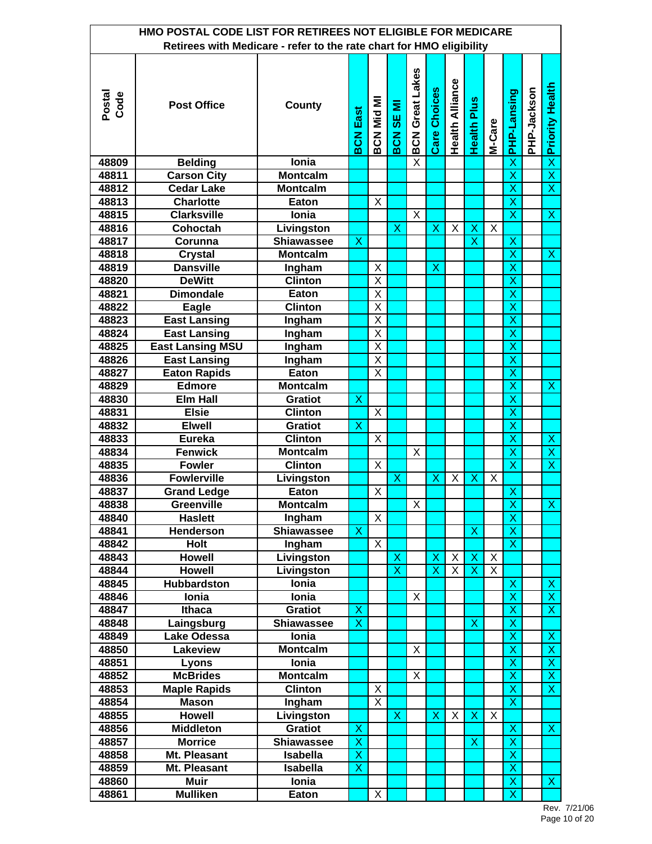|                | HMO POSTAL CODE LIST FOR RETIREES NOT ELIGIBLE FOR MEDICARE          |                   |                         |                         |                         |                         |                         |                        |                           |        |                           |             |                           |
|----------------|----------------------------------------------------------------------|-------------------|-------------------------|-------------------------|-------------------------|-------------------------|-------------------------|------------------------|---------------------------|--------|---------------------------|-------------|---------------------------|
|                | Retirees with Medicare - refer to the rate chart for HMO eligibility |                   |                         |                         |                         |                         |                         |                        |                           |        |                           |             |                           |
| Postal<br>Code | <b>Post Office</b>                                                   | County            | <b>BCN East</b>         | BCN Mid MI              | <b>BCN SE MI</b>        | <b>BCN Great Lakes</b>  | <b>Care Choices</b>     | <b>Health Alliance</b> | <b>Health Plus</b>        | M-Care | <b>PHP-Lansing</b>        | PHP-Jackson | <b>x</b> Priority Health  |
| 48809          | <b>Belding</b>                                                       | <b>lonia</b>      |                         |                         |                         | $\overline{\mathsf{x}}$ |                         |                        |                           |        | X                         |             |                           |
| 48811          | <b>Carson City</b>                                                   | <b>Montcalm</b>   |                         |                         |                         |                         |                         |                        |                           |        | $\overline{\mathsf{x}}$   |             | $\overline{\mathsf{x}}$   |
| 48812          | <b>Cedar Lake</b>                                                    | <b>Montcalm</b>   |                         |                         |                         |                         |                         |                        |                           |        | $\overline{\mathsf{x}}$   |             | $\overline{\mathsf{x}}$   |
| 48813          | <b>Charlotte</b>                                                     | Eaton             |                         | X                       |                         |                         |                         |                        |                           |        | $\overline{\mathsf{x}}$   |             |                           |
| 48815          | <b>Clarksville</b>                                                   | Ionia             |                         |                         |                         | X                       |                         |                        |                           |        | $\overline{\mathsf{x}}$   |             | X                         |
| 48816          | Cohoctah                                                             | Livingston        |                         |                         | X                       |                         | X                       | X                      | X                         | X      |                           |             |                           |
| 48817          | Corunna                                                              | <b>Shiawassee</b> | X                       |                         |                         |                         |                         |                        | $\overline{\mathsf{x}}$   |        | X                         |             |                           |
| 48818          | <b>Crystal</b>                                                       | <b>Montcalm</b>   |                         |                         |                         |                         |                         |                        |                           |        | $\overline{\mathsf{x}}$   |             | $\mathsf{X}$              |
| 48819          | <b>Dansville</b>                                                     | Ingham            |                         | Χ                       |                         |                         | Χ                       |                        |                           |        | X                         |             |                           |
| 48820          | <b>DeWitt</b>                                                        | <b>Clinton</b>    |                         | $\overline{\mathsf{x}}$ |                         |                         |                         |                        |                           |        | X                         |             |                           |
| 48821          | <b>Dimondale</b>                                                     | Eaton             |                         | X                       |                         |                         |                         |                        |                           |        | $\overline{\mathsf{x}}$   |             |                           |
| 48822          | Eagle                                                                | <b>Clinton</b>    |                         | X                       |                         |                         |                         |                        |                           |        | X                         |             |                           |
| 48823          | <b>East Lansing</b>                                                  | Ingham            |                         | X                       |                         |                         |                         |                        |                           |        | X                         |             |                           |
| 48824          | <b>East Lansing</b>                                                  | <b>Ingham</b>     |                         | X                       |                         |                         |                         |                        |                           |        | X                         |             |                           |
| 48825          | <b>East Lansing MSU</b>                                              | Ingham            |                         | X                       |                         |                         |                         |                        |                           |        | $\overline{\mathsf{x}}$   |             |                           |
| 48826          | <b>East Lansing</b>                                                  | Ingham            |                         | X                       |                         |                         |                         |                        |                           |        | X                         |             |                           |
| 48827          | <b>Eaton Rapids</b>                                                  | Eaton             |                         | Χ                       |                         |                         |                         |                        |                           |        | X                         |             |                           |
| 48829          | <b>Edmore</b>                                                        | <b>Montcalm</b>   |                         |                         |                         |                         |                         |                        |                           |        | X                         |             | $\boldsymbol{\mathsf{X}}$ |
| 48830          | <b>Elm Hall</b>                                                      | <b>Gratiot</b>    | X                       |                         |                         |                         |                         |                        |                           |        | $\overline{\mathsf{x}}$   |             |                           |
| 48831          | <b>Elsie</b>                                                         | <b>Clinton</b>    |                         | $\overline{\mathsf{x}}$ |                         |                         |                         |                        |                           |        | $\overline{\mathsf{x}}$   |             |                           |
| 48832          | <b>Elwell</b>                                                        | <b>Gratiot</b>    | Χ                       |                         |                         |                         |                         |                        |                           |        | X                         |             |                           |
| 48833          | <b>Eureka</b>                                                        | <b>Clinton</b>    |                         | X                       |                         |                         |                         |                        |                           |        | X                         |             | $\pmb{\mathsf{X}}$        |
| 48834          | <b>Fenwick</b>                                                       | <b>Montcalm</b>   |                         |                         |                         | X                       |                         |                        |                           |        | $\overline{\mathsf{x}}$   |             | $\overline{\mathsf{x}}$   |
| 48835          | <b>Fowler</b>                                                        | <b>Clinton</b>    |                         | Χ                       |                         |                         |                         |                        |                           |        | $\overline{\textsf{x}}$   |             | $\overline{\textsf{x}}$   |
| 48836          | <b>Fowlerville</b>                                                   | Livingston        |                         |                         | X                       |                         | Χ                       | X                      | X                         | X      |                           |             |                           |
| 48837          | <b>Grand Ledge</b>                                                   | Eaton             |                         | X                       |                         |                         |                         |                        |                           |        | X                         |             |                           |
| 48838          | Greenville                                                           | Montcalm          |                         |                         |                         | X.                      |                         |                        |                           |        | $\overline{\mathsf{x}}$   |             | $\overline{\mathsf{X}}$   |
| 48840          | <b>Haslett</b>                                                       | Ingham            |                         | X                       |                         |                         |                         |                        |                           |        | $\overline{\mathsf{x}}$   |             |                           |
| 48841          | <b>Henderson</b>                                                     | Shiawassee        | Х                       |                         |                         |                         |                         |                        | $\mathsf{X}$              |        | $\overline{\mathsf{X}}$   |             |                           |
| 48842          | Holt                                                                 | Ingham            |                         | X                       |                         |                         |                         |                        |                           |        | $\overline{\mathsf{X}}$   |             |                           |
| 48843          | <b>Howell</b>                                                        | Livingston        |                         |                         | X                       |                         | Χ                       | X                      | X                         | X      |                           |             |                           |
| 48844          | <b>Howell</b>                                                        | Livingston        |                         |                         | $\overline{\mathsf{x}}$ |                         | $\overline{\mathsf{x}}$ | X                      | X                         | X      |                           |             |                           |
| 48845          | Hubbardston                                                          | Ionia             |                         |                         |                         |                         |                         |                        |                           |        | $\boldsymbol{\mathsf{X}}$ |             | $\boldsymbol{\mathsf{X}}$ |
| 48846          | Ionia                                                                | Ionia             |                         |                         |                         | X                       |                         |                        |                           |        | X                         |             | $\overline{X}$            |
| 48847          | <b>Ithaca</b>                                                        | <b>Gratiot</b>    | X                       |                         |                         |                         |                         |                        |                           |        | $\pmb{\mathsf{X}}$        |             | $\boldsymbol{\mathsf{X}}$ |
| 48848          | Laingsburg                                                           | <b>Shiawassee</b> | $\overline{\mathsf{x}}$ |                         |                         |                         |                         |                        | $\boldsymbol{\mathsf{X}}$ |        | $\overline{\mathsf{x}}$   |             |                           |
| 48849          | <b>Lake Odessa</b>                                                   | Ionia             |                         |                         |                         |                         |                         |                        |                           |        | X                         |             | $\mathsf X$               |
| 48850          | Lakeview                                                             | <b>Montcalm</b>   |                         |                         |                         | X                       |                         |                        |                           |        | X                         |             | $\boldsymbol{\mathsf{X}}$ |
| 48851          | Lyons                                                                | Ionia             |                         |                         |                         |                         |                         |                        |                           |        | X                         |             | $\mathsf X$               |
| 48852          | <b>McBrides</b>                                                      | <b>Montcalm</b>   |                         |                         |                         | X                       |                         |                        |                           |        | $\overline{\mathsf{x}}$   |             | $\overline{\mathsf{x}}$   |
| 48853          | <b>Maple Rapids</b>                                                  | <b>Clinton</b>    |                         | X                       |                         |                         |                         |                        |                           |        | X                         |             | $\overline{\mathsf{x}}$   |
| 48854          | <b>Mason</b>                                                         | Ingham            |                         | Χ                       |                         |                         |                         |                        |                           |        | $\mathsf{X}$              |             |                           |
| 48855          | <b>Howell</b>                                                        | Livingston        |                         |                         | X                       |                         | X                       | X                      | $\boldsymbol{\mathsf{X}}$ | X      |                           |             |                           |
| 48856          | <b>Middleton</b>                                                     | <b>Gratiot</b>    | X                       |                         |                         |                         |                         |                        |                           |        | $\boldsymbol{\mathsf{X}}$ |             | $\boldsymbol{\mathsf{X}}$ |
| 48857          | <b>Morrice</b>                                                       | <b>Shiawassee</b> | X                       |                         |                         |                         |                         |                        | X                         |        | $\overline{\mathsf{X}}$   |             |                           |
| 48858          | Mt. Pleasant                                                         | <b>Isabella</b>   | X                       |                         |                         |                         |                         |                        |                           |        | X                         |             |                           |
| 48859          | Mt. Pleasant                                                         | <b>Isabella</b>   | X                       |                         |                         |                         |                         |                        |                           |        | X                         |             |                           |
| 48860          | <b>Muir</b>                                                          | Ionia             |                         |                         |                         |                         |                         |                        |                           |        | X                         |             | $\overline{\mathsf{x}}$   |
| 48861          | <b>Mulliken</b>                                                      | Eaton             |                         | X                       |                         |                         |                         |                        |                           |        | $\overline{\mathsf{x}}$   |             |                           |

Rev. 7/21/06 Page 10 of 20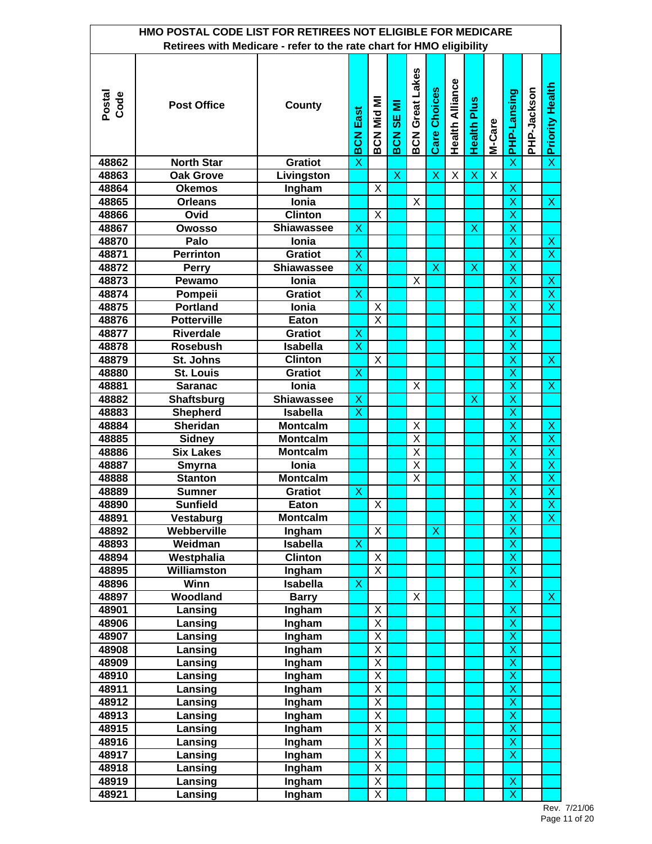|                | HMO POSTAL CODE LIST FOR RETIREES NOT ELIGIBLE FOR MEDICARE          |                   |                         |                         |                                         |                         |                     |                        |                           |                         |                           |             |                          |
|----------------|----------------------------------------------------------------------|-------------------|-------------------------|-------------------------|-----------------------------------------|-------------------------|---------------------|------------------------|---------------------------|-------------------------|---------------------------|-------------|--------------------------|
|                | Retirees with Medicare - refer to the rate chart for HMO eligibility |                   |                         |                         |                                         |                         |                     |                        |                           |                         |                           |             |                          |
| Postal<br>Code | <b>Post Office</b>                                                   | <b>County</b>     | <b>BCN East</b>         | BCN Mid MI              | Ξ<br>$\overline{\text{}}$<br><b>BCN</b> | <b>BCN Great Lakes</b>  | <b>Care Choices</b> | <b>Health Alliance</b> | <b>Health Plus</b>        | M-Care                  | PHP-Lansing               | PHP-Jackson | <b>x</b> Priority Health |
| 48862          | <b>North Star</b>                                                    | <b>Gratiot</b>    | X                       |                         |                                         |                         |                     |                        |                           |                         | $\overline{\mathsf{x}}$   |             |                          |
| 48863          | <b>Oak Grove</b>                                                     | Livingston        |                         |                         | $\pmb{\mathsf{X}}$                      |                         | Χ                   | X                      | $\boldsymbol{\mathsf{X}}$ | $\overline{\mathsf{x}}$ |                           |             |                          |
| 48864          | <b>Okemos</b>                                                        | Ingham            |                         | $\overline{\mathsf{x}}$ |                                         |                         |                     |                        |                           |                         | $\boldsymbol{\mathsf{X}}$ |             |                          |
| 48865          | <b>Orleans</b>                                                       | Ionia             |                         |                         |                                         | X                       |                     |                        |                           |                         | $\overline{\mathsf{x}}$   |             | $\overline{\mathsf{x}}$  |
| 48866          | Ovid                                                                 | <b>Clinton</b>    |                         | X                       |                                         |                         |                     |                        |                           |                         | $\overline{\mathsf{x}}$   |             |                          |
| 48867          | <b>Owosso</b>                                                        | <b>Shiawassee</b> | Х                       |                         |                                         |                         |                     |                        | X                         |                         | X                         |             |                          |
| 48870          | Palo                                                                 | Ionia             |                         |                         |                                         |                         |                     |                        |                           |                         | X                         |             | X                        |
| 48871          | <b>Perrinton</b>                                                     | <b>Gratiot</b>    | X                       |                         |                                         |                         |                     |                        |                           |                         | $\overline{\mathsf{x}}$   |             | $\overline{\mathsf{x}}$  |
| 48872          | Perry                                                                | <b>Shiawassee</b> | X                       |                         |                                         |                         | X                   |                        | Х                         |                         | X                         |             |                          |
| 48873          | Pewamo                                                               | Ionia             |                         |                         |                                         | Х                       |                     |                        |                           |                         | X                         |             | X                        |
| 48874          | Pompeii                                                              | <b>Gratiot</b>    | $\mathsf{X}$            |                         |                                         |                         |                     |                        |                           |                         | X                         |             | $\pmb{\mathsf{X}}$       |
| 48875          | <b>Portland</b>                                                      | Ionia             |                         | Χ                       |                                         |                         |                     |                        |                           |                         | $\overline{\mathsf{x}}$   |             | $\overline{\textsf{x}}$  |
| 48876          | <b>Potterville</b>                                                   | Eaton             |                         | X                       |                                         |                         |                     |                        |                           |                         | X                         |             |                          |
| 48877          | <b>Riverdale</b>                                                     | <b>Gratiot</b>    | Х                       |                         |                                         |                         |                     |                        |                           |                         | X                         |             |                          |
| 48878          | <b>Rosebush</b>                                                      | <b>Isabella</b>   | X                       |                         |                                         |                         |                     |                        |                           |                         | $\boldsymbol{\mathsf{X}}$ |             |                          |
| 48879          | St. Johns                                                            | <b>Clinton</b>    |                         | X                       |                                         |                         |                     |                        |                           |                         | $\overline{\mathsf{x}}$   |             | $\overline{\mathsf{x}}$  |
| 48880          | <b>St. Louis</b>                                                     | <b>Gratiot</b>    | X                       |                         |                                         |                         |                     |                        |                           |                         | $\overline{\mathsf{x}}$   |             |                          |
| 48881          | <b>Saranac</b>                                                       | Ionia             |                         |                         |                                         | Χ                       |                     |                        |                           |                         | X                         |             | X                        |
| 48882          | <b>Shaftsburg</b>                                                    | <b>Shiawassee</b> | X                       |                         |                                         |                         |                     |                        | $\boldsymbol{\mathsf{X}}$ |                         | $\mathsf{X}$              |             |                          |
| 48883          | <b>Shepherd</b>                                                      | <b>Isabella</b>   | $\overline{\mathsf{x}}$ |                         |                                         |                         |                     |                        |                           |                         | $\overline{\mathsf{x}}$   |             |                          |
| 48884          | <b>Sheridan</b>                                                      | <b>Montcalm</b>   |                         |                         |                                         | X                       |                     |                        |                           |                         | $\overline{\mathsf{x}}$   |             | X                        |
| 48885          | <b>Sidney</b>                                                        | <b>Montcalm</b>   |                         |                         |                                         | X                       |                     |                        |                           |                         | X                         |             | $\overline{\mathsf{x}}$  |
| 48886          | <b>Six Lakes</b>                                                     | <b>Montcalm</b>   |                         |                         |                                         | $\overline{\mathsf{x}}$ |                     |                        |                           |                         | X                         |             | $\overline{\mathsf{x}}$  |
| 48887          | Smyrna                                                               | Ionia             |                         |                         |                                         | $\overline{\mathsf{x}}$ |                     |                        |                           |                         | $\overline{\mathsf{x}}$   |             | $\overline{\mathsf{x}}$  |
| 48888          | <b>Stanton</b>                                                       | <b>Montcalm</b>   |                         |                         |                                         | $\overline{\mathsf{x}}$ |                     |                        |                           |                         | $\overline{\mathsf{x}}$   |             | $\overline{\mathsf{x}}$  |
| 48889          | Sumner                                                               | <b>Gratiot</b>    | Χ                       |                         |                                         |                         |                     |                        |                           |                         | X                         |             | $\overline{\mathsf{x}}$  |
| 48890          | <b>Sunfield</b>                                                      | Eaton             |                         | $\overline{\mathsf{x}}$ |                                         |                         |                     |                        |                           |                         | X,                        |             | Х,                       |
| 48891          | Vestaburg                                                            | <b>Montcalm</b>   |                         |                         |                                         |                         |                     |                        |                           |                         | $\mathsf X$               |             | $\mathsf{X}$             |
| 48892          | Webberville                                                          | Ingham            |                         | X                       |                                         |                         | X                   |                        |                           |                         | $\overline{\mathsf{x}}$   |             |                          |
| 48893          | Weidman                                                              | <b>Isabella</b>   | Χ                       |                         |                                         |                         |                     |                        |                           |                         | X                         |             |                          |
| 48894          | Westphalia                                                           | <b>Clinton</b>    |                         | Χ                       |                                         |                         |                     |                        |                           |                         | X                         |             |                          |
| 48895          | Williamston                                                          | Ingham            |                         | X                       |                                         |                         |                     |                        |                           |                         | $\mathsf{X}$              |             |                          |
| 48896          | Winn                                                                 | <b>Isabella</b>   | X                       |                         |                                         |                         |                     |                        |                           |                         | $\overline{\mathsf{x}}$   |             |                          |
| 48897          | Woodland                                                             | <b>Barry</b>      |                         |                         |                                         | Χ                       |                     |                        |                           |                         |                           |             | $\mathsf{X}$             |
| 48901          | Lansing                                                              | Ingham            |                         | Χ                       |                                         |                         |                     |                        |                           |                         | $\mathsf{X}$              |             |                          |
| 48906          | Lansing                                                              | Ingham            |                         | $\overline{\mathsf{X}}$ |                                         |                         |                     |                        |                           |                         | $\mathsf X$               |             |                          |
| 48907          | Lansing                                                              | Ingham            |                         | X                       |                                         |                         |                     |                        |                           |                         | $\overline{\mathsf{x}}$   |             |                          |
| 48908          | Lansing                                                              | Ingham            |                         | $\overline{\mathsf{x}}$ |                                         |                         |                     |                        |                           |                         | $\overline{\mathsf{x}}$   |             |                          |
| 48909          | Lansing                                                              | Ingham            |                         | X                       |                                         |                         |                     |                        |                           |                         | X                         |             |                          |
| 48910          | Lansing                                                              | Ingham            |                         | X                       |                                         |                         |                     |                        |                           |                         | X                         |             |                          |
| 48911          | Lansing                                                              | Ingham            |                         | X                       |                                         |                         |                     |                        |                           |                         | $\overline{\mathsf{x}}$   |             |                          |
| 48912          | Lansing                                                              | Ingham            |                         | Χ                       |                                         |                         |                     |                        |                           |                         | $\overline{\mathsf{x}}$   |             |                          |
| 48913          | Lansing                                                              | Ingham            |                         | Χ                       |                                         |                         |                     |                        |                           |                         | X                         |             |                          |
| 48915          | Lansing                                                              | Ingham            |                         | Χ                       |                                         |                         |                     |                        |                           |                         | $\pmb{\mathsf{X}}$        |             |                          |
| 48916          | Lansing                                                              | Ingham            |                         | Χ                       |                                         |                         |                     |                        |                           |                         | $\overline{\mathsf{x}}$   |             |                          |
| 48917          | Lansing                                                              | Ingham            |                         | Χ                       |                                         |                         |                     |                        |                           |                         | $\overline{\mathsf{x}}$   |             |                          |
| 48918          | Lansing                                                              | Ingham            |                         | Χ                       |                                         |                         |                     |                        |                           |                         |                           |             |                          |
| 48919          | Lansing                                                              | Ingham            |                         | Χ                       |                                         |                         |                     |                        |                           |                         | X                         |             |                          |
| 48921          | Lansing                                                              | <b>Ingham</b>     |                         | Χ                       |                                         |                         |                     |                        |                           |                         | $\overline{\mathsf{x}}$   |             |                          |

Rev. 7/21/06 Page 11 of 20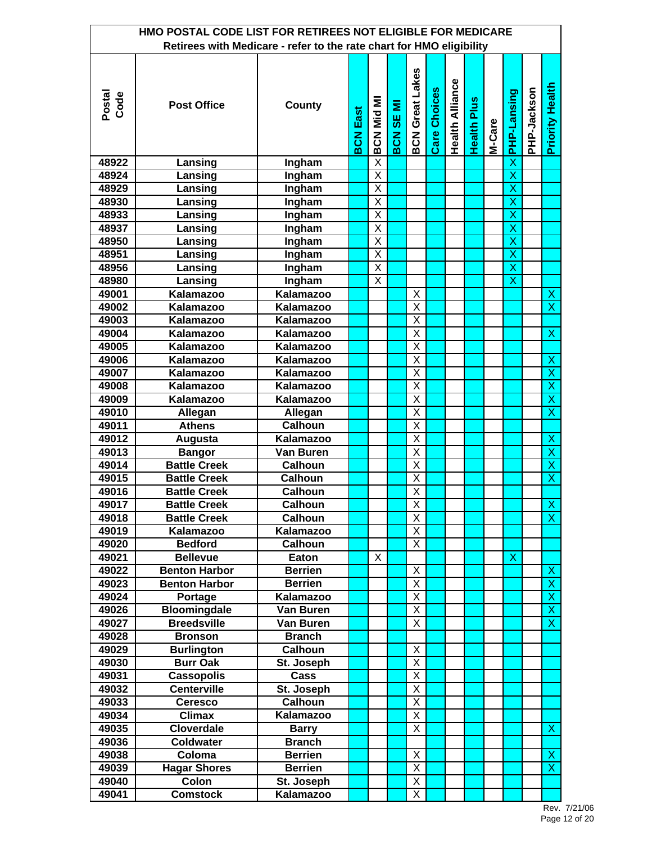|                | HMO POSTAL CODE LIST FOR RETIREES NOT ELIGIBLE FOR MEDICARE<br>Retirees with Medicare - refer to the rate chart for HMO eligibility |                  |                 |                         |             |                         |                     |                        |                    |        |                         |             |                           |
|----------------|-------------------------------------------------------------------------------------------------------------------------------------|------------------|-----------------|-------------------------|-------------|-------------------------|---------------------|------------------------|--------------------|--------|-------------------------|-------------|---------------------------|
|                |                                                                                                                                     |                  |                 |                         |             |                         |                     |                        |                    |        |                         |             |                           |
| Postal<br>Code | <b>Post Office</b>                                                                                                                  | County           | <b>BCN East</b> | BCN Mid MI              | Σ<br>BCN SE | <b>BCN Great Lakes</b>  | <b>Care Choices</b> | <b>Health Alliance</b> | <b>Health Plus</b> | M-Care | <b>PHP-Lansing</b>      | PHP-Jackson | <b>Priority Health</b>    |
| 48922          | Lansing                                                                                                                             | Ingham           |                 | $\overline{\mathsf{X}}$ |             |                         |                     |                        |                    |        | X                       |             |                           |
| 48924          | Lansing                                                                                                                             | Ingham           |                 | $\overline{\mathsf{x}}$ |             |                         |                     |                        |                    |        | $\overline{\mathsf{x}}$ |             |                           |
| 48929          | Lansing                                                                                                                             | Ingham           |                 | $\overline{\mathsf{x}}$ |             |                         |                     |                        |                    |        | $\overline{\mathsf{x}}$ |             |                           |
| 48930          | Lansing                                                                                                                             | Ingham           |                 | $\overline{\mathsf{x}}$ |             |                         |                     |                        |                    |        | X                       |             |                           |
| 48933          | Lansing                                                                                                                             | Ingham           |                 | X                       |             |                         |                     |                        |                    |        | X                       |             |                           |
| 48937          | Lansing                                                                                                                             | Ingham           |                 | X                       |             |                         |                     |                        |                    |        | X                       |             |                           |
| 48950          | Lansing                                                                                                                             | Ingham           |                 | X                       |             |                         |                     |                        |                    |        | X                       |             |                           |
| 48951          | Lansing                                                                                                                             | Ingham           |                 | X                       |             |                         |                     |                        |                    |        | X                       |             |                           |
| 48956          | Lansing                                                                                                                             | Ingham           |                 | X                       |             |                         |                     |                        |                    |        | X                       |             |                           |
| 48980          | Lansing                                                                                                                             | Ingham           |                 | X                       |             |                         |                     |                        |                    |        | X                       |             |                           |
| 49001          | Kalamazoo                                                                                                                           | <b>Kalamazoo</b> |                 |                         |             | Χ                       |                     |                        |                    |        |                         |             | $\mathsf{X}$              |
| 49002          | Kalamazoo                                                                                                                           | Kalamazoo        |                 |                         |             | X                       |                     |                        |                    |        |                         |             | $\overline{\mathsf{x}}$   |
| 49003          | Kalamazoo                                                                                                                           | Kalamazoo        |                 |                         |             | Χ                       |                     |                        |                    |        |                         |             |                           |
| 49004          | Kalamazoo                                                                                                                           | Kalamazoo        |                 |                         |             | X                       |                     |                        |                    |        |                         |             | $\boldsymbol{\mathsf{X}}$ |
| 49005          | Kalamazoo                                                                                                                           | Kalamazoo        |                 |                         |             | X                       |                     |                        |                    |        |                         |             |                           |
| 49006          | Kalamazoo                                                                                                                           | Kalamazoo        |                 |                         |             | X                       |                     |                        |                    |        |                         |             | $\mathsf X$               |
| 49007          | Kalamazoo                                                                                                                           | Kalamazoo        |                 |                         |             | X                       |                     |                        |                    |        |                         |             | $\overline{\mathsf{x}}$   |
| 49008          | Kalamazoo                                                                                                                           | Kalamazoo        |                 |                         |             | $\overline{\mathsf{x}}$ |                     |                        |                    |        |                         |             | $\overline{X}$            |
| 49009          | Kalamazoo                                                                                                                           | Kalamazoo        |                 |                         |             | $\overline{\mathsf{x}}$ |                     |                        |                    |        |                         |             | $\overline{\mathsf{x}}$   |
| 49010          | Allegan                                                                                                                             | Allegan          |                 |                         |             | $\overline{\mathsf{x}}$ |                     |                        |                    |        |                         |             | $\overline{\mathsf{x}}$   |
| 49011          | <b>Athens</b>                                                                                                                       | <b>Calhoun</b>   |                 |                         |             | X                       |                     |                        |                    |        |                         |             |                           |
| 49012          | Augusta                                                                                                                             | Kalamazoo        |                 |                         |             | $\overline{\mathsf{x}}$ |                     |                        |                    |        |                         |             | X                         |
| 49013          | <b>Bangor</b>                                                                                                                       | Van Buren        |                 |                         |             | $\overline{\mathsf{x}}$ |                     |                        |                    |        |                         |             | $\overline{\mathsf{x}}$   |
| 49014          | <b>Battle Creek</b>                                                                                                                 | <b>Calhoun</b>   |                 |                         |             | $\overline{\mathsf{x}}$ |                     |                        |                    |        |                         |             | $\overline{\mathsf{x}}$   |
| 49015          | <b>Battle Creek</b>                                                                                                                 | <b>Calhoun</b>   |                 |                         |             | $\overline{\mathsf{x}}$ |                     |                        |                    |        |                         |             | $\overline{\mathsf{x}}$   |
| 49016          | <b>Battle Creek</b>                                                                                                                 | Calhoun          |                 |                         |             | $\overline{\mathsf{x}}$ |                     |                        |                    |        |                         |             |                           |
| 49017          | <b>Battle Creek</b>                                                                                                                 | Calhoun          |                 |                         |             | X                       |                     |                        |                    |        |                         |             | $\overline{\mathsf{x}}$   |
| 49018          | <b>Battle Creek</b>                                                                                                                 | <b>Calhoun</b>   |                 |                         |             | $\overline{\mathsf{X}}$ |                     |                        |                    |        |                         |             | $\overline{\mathsf{x}}$   |
| 49019          | Kalamazoo                                                                                                                           | Kalamazoo        |                 |                         |             | Χ                       |                     |                        |                    |        |                         |             |                           |
| 49020          | <b>Bedford</b>                                                                                                                      | <b>Calhoun</b>   |                 |                         |             | Χ                       |                     |                        |                    |        |                         |             |                           |
| 49021          | <b>Bellevue</b>                                                                                                                     | Eaton            |                 | X                       |             |                         |                     |                        |                    |        | X                       |             |                           |
| 49022          | <b>Benton Harbor</b>                                                                                                                | <b>Berrien</b>   |                 |                         |             | X                       |                     |                        |                    |        |                         |             | $\mathsf{X}$              |
| 49023          | <b>Benton Harbor</b>                                                                                                                | <b>Berrien</b>   |                 |                         |             | X                       |                     |                        |                    |        |                         |             | $\overline{X}$            |
| 49024          | Portage                                                                                                                             | Kalamazoo        |                 |                         |             | X                       |                     |                        |                    |        |                         |             | $\overline{X}$            |
| 49026          | <b>Bloomingdale</b>                                                                                                                 | Van Buren        |                 |                         |             | $\overline{X}$          |                     |                        |                    |        |                         |             | $\boldsymbol{\mathsf{X}}$ |
| 49027          | <b>Breedsville</b>                                                                                                                  | Van Buren        |                 |                         |             | X                       |                     |                        |                    |        |                         |             | $\overline{\mathsf{x}}$   |
| 49028          | <b>Bronson</b>                                                                                                                      | <b>Branch</b>    |                 |                         |             |                         |                     |                        |                    |        |                         |             |                           |
| 49029          | <b>Burlington</b>                                                                                                                   | <b>Calhoun</b>   |                 |                         |             | Χ                       |                     |                        |                    |        |                         |             |                           |
| 49030          | <b>Burr Oak</b>                                                                                                                     | St. Joseph       |                 |                         |             | $\overline{\mathsf{x}}$ |                     |                        |                    |        |                         |             |                           |
| 49031          | <b>Cassopolis</b>                                                                                                                   | Cass             |                 |                         |             | X                       |                     |                        |                    |        |                         |             |                           |
| 49032          | <b>Centerville</b>                                                                                                                  | St. Joseph       |                 |                         |             | X                       |                     |                        |                    |        |                         |             |                           |
| 49033          | <b>Ceresco</b>                                                                                                                      | <b>Calhoun</b>   |                 |                         |             | Χ                       |                     |                        |                    |        |                         |             |                           |
| 49034          | <b>Climax</b>                                                                                                                       | Kalamazoo        |                 |                         |             | $\overline{X}$          |                     |                        |                    |        |                         |             |                           |
| 49035          | <b>Cloverdale</b>                                                                                                                   | <b>Barry</b>     |                 |                         |             | X                       |                     |                        |                    |        |                         |             | $\boldsymbol{\mathsf{X}}$ |
| 49036          | Coldwater                                                                                                                           | <b>Branch</b>    |                 |                         |             |                         |                     |                        |                    |        |                         |             |                           |
| 49038          | Coloma                                                                                                                              | <b>Berrien</b>   |                 |                         |             | X                       |                     |                        |                    |        |                         |             | X                         |
| 49039          | <b>Hagar Shores</b>                                                                                                                 | <b>Berrien</b>   |                 |                         |             | X                       |                     |                        |                    |        |                         |             | $\boldsymbol{\mathsf{X}}$ |
| 49040          | Colon                                                                                                                               | St. Joseph       |                 |                         |             | Χ                       |                     |                        |                    |        |                         |             |                           |
| 49041          | <b>Comstock</b>                                                                                                                     | Kalamazoo        |                 |                         |             | $\overline{\mathsf{X}}$ |                     |                        |                    |        |                         |             |                           |

Rev. 7/21/06 Page 12 of 20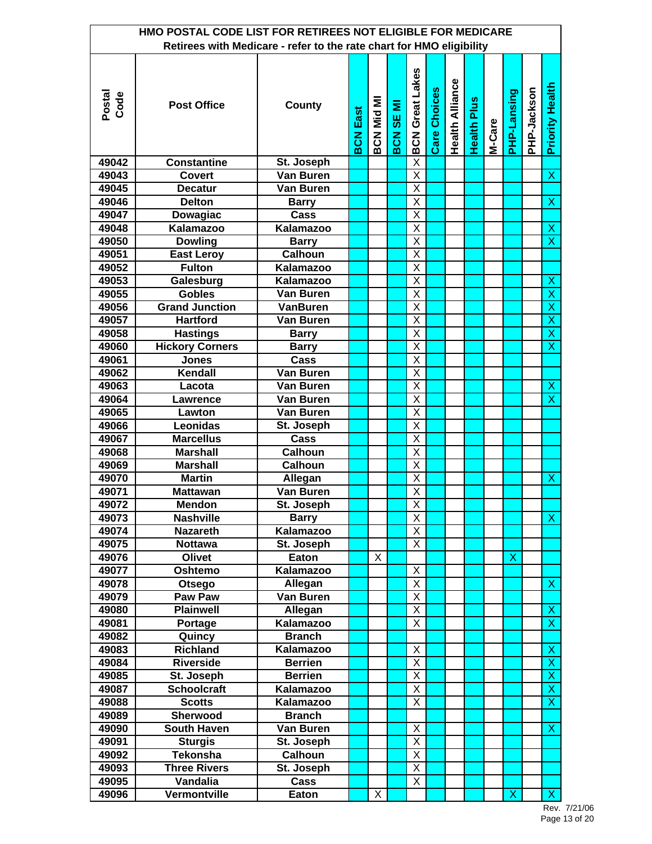|                | HMO POSTAL CODE LIST FOR RETIREES NOT ELIGIBLE FOR MEDICARE<br>Retirees with Medicare - refer to the rate chart for HMO eligibility |                  |                 |            |                  |                         |                     |                        |                    |        |             |             |                           |
|----------------|-------------------------------------------------------------------------------------------------------------------------------------|------------------|-----------------|------------|------------------|-------------------------|---------------------|------------------------|--------------------|--------|-------------|-------------|---------------------------|
|                |                                                                                                                                     |                  |                 |            |                  |                         |                     |                        |                    |        |             |             |                           |
| Postal<br>Code | <b>Post Office</b>                                                                                                                  | County           | <b>BCN East</b> | BCN Mid MI | <b>BCN SE MI</b> | <b>BCN Great Lakes</b>  | <b>Care Choices</b> | <b>Health Alliance</b> | <b>Health Plus</b> | M-Care | PHP-Lansing | PHP-Jackson | <b>Priority Health</b>    |
| 49042          | <b>Constantine</b>                                                                                                                  | St. Joseph       |                 |            |                  | $\overline{\mathsf{x}}$ |                     |                        |                    |        |             |             |                           |
| 49043          | <b>Covert</b>                                                                                                                       | <b>Van Buren</b> |                 |            |                  | $\overline{\mathsf{x}}$ |                     |                        |                    |        |             |             | $\overline{\mathsf{x}}$   |
| 49045          | <b>Decatur</b>                                                                                                                      | Van Buren        |                 |            |                  | $\overline{\mathsf{x}}$ |                     |                        |                    |        |             |             |                           |
| 49046          | <b>Delton</b>                                                                                                                       | <b>Barry</b>     |                 |            |                  | Χ                       |                     |                        |                    |        |             |             | X                         |
| 49047          | Dowagiac                                                                                                                            | Cass             |                 |            |                  | $\overline{\mathsf{x}}$ |                     |                        |                    |        |             |             |                           |
| 49048          | <b>Kalamazoo</b>                                                                                                                    | <b>Kalamazoo</b> |                 |            |                  | $\overline{\mathsf{x}}$ |                     |                        |                    |        |             |             | X                         |
| 49050          | <b>Dowling</b>                                                                                                                      | <b>Barry</b>     |                 |            |                  | $\overline{\mathsf{x}}$ |                     |                        |                    |        |             |             | $\overline{\mathsf{x}}$   |
| 49051          | <b>East Leroy</b>                                                                                                                   | <b>Calhoun</b>   |                 |            |                  | $\overline{\mathsf{x}}$ |                     |                        |                    |        |             |             |                           |
| 49052          | <b>Fulton</b>                                                                                                                       | Kalamazoo        |                 |            |                  | $\overline{\mathsf{x}}$ |                     |                        |                    |        |             |             |                           |
| 49053          | Galesburg                                                                                                                           | Kalamazoo        |                 |            |                  | Χ                       |                     |                        |                    |        |             |             | $\boldsymbol{\mathsf{X}}$ |
| 49055          | <b>Gobles</b>                                                                                                                       | Van Buren        |                 |            |                  | X                       |                     |                        |                    |        |             |             | $\overline{\mathsf{x}}$   |
| 49056          | <b>Grand Junction</b>                                                                                                               | <b>VanBuren</b>  |                 |            |                  | Χ                       |                     |                        |                    |        |             |             | $\overline{\mathsf{x}}$   |
| 49057          | <b>Hartford</b>                                                                                                                     | Van Buren        |                 |            |                  | X                       |                     |                        |                    |        |             |             | $\overline{X}$            |
| 49058          | <b>Hastings</b>                                                                                                                     | <b>Barry</b>     |                 |            |                  | X                       |                     |                        |                    |        |             |             | $\overline{\mathsf{x}}$   |
| 49060          | <b>Hickory Corners</b>                                                                                                              | <b>Barry</b>     |                 |            |                  | X                       |                     |                        |                    |        |             |             | $\overline{\mathsf{x}}$   |
| 49061          | <b>Jones</b>                                                                                                                        | Cass             |                 |            |                  | Χ                       |                     |                        |                    |        |             |             |                           |
| 49062          | Kendall                                                                                                                             | Van Buren        |                 |            |                  | $\overline{\mathsf{X}}$ |                     |                        |                    |        |             |             |                           |
| 49063          | Lacota                                                                                                                              | Van Buren        |                 |            |                  | $\overline{\mathsf{X}}$ |                     |                        |                    |        |             |             | $\mathsf X$               |
| 49064          | Lawrence                                                                                                                            | Van Buren        |                 |            |                  | $\overline{\mathsf{x}}$ |                     |                        |                    |        |             |             | $\overline{\mathsf{x}}$   |
| 49065          | Lawton                                                                                                                              | Van Buren        |                 |            |                  | Χ                       |                     |                        |                    |        |             |             |                           |
| 49066          | <b>Leonidas</b>                                                                                                                     | St. Joseph       |                 |            |                  | $\overline{\mathsf{x}}$ |                     |                        |                    |        |             |             |                           |
| 49067          | <b>Marcellus</b>                                                                                                                    | Cass             |                 |            |                  | $\overline{\mathsf{x}}$ |                     |                        |                    |        |             |             |                           |
| 49068          | <b>Marshall</b>                                                                                                                     | <b>Calhoun</b>   |                 |            |                  | $\overline{\mathsf{x}}$ |                     |                        |                    |        |             |             |                           |
| 49069          | <b>Marshall</b>                                                                                                                     | <b>Calhoun</b>   |                 |            |                  | $\overline{\mathsf{X}}$ |                     |                        |                    |        |             |             |                           |
| 49070          | <b>Martin</b>                                                                                                                       | Allegan          |                 |            |                  | $\overline{\mathsf{x}}$ |                     |                        |                    |        |             |             | $\boldsymbol{\mathsf{X}}$ |
| 49071          | <b>Mattawan</b>                                                                                                                     | Van Buren        |                 |            |                  | $\overline{\mathsf{X}}$ |                     |                        |                    |        |             |             |                           |
| 49072          | Mendon                                                                                                                              | St. Joseph       |                 |            |                  | X                       |                     |                        |                    |        |             |             |                           |
| 49073          | <b>Nashville</b>                                                                                                                    | <b>Barry</b>     |                 |            |                  | X                       |                     |                        |                    |        |             |             | $\boldsymbol{\mathsf{X}}$ |
| 49074          | <b>Nazareth</b>                                                                                                                     | <b>Kalamazoo</b> |                 |            |                  | Χ                       |                     |                        |                    |        |             |             |                           |
| 49075          | <b>Nottawa</b>                                                                                                                      | St. Joseph       |                 |            |                  | X                       |                     |                        |                    |        |             |             |                           |
| 49076          | Olivet                                                                                                                              | Eaton            |                 | X          |                  |                         |                     |                        |                    |        | X           |             |                           |
| 49077          | Oshtemo                                                                                                                             | Kalamazoo        |                 |            |                  | Χ                       |                     |                        |                    |        |             |             |                           |
| 49078          | Otsego                                                                                                                              | Allegan          |                 |            |                  | Χ                       |                     |                        |                    |        |             |             | $\boldsymbol{\mathsf{X}}$ |
| 49079          | Paw Paw                                                                                                                             | Van Buren        |                 |            |                  | $\overline{X}$          |                     |                        |                    |        |             |             |                           |
| 49080          | <b>Plainwell</b>                                                                                                                    | Allegan          |                 |            |                  | $\overline{\mathsf{X}}$ |                     |                        |                    |        |             |             | $\boldsymbol{\mathsf{X}}$ |
| 49081          | Portage                                                                                                                             | Kalamazoo        |                 |            |                  | Χ                       |                     |                        |                    |        |             |             | $\overline{\mathsf{x}}$   |
| 49082          | Quincy                                                                                                                              | <b>Branch</b>    |                 |            |                  |                         |                     |                        |                    |        |             |             |                           |
| 49083          | <b>Richland</b>                                                                                                                     | Kalamazoo        |                 |            |                  | Χ                       |                     |                        |                    |        |             |             | X                         |
| 49084          | <b>Riverside</b>                                                                                                                    | <b>Berrien</b>   |                 |            |                  | $\overline{X}$          |                     |                        |                    |        |             |             | $\overline{\mathsf{x}}$   |
| 49085          | St. Joseph                                                                                                                          | <b>Berrien</b>   |                 |            |                  | Χ                       |                     |                        |                    |        |             |             | $\overline{\mathsf{x}}$   |
| 49087          | <b>Schoolcraft</b>                                                                                                                  | <b>Kalamazoo</b> |                 |            |                  | Χ                       |                     |                        |                    |        |             |             | $\pmb{\mathsf{X}}$        |
| 49088          | <b>Scotts</b>                                                                                                                       | Kalamazoo        |                 |            |                  | Χ                       |                     |                        |                    |        |             |             | $\boldsymbol{\mathsf{X}}$ |
| 49089          | Sherwood                                                                                                                            | <b>Branch</b>    |                 |            |                  |                         |                     |                        |                    |        |             |             |                           |
| 49090          | <b>South Haven</b>                                                                                                                  | Van Buren        |                 |            |                  | Χ                       |                     |                        |                    |        |             |             | $\boldsymbol{\mathsf{X}}$ |
| 49091          | <b>Sturgis</b>                                                                                                                      | St. Joseph       |                 |            |                  | Χ                       |                     |                        |                    |        |             |             |                           |
| 49092          | <b>Tekonsha</b>                                                                                                                     | <b>Calhoun</b>   |                 |            |                  | Χ                       |                     |                        |                    |        |             |             |                           |
| 49093          | <b>Three Rivers</b>                                                                                                                 | St. Joseph       |                 |            |                  | X                       |                     |                        |                    |        |             |             |                           |
| 49095          | Vandalia                                                                                                                            | Cass             |                 |            |                  | $\overline{\mathsf{X}}$ |                     |                        |                    |        |             |             |                           |
| 49096          | Vermontville                                                                                                                        | Eaton            |                 | X          |                  |                         |                     |                        |                    |        | X           |             | $\mathsf{X}$              |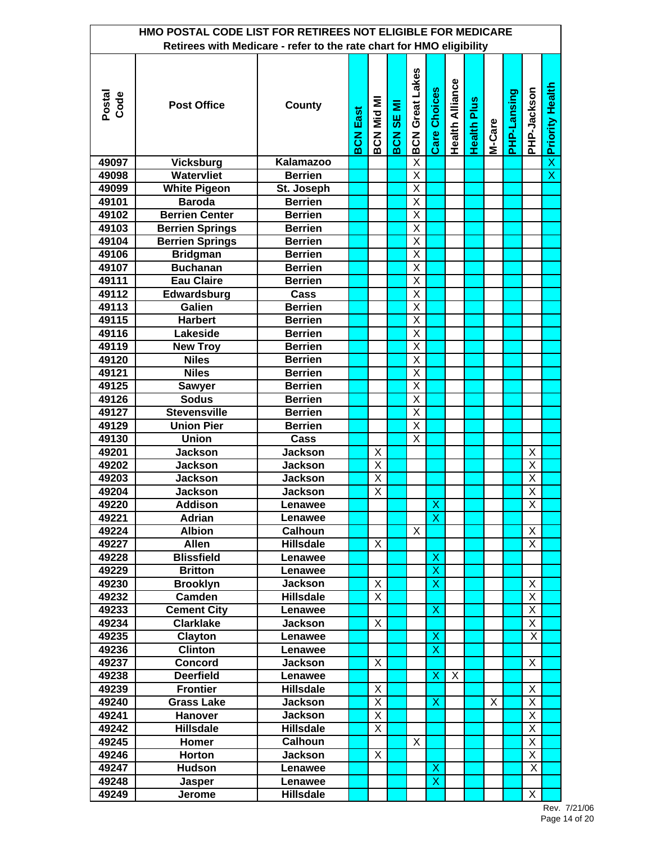|                | HMO POSTAL CODE LIST FOR RETIREES NOT ELIGIBLE FOR MEDICARE          |                           |                 |                         |                       |                         |                         |                        |                    |        |             |                         |                          |
|----------------|----------------------------------------------------------------------|---------------------------|-----------------|-------------------------|-----------------------|-------------------------|-------------------------|------------------------|--------------------|--------|-------------|-------------------------|--------------------------|
|                | Retirees with Medicare - refer to the rate chart for HMO eligibility |                           |                 |                         |                       |                         |                         |                        |                    |        |             |                         |                          |
| Postal<br>Code | <b>Post Office</b>                                                   | County                    | <b>BCN East</b> | BCN Mid MI              | Ξ<br><b>SE</b><br>BCN | <b>BCN Great Lakes</b>  | Care Choices            | <b>Health Alliance</b> | <b>Health Plus</b> | M-Care | PHP-Lansing | PHP-Jackson             | <b>×</b> Priority Health |
| 49097          | <b>Vicksburg</b>                                                     | Kalamazoo                 |                 |                         |                       | $\overline{\mathsf{X}}$ |                         |                        |                    |        |             |                         |                          |
| 49098          | Watervliet                                                           | <b>Berrien</b>            |                 |                         |                       | $\overline{\mathsf{x}}$ |                         |                        |                    |        |             |                         | $\overline{\mathsf{x}}$  |
| 49099          | <b>White Pigeon</b>                                                  | St. Joseph                |                 |                         |                       | $\overline{\mathsf{x}}$ |                         |                        |                    |        |             |                         |                          |
| 49101          | <b>Baroda</b>                                                        | <b>Berrien</b>            |                 |                         |                       | X                       |                         |                        |                    |        |             |                         |                          |
| 49102          | <b>Berrien Center</b>                                                | <b>Berrien</b>            |                 |                         |                       | $\overline{\mathsf{x}}$ |                         |                        |                    |        |             |                         |                          |
| 49103          | <b>Berrien Springs</b>                                               | <b>Berrien</b>            |                 |                         |                       | $\overline{\mathsf{x}}$ |                         |                        |                    |        |             |                         |                          |
| 49104          | <b>Berrien Springs</b>                                               | <b>Berrien</b>            |                 |                         |                       | $\overline{\mathsf{x}}$ |                         |                        |                    |        |             |                         |                          |
| 49106          | <b>Bridgman</b>                                                      | <b>Berrien</b>            |                 |                         |                       | X                       |                         |                        |                    |        |             |                         |                          |
| 49107          | <b>Buchanan</b>                                                      | <b>Berrien</b>            |                 |                         |                       | $\overline{\mathsf{x}}$ |                         |                        |                    |        |             |                         |                          |
| 49111          | <b>Eau Claire</b>                                                    | <b>Berrien</b>            |                 |                         |                       | X                       |                         |                        |                    |        |             |                         |                          |
| 49112          | Edwardsburg                                                          | Cass                      |                 |                         |                       | X                       |                         |                        |                    |        |             |                         |                          |
| 49113          | Galien                                                               | <b>Berrien</b>            |                 |                         |                       | Χ                       |                         |                        |                    |        |             |                         |                          |
| 49115          | <b>Harbert</b>                                                       | <b>Berrien</b>            |                 |                         |                       | X                       |                         |                        |                    |        |             |                         |                          |
| 49116          | Lakeside                                                             | <b>Berrien</b>            |                 |                         |                       | X                       |                         |                        |                    |        |             |                         |                          |
| 49119          | <b>New Troy</b>                                                      | <b>Berrien</b>            |                 |                         |                       | X                       |                         |                        |                    |        |             |                         |                          |
| 49120          | <b>Niles</b>                                                         | <b>Berrien</b>            |                 |                         |                       | $\overline{\mathsf{x}}$ |                         |                        |                    |        |             |                         |                          |
| 49121          | <b>Niles</b>                                                         | <b>Berrien</b>            |                 |                         |                       | $\overline{\mathsf{X}}$ |                         |                        |                    |        |             |                         |                          |
| 49125          | <b>Sawyer</b>                                                        | <b>Berrien</b>            |                 |                         |                       | $\overline{\mathsf{X}}$ |                         |                        |                    |        |             |                         |                          |
| 49126          | <b>Sodus</b>                                                         | <b>Berrien</b>            |                 |                         |                       | $\overline{\mathsf{x}}$ |                         |                        |                    |        |             |                         |                          |
| 49127          | <b>Stevensville</b>                                                  | <b>Berrien</b>            |                 |                         |                       | X                       |                         |                        |                    |        |             |                         |                          |
| 49129          | <b>Union Pier</b>                                                    | <b>Berrien</b>            |                 |                         |                       | $\overline{\mathsf{x}}$ |                         |                        |                    |        |             |                         |                          |
| 49130          | <b>Union</b>                                                         | Cass                      |                 |                         |                       | X                       |                         |                        |                    |        |             |                         |                          |
| 49201          | <b>Jackson</b>                                                       | <b>Jackson</b>            |                 | Χ                       |                       |                         |                         |                        |                    |        |             | X                       |                          |
| 49202          | <b>Jackson</b>                                                       | <b>Jackson</b>            |                 | $\overline{\mathsf{x}}$ |                       |                         |                         |                        |                    |        |             | $\overline{\mathsf{X}}$ |                          |
| 49203          | <b>Jackson</b>                                                       | <b>Jackson</b>            |                 | $\overline{\mathsf{x}}$ |                       |                         |                         |                        |                    |        |             | $\overline{X}$          |                          |
| 49204          | <b>Jackson</b>                                                       | <b>Jackson</b>            |                 | $\overline{\mathsf{x}}$ |                       |                         |                         |                        |                    |        |             | $\overline{\mathsf{x}}$ |                          |
| 49220          | Addison                                                              | Lenawee                   |                 |                         |                       |                         | X                       |                        |                    |        |             | X                       |                          |
| 49221          | Adrian                                                               | Lenawee                   |                 |                         |                       |                         | $\overline{\mathsf{x}}$ |                        |                    |        |             |                         |                          |
| 49224          | <b>Albion</b>                                                        | <b>Calhoun</b>            |                 |                         |                       | X                       |                         |                        |                    |        |             | X                       |                          |
| 49227          | <b>Allen</b>                                                         | <b>Hillsdale</b>          |                 | X                       |                       |                         |                         |                        |                    |        |             | X                       |                          |
| 49228          | <b>Blissfield</b>                                                    | Lenawee                   |                 |                         |                       |                         | X                       |                        |                    |        |             |                         |                          |
| 49229          | <b>Britton</b>                                                       | Lenawee                   |                 |                         |                       |                         | $\overline{\mathsf{x}}$ |                        |                    |        |             |                         |                          |
| 49230          | <b>Brooklyn</b>                                                      | <b>Jackson</b>            |                 | X<br>$\overline{X}$     |                       |                         | X                       |                        |                    |        |             | X                       |                          |
| 49232          | Camden                                                               | <b>Hillsdale</b>          |                 |                         |                       |                         | $\mathsf{X}$            |                        |                    |        |             | $\overline{X}$<br>X     |                          |
| 49233<br>49234 | <b>Cement City</b><br><b>Clarklake</b>                               | Lenawee                   |                 | X                       |                       |                         |                         |                        |                    |        |             | $\overline{X}$          |                          |
| 49235          | Clayton                                                              | <b>Jackson</b><br>Lenawee |                 |                         |                       |                         | X                       |                        |                    |        |             | X.                      |                          |
| 49236          | <b>Clinton</b>                                                       | Lenawee                   |                 |                         |                       |                         | X                       |                        |                    |        |             |                         |                          |
| 49237          | <b>Concord</b>                                                       | <b>Jackson</b>            |                 | X                       |                       |                         |                         |                        |                    |        |             | X                       |                          |
| 49238          | <b>Deerfield</b>                                                     | Lenawee                   |                 |                         |                       |                         | X                       | X                      |                    |        |             |                         |                          |
| 49239          | <b>Frontier</b>                                                      | <b>Hillsdale</b>          |                 | X                       |                       |                         |                         |                        |                    |        |             | X                       |                          |
| 49240          | <b>Grass Lake</b>                                                    | <b>Jackson</b>            |                 | Χ                       |                       |                         | X                       |                        |                    | X      |             | X                       |                          |
| 49241          | Hanover                                                              | <b>Jackson</b>            |                 | X                       |                       |                         |                         |                        |                    |        |             | Χ                       |                          |
| 49242          | <b>Hillsdale</b>                                                     | <b>Hillsdale</b>          |                 | X                       |                       |                         |                         |                        |                    |        |             | Χ                       |                          |
| 49245          | Homer                                                                | <b>Calhoun</b>            |                 |                         |                       | X                       |                         |                        |                    |        |             | X                       |                          |
| 49246          | <b>Horton</b>                                                        | <b>Jackson</b>            |                 | X                       |                       |                         |                         |                        |                    |        |             | X                       |                          |
| 49247          | <b>Hudson</b>                                                        | Lenawee                   |                 |                         |                       |                         | X                       |                        |                    |        |             | X                       |                          |
| 49248          | Jasper                                                               | Lenawee                   |                 |                         |                       |                         | $\overline{\mathsf{x}}$ |                        |                    |        |             |                         |                          |
| 49249          | Jerome                                                               | <b>Hillsdale</b>          |                 |                         |                       |                         |                         |                        |                    |        |             | X                       |                          |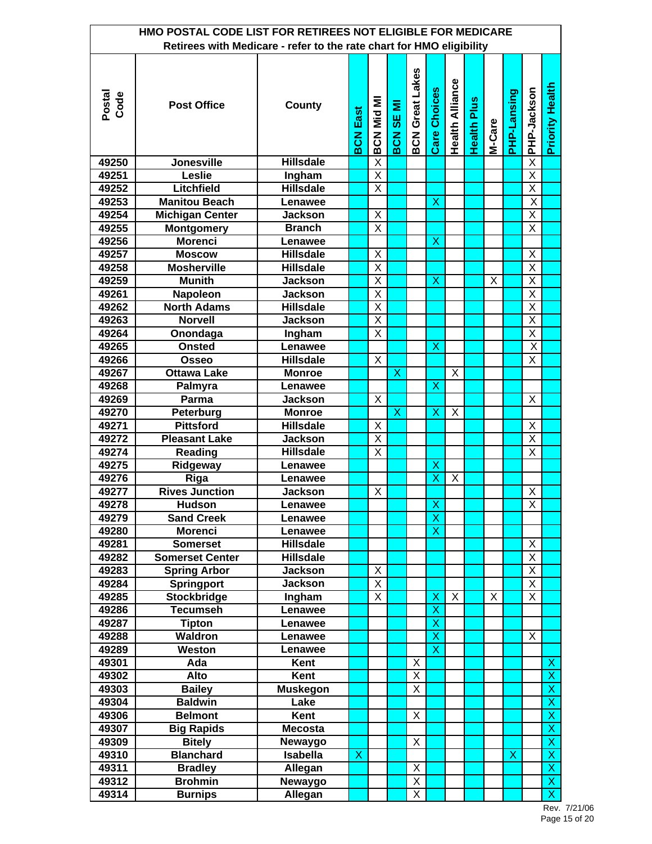|                | HMO POSTAL CODE LIST FOR RETIREES NOT ELIGIBLE FOR MEDICARE<br>Retirees with Medicare - refer to the rate chart for HMO eligibility |                  |                 |                         |                         |                         |                         |                        |                    |        |             |                         |                         |
|----------------|-------------------------------------------------------------------------------------------------------------------------------------|------------------|-----------------|-------------------------|-------------------------|-------------------------|-------------------------|------------------------|--------------------|--------|-------------|-------------------------|-------------------------|
|                |                                                                                                                                     |                  |                 |                         |                         |                         |                         |                        |                    |        |             |                         |                         |
| Postal<br>Code | <b>Post Office</b>                                                                                                                  | County           | <b>BCN East</b> | <b>BCN Mid MI</b>       | <b>IM 3S</b><br>BCN     | <b>BCN Great Lakes</b>  | <b>Care Choices</b>     | <b>Health Alliance</b> | <b>Health Plus</b> | M-Care | PHP-Lansing | PHP-Jackson             | <b>Priority Health</b>  |
| 49250          | <b>Jonesville</b>                                                                                                                   | <b>Hillsdale</b> |                 | $\overline{\mathsf{x}}$ |                         |                         |                         |                        |                    |        |             | $\overline{\mathsf{X}}$ |                         |
| 49251          | Leslie                                                                                                                              | Ingham           |                 | $\overline{\mathsf{x}}$ |                         |                         |                         |                        |                    |        |             | $\overline{X}$          |                         |
| 49252          | Litchfield                                                                                                                          | <b>Hillsdale</b> |                 | X                       |                         |                         |                         |                        |                    |        |             | $\overline{\mathsf{X}}$ |                         |
| 49253          | <b>Manitou Beach</b>                                                                                                                | Lenawee          |                 |                         |                         |                         | X                       |                        |                    |        |             | $\overline{\mathsf{x}}$ |                         |
| 49254          | <b>Michigan Center</b>                                                                                                              | <b>Jackson</b>   |                 | Χ                       |                         |                         |                         |                        |                    |        |             | X                       |                         |
| 49255          | <b>Montgomery</b>                                                                                                                   | <b>Branch</b>    |                 | $\overline{\mathsf{x}}$ |                         |                         |                         |                        |                    |        |             | $\overline{\mathsf{X}}$ |                         |
| 49256          | <b>Morenci</b>                                                                                                                      | Lenawee          |                 |                         |                         |                         | X                       |                        |                    |        |             |                         |                         |
| 49257          | <b>Moscow</b>                                                                                                                       | <b>Hillsdale</b> |                 | X                       |                         |                         |                         |                        |                    |        |             | Χ                       |                         |
| 49258          | <b>Mosherville</b>                                                                                                                  | <b>Hillsdale</b> |                 | $\overline{\mathsf{x}}$ |                         |                         |                         |                        |                    |        |             | Χ                       |                         |
| 49259          | <b>Munith</b>                                                                                                                       | <b>Jackson</b>   |                 | $\overline{\mathsf{x}}$ |                         |                         | X                       |                        |                    | X      |             | $\overline{X}$          |                         |
| 49261          | Napoleon                                                                                                                            | <b>Jackson</b>   |                 | X                       |                         |                         |                         |                        |                    |        |             | $\overline{\mathsf{X}}$ |                         |
| 49262          | <b>North Adams</b>                                                                                                                  | <b>Hillsdale</b> |                 | X                       |                         |                         |                         |                        |                    |        |             | $\overline{\mathsf{x}}$ |                         |
| 49263          | <b>Norvell</b>                                                                                                                      | <b>Jackson</b>   |                 | X                       |                         |                         |                         |                        |                    |        |             | X                       |                         |
| 49264          | Onondaga                                                                                                                            | Ingham           |                 | Χ                       |                         |                         |                         |                        |                    |        |             | X                       |                         |
| 49265          | <b>Onsted</b>                                                                                                                       | Lenawee          |                 |                         |                         |                         | X                       |                        |                    |        |             | $\overline{\mathsf{x}}$ |                         |
| 49266          | <b>Osseo</b>                                                                                                                        | <b>Hillsdale</b> |                 | X                       |                         |                         |                         |                        |                    |        |             | $\overline{\mathsf{X}}$ |                         |
| 49267          | <b>Ottawa Lake</b>                                                                                                                  | <b>Monroe</b>    |                 |                         | X                       |                         |                         | X                      |                    |        |             |                         |                         |
| 49268          | Palmyra                                                                                                                             | Lenawee          |                 |                         |                         |                         | X                       |                        |                    |        |             |                         |                         |
| 49269          | Parma                                                                                                                               | <b>Jackson</b>   |                 | X                       |                         |                         |                         |                        |                    |        |             | X                       |                         |
| 49270          | Peterburg                                                                                                                           | <b>Monroe</b>    |                 |                         | $\overline{\mathsf{x}}$ |                         | X                       | X                      |                    |        |             |                         |                         |
| 49271          | <b>Pittsford</b>                                                                                                                    | <b>Hillsdale</b> |                 | Χ                       |                         |                         |                         |                        |                    |        |             | X                       |                         |
| 49272          | <b>Pleasant Lake</b>                                                                                                                | <b>Jackson</b>   |                 | X                       |                         |                         |                         |                        |                    |        |             | $\overline{X}$          |                         |
| 49274          | Reading                                                                                                                             | <b>Hillsdale</b> |                 | X                       |                         |                         |                         |                        |                    |        |             | $\overline{\mathsf{X}}$ |                         |
| 49275          | Ridgeway                                                                                                                            | Lenawee          |                 |                         |                         |                         | X                       |                        |                    |        |             |                         |                         |
| 49276          | Riga                                                                                                                                | Lenawee          |                 |                         |                         |                         | Χ                       | X                      |                    |        |             |                         |                         |
| 49277          | <b>Rives Junction</b>                                                                                                               | <b>Jackson</b>   |                 | Χ                       |                         |                         |                         |                        |                    |        |             | X                       |                         |
| 49278          | Hudson                                                                                                                              | Lenawee          |                 |                         |                         |                         | $\overline{\mathsf{x}}$ |                        |                    |        |             | $\overline{\mathsf{x}}$ |                         |
| 49279          | <b>Sand Creek</b>                                                                                                                   | Lenawee          |                 |                         |                         |                         | $\overline{\mathsf{x}}$ |                        |                    |        |             |                         |                         |
| 49280          | <b>Morenci</b>                                                                                                                      | Lenawee          |                 |                         |                         |                         | X                       |                        |                    |        |             |                         |                         |
| 49281          | <b>Somerset</b>                                                                                                                     | <b>Hillsdale</b> |                 |                         |                         |                         |                         |                        |                    |        |             | X                       |                         |
| 49282          | Somerset Center                                                                                                                     | <b>Hillsdale</b> |                 |                         |                         |                         |                         |                        |                    |        |             | X                       |                         |
| 49283          | <b>Spring Arbor</b>                                                                                                                 | <b>Jackson</b>   |                 | X                       |                         |                         |                         |                        |                    |        |             | $\overline{X}$          |                         |
| 49284          | <b>Springport</b>                                                                                                                   | <b>Jackson</b>   |                 | X                       |                         |                         |                         |                        |                    |        |             | $\overline{X}$          |                         |
| 49285          | <b>Stockbridge</b>                                                                                                                  | Ingham           |                 | X                       |                         |                         | X                       | X                      |                    | X      |             | X.                      |                         |
| 49286          | <b>Tecumseh</b>                                                                                                                     | Lenawee          |                 |                         |                         |                         | X                       |                        |                    |        |             |                         |                         |
| 49287          | Tipton                                                                                                                              | Lenawee          |                 |                         |                         |                         | $\overline{\mathsf{x}}$ |                        |                    |        |             |                         |                         |
| 49288          | <b>Waldron</b>                                                                                                                      | Lenawee          |                 |                         |                         |                         | $\overline{\mathsf{x}}$ |                        |                    |        |             | X                       |                         |
| 49289          | <b>Weston</b>                                                                                                                       | Lenawee          |                 |                         |                         |                         | $\overline{\mathsf{x}}$ |                        |                    |        |             |                         |                         |
| 49301          | Ada                                                                                                                                 | Kent             |                 |                         |                         | Χ                       |                         |                        |                    |        |             |                         | X                       |
| 49302          | Alto                                                                                                                                | Kent             |                 |                         |                         | X                       |                         |                        |                    |        |             |                         | $\overline{\mathsf{x}}$ |
| 49303          | <b>Bailey</b>                                                                                                                       | <b>Muskegon</b>  |                 |                         |                         | X                       |                         |                        |                    |        |             |                         | $\overline{\mathsf{x}}$ |
| 49304          | <b>Baldwin</b>                                                                                                                      | Lake             |                 |                         |                         |                         |                         |                        |                    |        |             |                         | $\overline{\mathsf{x}}$ |
| 49306          | <b>Belmont</b>                                                                                                                      | Kent             |                 |                         |                         | X                       |                         |                        |                    |        |             |                         | $\pmb{\mathsf{X}}$      |
| 49307          | <b>Big Rapids</b>                                                                                                                   | <b>Mecosta</b>   |                 |                         |                         |                         |                         |                        |                    |        |             |                         | $\overline{\mathsf{x}}$ |
| 49309          | <b>Bitely</b>                                                                                                                       | Newaygo          |                 |                         |                         | Χ                       |                         |                        |                    |        |             |                         | $\overline{\mathsf{x}}$ |
| 49310          | <b>Blanchard</b>                                                                                                                    | <b>Isabella</b>  | Χ               |                         |                         |                         |                         |                        |                    |        | X           |                         | X                       |
| 49311          | <b>Bradley</b>                                                                                                                      | Allegan          |                 |                         |                         | X                       |                         |                        |                    |        |             |                         | $\mathsf X$             |
| 49312          | <b>Brohmin</b>                                                                                                                      | Newaygo          |                 |                         |                         | Χ                       |                         |                        |                    |        |             |                         | $\overline{\mathsf{x}}$ |
| 49314          | <b>Burnips</b>                                                                                                                      | Allegan          |                 |                         |                         | $\overline{\mathsf{X}}$ |                         |                        |                    |        |             |                         | $\overline{\mathsf{x}}$ |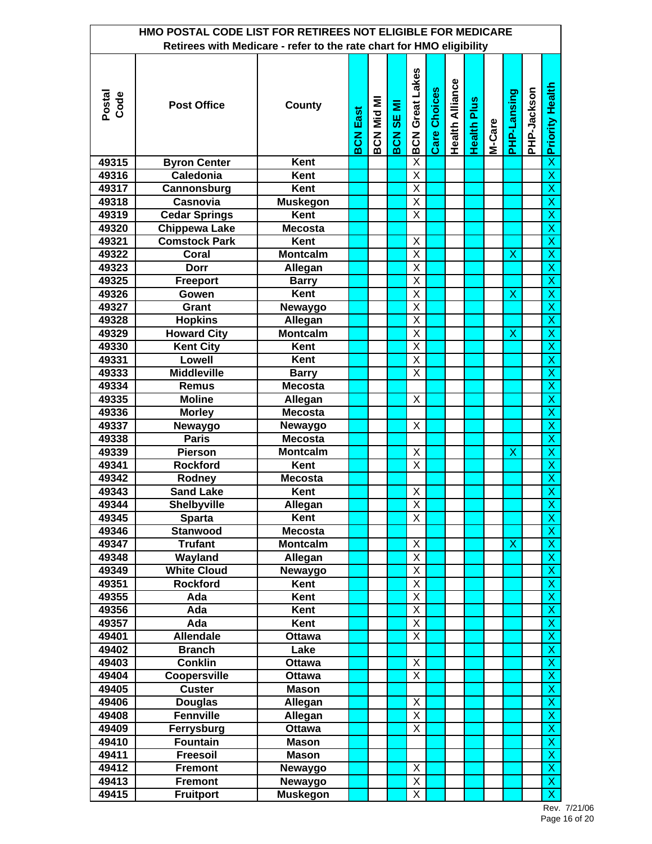|                | HMO POSTAL CODE LIST FOR RETIREES NOT ELIGIBLE FOR MEDICARE          |                 |                 |                   |                  |                                                    |                     |                        |                    |        |                           |             |                                           |
|----------------|----------------------------------------------------------------------|-----------------|-----------------|-------------------|------------------|----------------------------------------------------|---------------------|------------------------|--------------------|--------|---------------------------|-------------|-------------------------------------------|
|                | Retirees with Medicare - refer to the rate chart for HMO eligibility |                 |                 |                   |                  |                                                    |                     |                        |                    |        |                           |             |                                           |
| Postal<br>Code | <b>Post Office</b>                                                   | County          | <b>BCN East</b> | <b>BCN Mid MI</b> | <b>BCN SE MI</b> | <b>BCN Great Lakes</b>                             | <b>Care Choices</b> | <b>Health Alliance</b> | <b>Health Plus</b> | M-Care | PHP-Lansing               | PHP-Jackson | <b>Priority Health</b>                    |
| 49315          | <b>Byron Center</b>                                                  | Kent            |                 |                   |                  | $\overline{\mathsf{x}}$                            |                     |                        |                    |        |                           |             | $\overline{\mathsf{x}}$                   |
| 49316          | Caledonia                                                            | Kent            |                 |                   |                  | $\overline{\mathsf{X}}$                            |                     |                        |                    |        |                           |             | $\overline{\mathsf{x}}$                   |
| 49317          | Cannonsburg                                                          | Kent            |                 |                   |                  | $\overline{\mathsf{x}}$                            |                     |                        |                    |        |                           |             | $\overline{\mathsf{x}}$                   |
| 49318          | <b>Casnovia</b>                                                      | <b>Muskegon</b> |                 |                   |                  | X                                                  |                     |                        |                    |        |                           |             | $\overline{\mathsf{x}}$                   |
| 49319          | <b>Cedar Springs</b>                                                 | Kent            |                 |                   |                  | X                                                  |                     |                        |                    |        |                           |             | X                                         |
| 49320          | <b>Chippewa Lake</b>                                                 | <b>Mecosta</b>  |                 |                   |                  |                                                    |                     |                        |                    |        |                           |             | $\overline{\mathsf{x}}$                   |
| 49321          | <b>Comstock Park</b>                                                 | Kent            |                 |                   |                  | Χ                                                  |                     |                        |                    |        |                           |             | $\overline{\mathsf{x}}$                   |
| 49322          | Coral                                                                | <b>Montcalm</b> |                 |                   |                  | $\overline{\mathsf{x}}$                            |                     |                        |                    |        | Х                         |             | $\overline{\mathsf{x}}$                   |
| 49323          | <b>Dorr</b>                                                          | Allegan         |                 |                   |                  | $\overline{\mathsf{x}}$                            |                     |                        |                    |        |                           |             | $\overline{\mathsf{x}}$                   |
| 49325          | <b>Freeport</b>                                                      | <b>Barry</b>    |                 |                   |                  | X                                                  |                     |                        |                    |        |                           |             | $\overline{\mathsf{x}}$                   |
| 49326          | Gowen                                                                | Kent            |                 |                   |                  | X                                                  |                     |                        |                    |        | $\boldsymbol{\mathsf{X}}$ |             | $\overline{\mathsf{x}}$                   |
| 49327          | Grant                                                                | Newaygo         |                 |                   |                  | X                                                  |                     |                        |                    |        |                           |             | $\overline{\mathsf{x}}$                   |
| 49328          | <b>Hopkins</b>                                                       | Allegan         |                 |                   |                  | X                                                  |                     |                        |                    |        |                           |             | $\overline{\mathsf{x}}$                   |
| 49329          | <b>Howard City</b>                                                   | <b>Montcalm</b> |                 |                   |                  | X                                                  |                     |                        |                    |        | X                         |             | $\overline{\mathsf{x}}$                   |
| 49330          | <b>Kent City</b>                                                     | Kent            |                 |                   |                  | X                                                  |                     |                        |                    |        |                           |             | $\overline{\mathsf{x}}$                   |
| 49331          | Lowell                                                               | Kent            |                 |                   |                  | X                                                  |                     |                        |                    |        |                           |             | $\overline{\mathsf{x}}$                   |
| 49333          | <b>Middleville</b>                                                   | <b>Barry</b>    |                 |                   |                  | X                                                  |                     |                        |                    |        |                           |             | $\overline{X}$                            |
| 49334          | <b>Remus</b>                                                         | <b>Mecosta</b>  |                 |                   |                  |                                                    |                     |                        |                    |        |                           |             | $\overline{\mathsf{x}}$                   |
| 49335          | <b>Moline</b>                                                        | Allegan         |                 |                   |                  | X                                                  |                     |                        |                    |        |                           |             | $\overline{\mathsf{x}}$                   |
| 49336          | <b>Morley</b>                                                        | <b>Mecosta</b>  |                 |                   |                  |                                                    |                     |                        |                    |        |                           |             | $\overline{\mathsf{x}}$                   |
| 49337          | Newaygo                                                              | Newaygo         |                 |                   |                  | Х                                                  |                     |                        |                    |        |                           |             | X                                         |
| 49338          | <b>Paris</b>                                                         | <b>Mecosta</b>  |                 |                   |                  |                                                    |                     |                        |                    |        |                           |             | $\overline{\mathsf{x}}$                   |
| 49339          | Pierson                                                              | <b>Montcalm</b> |                 |                   |                  | Χ                                                  |                     |                        |                    |        | $\boldsymbol{\mathsf{X}}$ |             | $\overline{\mathsf{x}}$                   |
| 49341          | <b>Rockford</b>                                                      | Kent            |                 |                   |                  | $\overline{\mathsf{X}}$                            |                     |                        |                    |        |                           |             | $\overline{\mathsf{x}}$                   |
| 49342          | Rodney                                                               | <b>Mecosta</b>  |                 |                   |                  |                                                    |                     |                        |                    |        |                           |             | $\overline{\mathsf{x}}$                   |
| 49343          | <b>Sand Lake</b>                                                     | Kent            |                 |                   |                  | Χ                                                  |                     |                        |                    |        |                           |             | $\overline{\mathsf{x}}$                   |
| 49344          | <b>Shelbyville</b>                                                   | Allegan         |                 |                   |                  | X                                                  |                     |                        |                    |        |                           |             | X                                         |
| 49345          | <b>Sparta</b>                                                        | Kent            |                 |                   |                  | X                                                  |                     |                        |                    |        |                           |             | $\overline{\mathsf{x}}$                   |
| 49346          | <b>Stanwood</b>                                                      | <b>Mecosta</b>  |                 |                   |                  |                                                    |                     |                        |                    |        |                           |             | $\mathsf{X}$                              |
| 49347          | <b>Trufant</b>                                                       | <b>Montcalm</b> |                 |                   |                  | X                                                  |                     |                        |                    |        | X                         |             | X                                         |
| 49348          | Wayland                                                              | Allegan         |                 |                   |                  | X                                                  |                     |                        |                    |        |                           |             | $\overline{\mathsf{x}}$                   |
| 49349          | <b>White Cloud</b>                                                   | Newaygo         |                 |                   |                  | X                                                  |                     |                        |                    |        |                           |             | $\overline{\mathsf{x}}$                   |
| 49351          | <b>Rockford</b>                                                      | Kent            |                 |                   |                  | $\overline{\mathsf{X}}$                            |                     |                        |                    |        |                           |             | $\overline{X}$                            |
| 49355          | Ada                                                                  | Kent            |                 |                   |                  | $\overline{\mathsf{X}}$<br>$\overline{\mathsf{X}}$ |                     |                        |                    |        |                           |             | $\overline{X}$<br>$\overline{\mathsf{x}}$ |
| 49356<br>49357 | Ada<br>Ada                                                           | Kent<br>Kent    |                 |                   |                  | $\overline{\mathsf{x}}$                            |                     |                        |                    |        |                           |             | $\overline{\mathsf{x}}$                   |
| 49401          | <b>Allendale</b>                                                     | <b>Ottawa</b>   |                 |                   |                  | Χ                                                  |                     |                        |                    |        |                           |             | $\overline{\mathsf{x}}$                   |
| 49402          | <b>Branch</b>                                                        | Lake            |                 |                   |                  |                                                    |                     |                        |                    |        |                           |             | $\pmb{\mathsf{X}}$                        |
| 49403          | <b>Conklin</b>                                                       | <b>Ottawa</b>   |                 |                   |                  | Χ                                                  |                     |                        |                    |        |                           |             | $\overline{\mathsf{x}}$                   |
| 49404          | <b>Coopersville</b>                                                  | Ottawa          |                 |                   |                  | $\overline{\mathsf{x}}$                            |                     |                        |                    |        |                           |             | $\overline{\mathsf{x}}$                   |
| 49405          | <b>Custer</b>                                                        | <b>Mason</b>    |                 |                   |                  |                                                    |                     |                        |                    |        |                           |             | $\pmb{\mathsf{X}}$                        |
| 49406          | <b>Douglas</b>                                                       | Allegan         |                 |                   |                  | X                                                  |                     |                        |                    |        |                           |             | $\pmb{\mathsf{X}}$                        |
| 49408          | <b>Fennville</b>                                                     | Allegan         |                 |                   |                  | Χ                                                  |                     |                        |                    |        |                           |             | $\overline{\mathsf{x}}$                   |
| 49409          | Ferrysburg                                                           | Ottawa          |                 |                   |                  | Χ                                                  |                     |                        |                    |        |                           |             | $\overline{\mathsf{x}}$                   |
| 49410          | <b>Fountain</b>                                                      | <b>Mason</b>    |                 |                   |                  |                                                    |                     |                        |                    |        |                           |             | $\overline{\mathsf{x}}$                   |
| 49411          | <b>Freesoil</b>                                                      | <b>Mason</b>    |                 |                   |                  |                                                    |                     |                        |                    |        |                           |             | $\pmb{\mathsf{X}}$                        |
| 49412          | <b>Fremont</b>                                                       | Newaygo         |                 |                   |                  | X                                                  |                     |                        |                    |        |                           |             | $\overline{\mathsf{x}}$                   |
| 49413          | <b>Fremont</b>                                                       | Newaygo         |                 |                   |                  | $\overline{X}$                                     |                     |                        |                    |        |                           |             | $\overline{\mathsf{X}}$                   |
| 49415          | <b>Fruitport</b>                                                     | <b>Muskegon</b> |                 |                   |                  | $\overline{X}$                                     |                     |                        |                    |        |                           |             | $\overline{\mathsf{x}}$                   |

Rev. 7/21/06 Page 16 of 20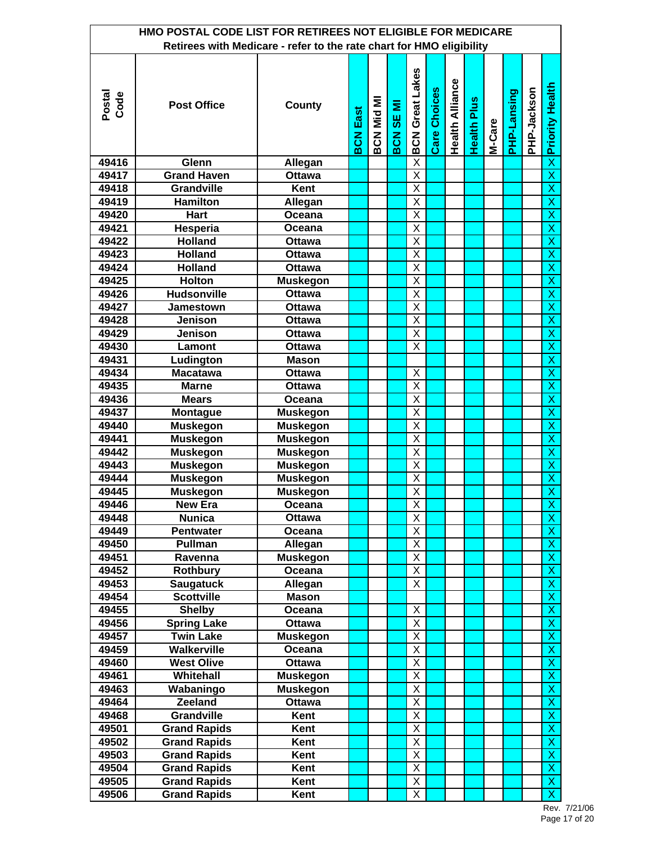|                | HMO POSTAL CODE LIST FOR RETIREES NOT ELIGIBLE FOR MEDICARE          |                         |             |                   |                  |                         |              |                        |                    |        |             |             |                                           |
|----------------|----------------------------------------------------------------------|-------------------------|-------------|-------------------|------------------|-------------------------|--------------|------------------------|--------------------|--------|-------------|-------------|-------------------------------------------|
|                | Retirees with Medicare - refer to the rate chart for HMO eligibility |                         |             |                   |                  |                         |              |                        |                    |        |             |             |                                           |
| Postal<br>Code | <b>Post Office</b>                                                   | County                  | East<br>BCN | <b>BCN Mid MI</b> | <b>BCN SE MI</b> | <b>BCN Great Lakes</b>  | Care Choices | <b>Health Alliance</b> | <b>Health Plus</b> | M-Care | PHP-Lansing | PHP-Jackson | <b>Priority Health</b>                    |
| 49416          | Glenn                                                                | Allegan                 |             |                   |                  | $\overline{\mathsf{x}}$ |              |                        |                    |        |             |             | $\overline{\mathsf{x}}$                   |
| 49417          | <b>Grand Haven</b>                                                   | <b>Ottawa</b>           |             |                   |                  | $\overline{\mathsf{x}}$ |              |                        |                    |        |             |             | $\overline{\mathsf{x}}$                   |
| 49418          | <b>Grandville</b>                                                    | Kent                    |             |                   |                  | $\overline{\mathsf{x}}$ |              |                        |                    |        |             |             | $\overline{\mathsf{x}}$                   |
| 49419          | <b>Hamilton</b>                                                      | Allegan                 |             |                   |                  | X                       |              |                        |                    |        |             |             | $\overline{\mathsf{x}}$                   |
| 49420          | <b>Hart</b>                                                          | Oceana                  |             |                   |                  | X                       |              |                        |                    |        |             |             | X                                         |
| 49421          | Hesperia                                                             | Oceana                  |             |                   |                  | X                       |              |                        |                    |        |             |             | $\overline{\mathsf{x}}$                   |
| 49422          | <b>Holland</b>                                                       | <b>Ottawa</b>           |             |                   |                  | $\overline{\mathsf{x}}$ |              |                        |                    |        |             |             | $\overline{\mathsf{x}}$                   |
| 49423          | <b>Holland</b>                                                       | <b>Ottawa</b>           |             |                   |                  | $\overline{\mathsf{x}}$ |              |                        |                    |        |             |             | $\overline{\mathsf{x}}$                   |
| 49424          | <b>Holland</b>                                                       | <b>Ottawa</b>           |             |                   |                  | $\overline{\mathsf{x}}$ |              |                        |                    |        |             |             | X                                         |
| 49425          | <b>Holton</b>                                                        | <b>Muskegon</b>         |             |                   |                  | X                       |              |                        |                    |        |             |             | $\overline{\mathsf{x}}$                   |
| 49426          | <b>Hudsonville</b>                                                   | <b>Ottawa</b>           |             |                   |                  | X                       |              |                        |                    |        |             |             | $\overline{\mathsf{x}}$                   |
| 49427          | Jamestown                                                            | <b>Ottawa</b>           |             |                   |                  | X                       |              |                        |                    |        |             |             | $\overline{\mathsf{x}}$                   |
| 49428          | <b>Jenison</b>                                                       | <b>Ottawa</b>           |             |                   |                  | X                       |              |                        |                    |        |             |             | $\overline{\mathsf{x}}$                   |
| 49429          | Jenison                                                              | <b>Ottawa</b>           |             |                   |                  | X                       |              |                        |                    |        |             |             | $\overline{\mathsf{x}}$                   |
| 49430          | Lamont                                                               | <b>Ottawa</b>           |             |                   |                  | X                       |              |                        |                    |        |             |             | $\overline{\mathsf{x}}$                   |
| 49431          | Ludington                                                            | <b>Mason</b>            |             |                   |                  |                         |              |                        |                    |        |             |             | $\overline{\mathsf{x}}$                   |
| 49434          | <b>Macatawa</b>                                                      | <b>Ottawa</b>           |             |                   |                  | X                       |              |                        |                    |        |             |             | $\overline{X}$                            |
| 49435          | <b>Marne</b>                                                         | <b>Ottawa</b>           |             |                   |                  | $\overline{\mathsf{X}}$ |              |                        |                    |        |             |             | $\overline{\mathsf{x}}$                   |
| 49436          | <b>Mears</b>                                                         | Oceana                  |             |                   |                  | $\overline{\mathsf{x}}$ |              |                        |                    |        |             |             | $\overline{\mathsf{x}}$                   |
| 49437          | <b>Montague</b>                                                      | <b>Muskegon</b>         |             |                   |                  | X                       |              |                        |                    |        |             |             | $\overline{\mathsf{x}}$                   |
| 49440          | <b>Muskegon</b>                                                      | <b>Muskegon</b>         |             |                   |                  | $\overline{\mathsf{x}}$ |              |                        |                    |        |             |             | X                                         |
| 49441          | <b>Muskegon</b>                                                      | <b>Muskegon</b>         |             |                   |                  | $\overline{\mathsf{x}}$ |              |                        |                    |        |             |             | $\overline{\mathsf{x}}$                   |
| 49442          | <b>Muskegon</b>                                                      | <b>Muskegon</b>         |             |                   |                  | $\overline{\mathsf{x}}$ |              |                        |                    |        |             |             | $\overline{\mathsf{x}}$                   |
| 49443          | <b>Muskegon</b>                                                      | <b>Muskegon</b>         |             |                   |                  | $\overline{\mathsf{X}}$ |              |                        |                    |        |             |             | $\overline{\mathsf{x}}$                   |
| 49444          | <b>Muskegon</b>                                                      | <b>Muskegon</b>         |             |                   |                  | $\overline{\mathsf{x}}$ |              |                        |                    |        |             |             | X                                         |
| 49445          | <b>Muskegon</b>                                                      | <b>Muskegon</b>         |             |                   |                  | $\overline{\mathsf{X}}$ |              |                        |                    |        |             |             | $\overline{\mathsf{x}}$                   |
| 49446          | New Era                                                              | Oceana                  |             |                   |                  | X                       |              |                        |                    |        |             |             | X                                         |
| 49448          | <b>Nunica</b>                                                        | Ottawa                  |             |                   |                  | X                       |              |                        |                    |        |             |             | $\overline{\mathsf{x}}$                   |
| 49449          | <b>Pentwater</b>                                                     | Oceana                  |             |                   |                  | Χ                       |              |                        |                    |        |             |             | $\overline{\mathsf{x}}$                   |
| 49450          | Pullman                                                              | Allegan                 |             |                   |                  | X                       |              |                        |                    |        |             |             | $\mathsf X$                               |
| 49451          | Ravenna                                                              | <b>Muskegon</b>         |             |                   |                  | X                       |              |                        |                    |        |             |             | $\overline{\mathsf{x}}$                   |
| 49452          | <b>Rothbury</b>                                                      | Oceana                  |             |                   |                  | X                       |              |                        |                    |        |             |             | $\overline{\mathsf{x}}$                   |
| 49453          | <b>Saugatuck</b>                                                     | Allegan                 |             |                   |                  | X                       |              |                        |                    |        |             |             | $\overline{X}$                            |
| 49454          | <b>Scottville</b>                                                    | <b>Mason</b>            |             |                   |                  | X                       |              |                        |                    |        |             |             | $\overline{X}$<br>$\overline{\mathsf{x}}$ |
| 49455<br>49456 | <b>Shelby</b><br><b>Spring Lake</b>                                  | Oceana<br><b>Ottawa</b> |             |                   |                  | $\overline{\mathsf{x}}$ |              |                        |                    |        |             |             | $\overline{\mathsf{x}}$                   |
| 49457          | <b>Twin Lake</b>                                                     | <b>Muskegon</b>         |             |                   |                  | X                       |              |                        |                    |        |             |             | $\overline{\mathsf{x}}$                   |
| 49459          | <b>Walkerville</b>                                                   | Oceana                  |             |                   |                  | X                       |              |                        |                    |        |             |             | $\mathsf X$                               |
| 49460          | <b>West Olive</b>                                                    | Ottawa                  |             |                   |                  | Χ                       |              |                        |                    |        |             |             | $\overline{\mathsf{x}}$                   |
| 49461          | Whitehall                                                            | <b>Muskegon</b>         |             |                   |                  | Χ                       |              |                        |                    |        |             |             | $\overline{\mathsf{x}}$                   |
| 49463          | Wabaningo                                                            | <b>Muskegon</b>         |             |                   |                  | Χ                       |              |                        |                    |        |             |             | $\overline{X}$                            |
| 49464          | <b>Zeeland</b>                                                       | <b>Ottawa</b>           |             |                   |                  | $\overline{\mathsf{X}}$ |              |                        |                    |        |             |             | $\pmb{\mathsf{X}}$                        |
| 49468          | <b>Grandville</b>                                                    | Kent                    |             |                   |                  | Χ                       |              |                        |                    |        |             |             | $\overline{\mathsf{x}}$                   |
| 49501          | <b>Grand Rapids</b>                                                  | Kent                    |             |                   |                  | Χ                       |              |                        |                    |        |             |             | $\overline{\mathsf{x}}$                   |
| 49502          | <b>Grand Rapids</b>                                                  | Kent                    |             |                   |                  | Χ                       |              |                        |                    |        |             |             | $\overline{\mathsf{x}}$                   |
| 49503          | <b>Grand Rapids</b>                                                  | Kent                    |             |                   |                  | Χ                       |              |                        |                    |        |             |             | $\pmb{\mathsf{X}}$                        |
| 49504          | <b>Grand Rapids</b>                                                  | Kent                    |             |                   |                  | X                       |              |                        |                    |        |             |             | $\overline{\mathsf{x}}$                   |
| 49505          | <b>Grand Rapids</b>                                                  | Kent                    |             |                   |                  | $\overline{\mathsf{X}}$ |              |                        |                    |        |             |             | $\overline{\mathsf{x}}$                   |
| 49506          | <b>Grand Rapids</b>                                                  | Kent                    |             |                   |                  | X                       |              |                        |                    |        |             |             | $\overline{\mathsf{x}}$                   |

Rev. 7/21/06 Page 17 of 20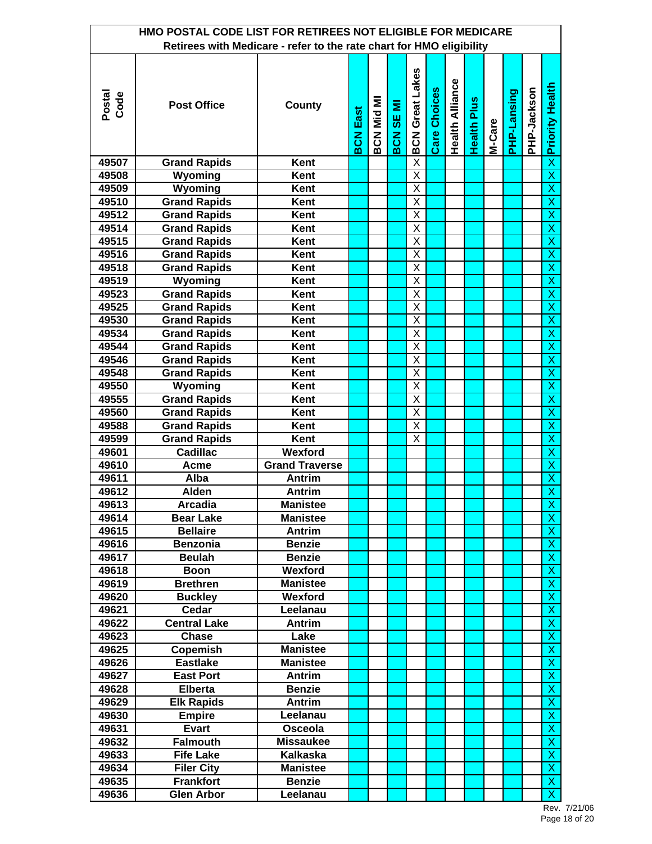|                | HMO POSTAL CODE LIST FOR RETIREES NOT ELIGIBLE FOR MEDICARE          |                       |                 |                   |                  |                         |                     |                        |                    |        |             |             |                                                    |
|----------------|----------------------------------------------------------------------|-----------------------|-----------------|-------------------|------------------|-------------------------|---------------------|------------------------|--------------------|--------|-------------|-------------|----------------------------------------------------|
|                | Retirees with Medicare - refer to the rate chart for HMO eligibility |                       |                 |                   |                  |                         |                     |                        |                    |        |             |             |                                                    |
| Postal<br>Code | <b>Post Office</b>                                                   | County                | <b>BCN East</b> | <b>BCN Mid MI</b> | <b>BCN SE MI</b> | <b>BCN Great Lakes</b>  | <b>Care Choices</b> | <b>Health Alliance</b> | <b>Health Plus</b> | M-Care | PHP-Lansing | PHP-Jackson | <b>x</b> Priority Health                           |
| 49507          | <b>Grand Rapids</b>                                                  | Kent                  |                 |                   |                  | $\overline{\mathsf{X}}$ |                     |                        |                    |        |             |             |                                                    |
| 49508          | Wyoming                                                              | Kent                  |                 |                   |                  | $\overline{\mathsf{X}}$ |                     |                        |                    |        |             |             | $\overline{\mathsf{x}}$                            |
| 49509          | Wyoming                                                              | Kent                  |                 |                   |                  | $\overline{X}$          |                     |                        |                    |        |             |             | $\overline{\mathsf{x}}$                            |
| 49510          | <b>Grand Rapids</b>                                                  | Kent                  |                 |                   |                  | $\overline{\mathsf{x}}$ |                     |                        |                    |        |             |             | $\overline{\mathsf{x}}$                            |
| 49512          | <b>Grand Rapids</b>                                                  | Kent                  |                 |                   |                  | X                       |                     |                        |                    |        |             |             | $\overline{\mathsf{x}}$                            |
| 49514          | <b>Grand Rapids</b>                                                  | Kent                  |                 |                   |                  | $\overline{\mathsf{x}}$ |                     |                        |                    |        |             |             | X                                                  |
| 49515          | <b>Grand Rapids</b>                                                  | Kent                  |                 |                   |                  | $\overline{\mathsf{x}}$ |                     |                        |                    |        |             |             | $\overline{\mathsf{x}}$                            |
| 49516          | <b>Grand Rapids</b>                                                  | Kent                  |                 |                   |                  | $\overline{\mathsf{X}}$ |                     |                        |                    |        |             |             | $\overline{\mathsf{x}}$                            |
| 49518          | <b>Grand Rapids</b>                                                  | Kent                  |                 |                   |                  | $\overline{\mathsf{x}}$ |                     |                        |                    |        |             |             | $\overline{X}$                                     |
| 49519          | Wyoming                                                              | Kent                  |                 |                   |                  | $\overline{\mathsf{X}}$ |                     |                        |                    |        |             |             | $\overline{\mathsf{x}}$                            |
| 49523          | <b>Grand Rapids</b>                                                  | Kent                  |                 |                   |                  | X                       |                     |                        |                    |        |             |             | $\overline{\mathsf{x}}$                            |
| 49525          | <b>Grand Rapids</b>                                                  | Kent                  |                 |                   |                  | X                       |                     |                        |                    |        |             |             | $\overline{\mathsf{x}}$                            |
| 49530          | <b>Grand Rapids</b>                                                  | Kent                  |                 |                   |                  | X                       |                     |                        |                    |        |             |             | $\overline{\mathsf{x}}$                            |
| 49534          | <b>Grand Rapids</b>                                                  | Kent                  |                 |                   |                  | X                       |                     |                        |                    |        |             |             | $\overline{X}$                                     |
| 49544          | <b>Grand Rapids</b>                                                  | Kent                  |                 |                   |                  | X                       |                     |                        |                    |        |             |             | $\overline{\mathsf{x}}$                            |
| 49546          | <b>Grand Rapids</b>                                                  | Kent                  |                 |                   |                  | X                       |                     |                        |                    |        |             |             | $\overline{\mathsf{x}}$                            |
| 49548          | <b>Grand Rapids</b>                                                  | Kent                  |                 |                   |                  | $\overline{\mathsf{x}}$ |                     |                        |                    |        |             |             | $\overline{\mathsf{x}}$                            |
| 49550          | Wyoming                                                              | Kent                  |                 |                   |                  | $\overline{\mathsf{X}}$ |                     |                        |                    |        |             |             | $\overline{X}$                                     |
| 49555          | <b>Grand Rapids</b>                                                  | Kent                  |                 |                   |                  | $\overline{X}$          |                     |                        |                    |        |             |             | $\overline{\mathsf{x}}$                            |
| 49560          | <b>Grand Rapids</b>                                                  | Kent                  |                 |                   |                  | $\overline{\mathsf{x}}$ |                     |                        |                    |        |             |             | $\overline{\mathsf{x}}$                            |
| 49588          | <b>Grand Rapids</b>                                                  | Kent                  |                 |                   |                  | X                       |                     |                        |                    |        |             |             | $\overline{X}$                                     |
| 49599          | <b>Grand Rapids</b>                                                  | Kent                  |                 |                   |                  | Χ                       |                     |                        |                    |        |             |             | $\overline{\mathsf{x}}$                            |
| 49601          | <b>Cadillac</b>                                                      | Wexford               |                 |                   |                  |                         |                     |                        |                    |        |             |             | $\overline{\mathsf{x}}$                            |
| 49610          | Acme                                                                 | <b>Grand Traverse</b> |                 |                   |                  |                         |                     |                        |                    |        |             |             | $\overline{\mathsf{x}}$                            |
| 49611          | Alba                                                                 | <b>Antrim</b>         |                 |                   |                  |                         |                     |                        |                    |        |             |             | $\overline{\mathsf{x}}$                            |
| 49612          | <b>Alden</b>                                                         | Antrim                |                 |                   |                  |                         |                     |                        |                    |        |             |             | $\overline{X}$                                     |
| 49613          | <b>Arcadia</b>                                                       | Manistee              |                 |                   |                  |                         |                     |                        |                    |        |             |             | X                                                  |
| 49614          | <b>Bear Lake</b>                                                     | <b>Manistee</b>       |                 |                   |                  |                         |                     |                        |                    |        |             |             | $\overline{\mathsf{x}}$                            |
| 49615          | <b>Bellaire</b>                                                      | Antrim                |                 |                   |                  |                         |                     |                        |                    |        |             |             | X                                                  |
| 49616          | <b>Benzonia</b>                                                      | <b>Benzie</b>         |                 |                   |                  |                         |                     |                        |                    |        |             |             | X                                                  |
| 49617          | <b>Beulah</b>                                                        | <b>Benzie</b>         |                 |                   |                  |                         |                     |                        |                    |        |             |             | X                                                  |
| 49618          | <b>Boon</b>                                                          | Wexford               |                 |                   |                  |                         |                     |                        |                    |        |             |             | $\overline{\mathsf{x}}$                            |
| 49619          | <b>Brethren</b>                                                      | <b>Manistee</b>       |                 |                   |                  |                         |                     |                        |                    |        |             |             | $\overline{X}$                                     |
| 49620          | <b>Buckley</b>                                                       | Wexford               |                 |                   |                  |                         |                     |                        |                    |        |             |             | $\mathsf X$                                        |
| 49621          | Cedar                                                                | Leelanau              |                 |                   |                  |                         |                     |                        |                    |        |             |             | $\pmb{\mathsf{X}}$                                 |
| 49622          | <b>Central Lake</b>                                                  | Antrim                |                 |                   |                  |                         |                     |                        |                    |        |             |             | $\overline{\mathsf{x}}$                            |
| 49623          | <b>Chase</b>                                                         | Lake                  |                 |                   |                  |                         |                     |                        |                    |        |             |             | $\overline{X}$                                     |
| 49625          | Copemish                                                             | <b>Manistee</b>       |                 |                   |                  |                         |                     |                        |                    |        |             |             | $\mathsf{X}$                                       |
| 49626          | <b>Eastlake</b>                                                      | <b>Manistee</b>       |                 |                   |                  |                         |                     |                        |                    |        |             |             | X                                                  |
| 49627          | <b>East Port</b>                                                     | Antrim                |                 |                   |                  |                         |                     |                        |                    |        |             |             | $\overline{\mathsf{x}}$                            |
| 49628          | <b>Elberta</b>                                                       | <b>Benzie</b>         |                 |                   |                  |                         |                     |                        |                    |        |             |             | $\overline{X}$                                     |
| 49629          | <b>Elk Rapids</b>                                                    | <b>Antrim</b>         |                 |                   |                  |                         |                     |                        |                    |        |             |             | $\mathsf X$                                        |
| 49630          | <b>Empire</b>                                                        | Leelanau              |                 |                   |                  |                         |                     |                        |                    |        |             |             | X                                                  |
| 49631          | <b>Evart</b>                                                         | Osceola               |                 |                   |                  |                         |                     |                        |                    |        |             |             | $\overline{\mathsf{x}}$                            |
| 49632          | <b>Falmouth</b>                                                      | <b>Missaukee</b>      |                 |                   |                  |                         |                     |                        |                    |        |             |             | $\overline{\mathsf{x}}$                            |
| 49633          | <b>Fife Lake</b>                                                     | Kalkaska              |                 |                   |                  |                         |                     |                        |                    |        |             |             | X                                                  |
| 49634          | <b>Filer City</b>                                                    | <b>Manistee</b>       |                 |                   |                  |                         |                     |                        |                    |        |             |             | X                                                  |
| 49635          | <b>Frankfort</b>                                                     | <b>Benzie</b>         |                 |                   |                  |                         |                     |                        |                    |        |             |             | $\overline{\mathsf{x}}$<br>$\overline{\mathsf{x}}$ |
| 49636          | <b>Glen Arbor</b>                                                    | Leelanau              |                 |                   |                  |                         |                     |                        |                    |        |             |             |                                                    |

Rev. 7/21/06 Page 18 of 20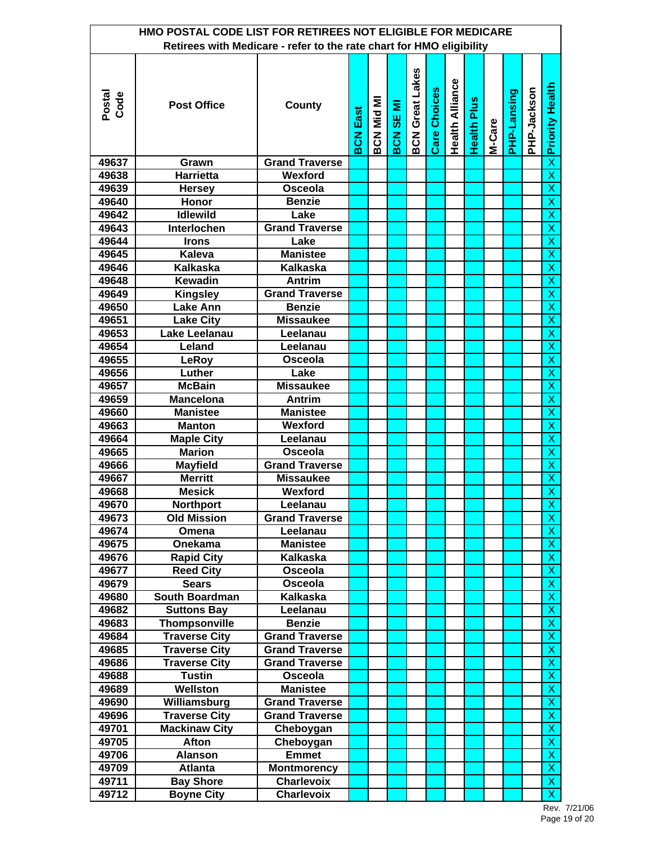|                | HMO POSTAL CODE LIST FOR RETIREES NOT ELIGIBLE FOR MEDICARE          |                            |                 |            |                  |                        |              |                        |                    |        |             |             |                                           |
|----------------|----------------------------------------------------------------------|----------------------------|-----------------|------------|------------------|------------------------|--------------|------------------------|--------------------|--------|-------------|-------------|-------------------------------------------|
|                | Retirees with Medicare - refer to the rate chart for HMO eligibility |                            |                 |            |                  |                        |              |                        |                    |        |             |             |                                           |
| Postal<br>Code | <b>Post Office</b>                                                   | County                     | <b>BCN East</b> | BCN Mid MI | <b>BCN SE MI</b> | <b>BCN Great Lakes</b> | Care Choices | <b>Health Alliance</b> | <b>Health Plus</b> | M-Care | PHP-Lansing | PHP-Jackson | <b>Priority Health</b>                    |
| 49637          | Grawn                                                                | <b>Grand Traverse</b>      |                 |            |                  |                        |              |                        |                    |        |             |             | $\overline{\mathsf{x}}$                   |
| 49638          | <b>Harrietta</b>                                                     | Wexford                    |                 |            |                  |                        |              |                        |                    |        |             |             | $\overline{\mathsf{x}}$                   |
| 49639          | <b>Hersey</b>                                                        | Osceola                    |                 |            |                  |                        |              |                        |                    |        |             |             | $\overline{\mathsf{x}}$                   |
| 49640          | Honor                                                                | <b>Benzie</b>              |                 |            |                  |                        |              |                        |                    |        |             |             | X                                         |
| 49642          | <b>Idlewild</b>                                                      | Lake                       |                 |            |                  |                        |              |                        |                    |        |             |             | X                                         |
| 49643          | Interlochen                                                          | <b>Grand Traverse</b>      |                 |            |                  |                        |              |                        |                    |        |             |             | $\overline{\mathsf{x}}$                   |
| 49644          | <b>Irons</b>                                                         | Lake                       |                 |            |                  |                        |              |                        |                    |        |             |             | $\overline{\mathsf{x}}$                   |
| 49645          | <b>Kaleva</b>                                                        | <b>Manistee</b>            |                 |            |                  |                        |              |                        |                    |        |             |             | $\overline{\mathsf{x}}$                   |
| 49646          | <b>Kalkaska</b>                                                      | <b>Kalkaska</b>            |                 |            |                  |                        |              |                        |                    |        |             |             | X                                         |
| 49648          | <b>Kewadin</b>                                                       | Antrim                     |                 |            |                  |                        |              |                        |                    |        |             |             | $\overline{\mathsf{x}}$                   |
| 49649          | <b>Kingsley</b>                                                      | <b>Grand Traverse</b>      |                 |            |                  |                        |              |                        |                    |        |             |             | $\overline{\mathsf{x}}$                   |
| 49650          | <b>Lake Ann</b>                                                      | <b>Benzie</b>              |                 |            |                  |                        |              |                        |                    |        |             |             | $\overline{\mathsf{x}}$                   |
| 49651          | <b>Lake City</b>                                                     | <b>Missaukee</b>           |                 |            |                  |                        |              |                        |                    |        |             |             | X                                         |
| 49653          | Lake Leelanau                                                        | Leelanau                   |                 |            |                  |                        |              |                        |                    |        |             |             | $\overline{\mathsf{x}}$                   |
| 49654          | Leland                                                               | Leelanau                   |                 |            |                  |                        |              |                        |                    |        |             |             | $\overline{\mathsf{x}}$                   |
| 49655          | LeRoy                                                                | Osceola                    |                 |            |                  |                        |              |                        |                    |        |             |             | $\overline{\mathsf{x}}$                   |
| 49656          | Luther                                                               | Lake                       |                 |            |                  |                        |              |                        |                    |        |             |             | $\overline{X}$                            |
| 49657          | <b>McBain</b>                                                        | <b>Missaukee</b>           |                 |            |                  |                        |              |                        |                    |        |             |             | $\overline{\mathsf{x}}$                   |
| 49659          | <b>Mancelona</b>                                                     | <b>Antrim</b>              |                 |            |                  |                        |              |                        |                    |        |             |             | $\overline{\mathsf{x}}$                   |
| 49660          | <b>Manistee</b>                                                      | <b>Manistee</b>            |                 |            |                  |                        |              |                        |                    |        |             |             | $\overline{\mathsf{x}}$                   |
| 49663          | <b>Manton</b>                                                        | Wexford                    |                 |            |                  |                        |              |                        |                    |        |             |             | X                                         |
| 49664          | <b>Maple City</b>                                                    | Leelanau                   |                 |            |                  |                        |              |                        |                    |        |             |             | $\overline{\mathsf{x}}$                   |
| 49665          | <b>Marion</b>                                                        | Osceola                    |                 |            |                  |                        |              |                        |                    |        |             |             | $\overline{\mathsf{x}}$                   |
| 49666          | <b>Mayfield</b>                                                      | <b>Grand Traverse</b>      |                 |            |                  |                        |              |                        |                    |        |             |             | $\overline{\mathsf{x}}$                   |
| 49667          | <b>Merritt</b>                                                       | <b>Missaukee</b>           |                 |            |                  |                        |              |                        |                    |        |             |             | X                                         |
| 49668          | <b>Mesick</b>                                                        | Wexford                    |                 |            |                  |                        |              |                        |                    |        |             |             | $\overline{\mathsf{x}}$                   |
| 49670          | <b>Northport</b>                                                     | Leelanau                   |                 |            |                  |                        |              |                        |                    |        |             |             | X                                         |
| 49673          | <b>Old Mission</b>                                                   | <b>Grand Traverse</b>      |                 |            |                  |                        |              |                        |                    |        |             |             | $\overline{\mathsf{x}}$                   |
| 49674          | Omena                                                                | Leelanau                   |                 |            |                  |                        |              |                        |                    |        |             |             | X                                         |
| 49675          | Onekama                                                              | <b>Manistee</b>            |                 |            |                  |                        |              |                        |                    |        |             |             | X                                         |
| 49676          | <b>Rapid City</b>                                                    | Kalkaska                   |                 |            |                  |                        |              |                        |                    |        |             |             | $\overline{\mathsf{x}}$                   |
| 49677          | <b>Reed City</b>                                                     | Osceola                    |                 |            |                  |                        |              |                        |                    |        |             |             | $\overline{X}$                            |
| 49679          | <b>Sears</b>                                                         | Osceola                    |                 |            |                  |                        |              |                        |                    |        |             |             | $\overline{X}$                            |
| 49680          | South Boardman                                                       | Kalkaska                   |                 |            |                  |                        |              |                        |                    |        |             |             | $\pmb{\mathsf{X}}$                        |
| 49682          | <b>Suttons Bay</b>                                                   | Leelanau                   |                 |            |                  |                        |              |                        |                    |        |             |             | $\overline{\mathsf{x}}$                   |
| 49683          | Thompsonville                                                        | <b>Benzie</b>              |                 |            |                  |                        |              |                        |                    |        |             |             | $\overline{\mathsf{x}}$                   |
| 49684          | <b>Traverse City</b>                                                 | <b>Grand Traverse</b>      |                 |            |                  |                        |              |                        |                    |        |             |             | $\mathsf{X}$                              |
| 49685          | <b>Traverse City</b>                                                 | <b>Grand Traverse</b>      |                 |            |                  |                        |              |                        |                    |        |             |             | X                                         |
| 49686          | <b>Traverse City</b>                                                 | <b>Grand Traverse</b>      |                 |            |                  |                        |              |                        |                    |        |             |             | $\overline{\mathsf{x}}$<br>$\overline{X}$ |
| 49688<br>49689 | <b>Tustin</b><br>Wellston                                            | Osceola<br><b>Manistee</b> |                 |            |                  |                        |              |                        |                    |        |             |             | X                                         |
| 49690          | Williamsburg                                                         | <b>Grand Traverse</b>      |                 |            |                  |                        |              |                        |                    |        |             |             | X                                         |
| 49696          | <b>Traverse City</b>                                                 | <b>Grand Traverse</b>      |                 |            |                  |                        |              |                        |                    |        |             |             | $\overline{\mathsf{x}}$                   |
| 49701          | <b>Mackinaw City</b>                                                 |                            |                 |            |                  |                        |              |                        |                    |        |             |             | $\overline{\mathsf{x}}$                   |
| 49705          | Afton                                                                | Cheboygan<br>Cheboygan     |                 |            |                  |                        |              |                        |                    |        |             |             | X                                         |
| 49706          | <b>Alanson</b>                                                       | <b>Emmet</b>               |                 |            |                  |                        |              |                        |                    |        |             |             | X                                         |
| 49709          | <b>Atlanta</b>                                                       | <b>Montmorency</b>         |                 |            |                  |                        |              |                        |                    |        |             |             | $\overline{X}$                            |
| 49711          | <b>Bay Shore</b>                                                     | <b>Charlevoix</b>          |                 |            |                  |                        |              |                        |                    |        |             |             | $\pmb{\mathsf{X}}$                        |
| 49712          | <b>Boyne City</b>                                                    | <b>Charlevoix</b>          |                 |            |                  |                        |              |                        |                    |        |             |             | $\overline{\mathsf{x}}$                   |

Rev. 7/21/06 Page 19 of 20